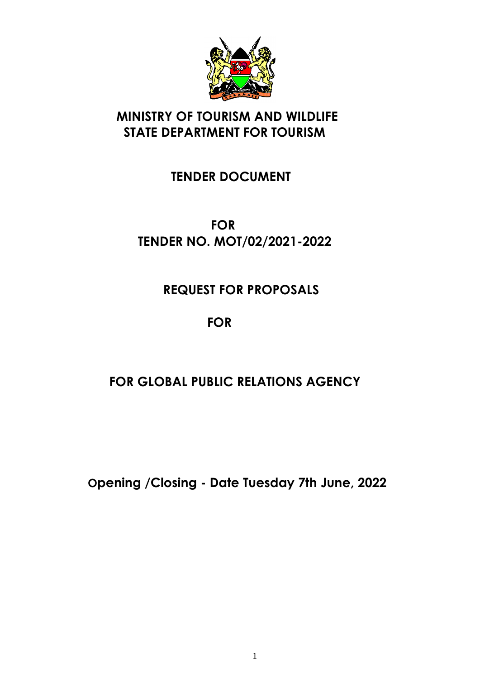

# **MINISTRY OF TOURISM AND WILDLIFE STATE DEPARTMENT FOR TOURISM**

# **TENDER DOCUMENT**

# **FOR TENDER NO. MOT/02/2021-2022**

# **REQUEST FOR PROPOSALS**

# **FOR**

# **FOR GLOBAL PUBLIC RELATIONS AGENCY**

**Opening /Closing - Date Tuesday 7th June, 2022**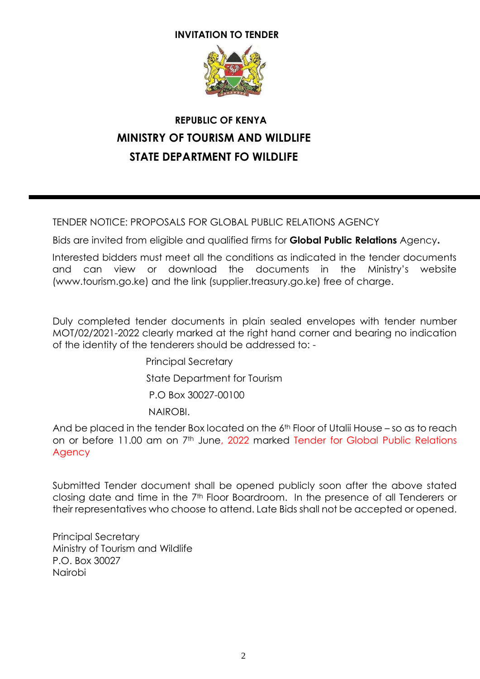#### **INVITATION TO TENDER**



# **REPUBLIC OF KENYA MINISTRY OF TOURISM AND WILDLIFE STATE DEPARTMENT FO WILDLIFE**

TENDER NOTICE: PROPOSALS FOR GLOBAL PUBLIC RELATIONS AGENCY

Bids are invited from eligible and qualified firms for **Global Public Relations** Agency**.**

Interested bidders must meet all the conditions as indicated in the tender documents and can view or download the documents in the Ministry's website (www.tourism.go.ke) and the link (supplier.treasury.go.ke) free of charge.

Duly completed tender documents in plain sealed envelopes with tender number MOT/02/2021-2022 clearly marked at the right hand corner and bearing no indication of the identity of the tenderers should be addressed to: -

> Principal Secretary State Department for Tourism P.O Box 30027-00100 NAIROBI.

And be placed in the tender Box located on the 6<sup>th</sup> Floor of Utalii House – so as to reach on or before 11.00 am on 7<sup>th</sup> June, 2022 marked Tender for Global Public Relations Agency

Submitted Tender document shall be opened publicly soon after the above stated closing date and time in the 7th Floor Boardroom. In the presence of all Tenderers or their representatives who choose to attend. Late Bids shall not be accepted or opened.

Principal Secretary Ministry of Tourism and Wildlife P.O. Box 30027 Nairobi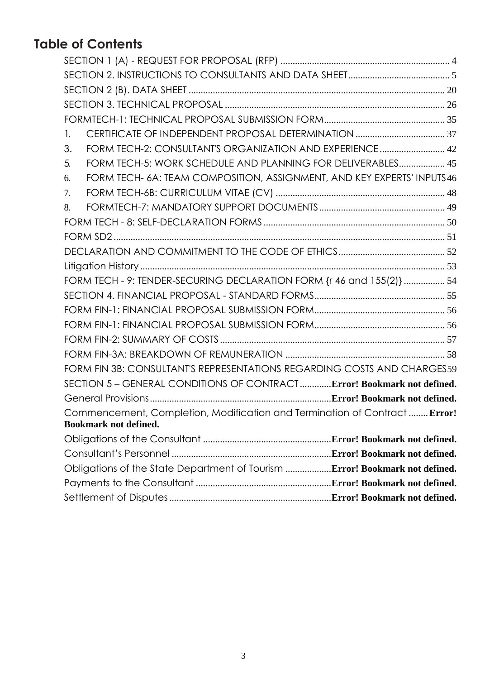# **Table of Contents**

| 1. |                                                                              |  |  |
|----|------------------------------------------------------------------------------|--|--|
| 3. | FORM TECH-2: CONSULTANT'S ORGANIZATION AND EXPERIENCE 42                     |  |  |
| 5. | FORM TECH-5: WORK SCHEDULE AND PLANNING FOR DELIVERABLES 45                  |  |  |
| 6. | FORM TECH- 6A: TEAM COMPOSITION, ASSIGNMENT, AND KEY EXPERTS' INPUTS 46      |  |  |
| 7. |                                                                              |  |  |
| 8. |                                                                              |  |  |
|    |                                                                              |  |  |
|    |                                                                              |  |  |
|    |                                                                              |  |  |
|    |                                                                              |  |  |
|    | FORM TECH - 9: TENDER-SECURING DECLARATION FORM {r 46 and 155(2)}  54        |  |  |
|    |                                                                              |  |  |
|    |                                                                              |  |  |
|    |                                                                              |  |  |
|    |                                                                              |  |  |
|    |                                                                              |  |  |
|    | FORM FIN 3B: CONSULTANT'S REPRESENTATIONS REGARDING COSTS AND CHARGES59      |  |  |
|    | SECTION 5 - GENERAL CONDITIONS OF CONTRACTError! Bookmark not defined.       |  |  |
|    |                                                                              |  |  |
|    | Commencement, Completion, Modification and Termination of Contract  Error!   |  |  |
|    | Bookmark not defined.                                                        |  |  |
|    |                                                                              |  |  |
|    |                                                                              |  |  |
|    | Obligations of the State Department of Tourism  Error! Bookmark not defined. |  |  |
|    |                                                                              |  |  |
|    |                                                                              |  |  |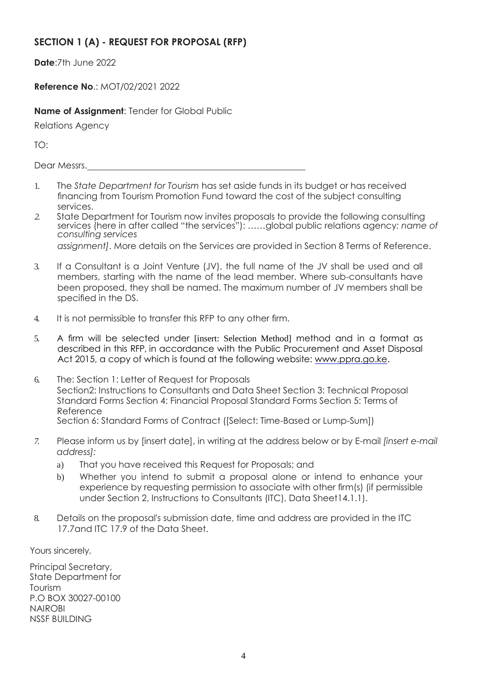## <span id="page-3-0"></span>**SECTION 1 (A) - REQUEST FOR PROPOSAL (RFP)**

**Date**:7th June 2022

**Reference No**.: MOT/02/2021 2022

**Name of Assignment**: Tender for Global Public

Relations Agency

TO:

Dear Messrs.

- 1. The *State Department for Tourism* has set aside funds in its budget or has received financing from Tourism Promotion Fund toward the cost of the subject consulting services.
- *2.* State Department for Tourism now invites proposals to provide the following consulting services (here in after called "the services"): ……global public relations agency*: name of consulting services*

*assignment]*. More details on the Services are provided in Section 8 Terms of Reference.

- 3. If a Consultant is a Joint Venture (JV), the full name of the JV shall be used and all members, starting with the name of the lead member. Where sub-consultants have been proposed, they shall be named. The maximum number of JV members shall be specified in the DS.
- 4. It is not permissible to transfer this RFP to any other firm.
- 5. A firm will be selected under [insert: Selection Method] method and in a format as described in this RFP, in accordance with the Public Procurement and Asset Disposal Act 2015, a copy of which is found at the following website: [www.ppra.go.ke.](http://www.ppra.go.ke/)
- 6. The: Section 1: Letter of Request for Proposals Section2: Instructions to Consultants and Data Sheet Section 3: Technical Proposal Standard Forms Section 4: Financial Proposal Standard Forms Section 5: Terms of Reference Section 6: Standard Forms of Contract ([Select: Time-Based or Lump-Sum])
- *7.* Please inform us by [insert date], in writing at the address below or by E-mail *[insert e-mail address]:*
	- a) That you have received this Request for Proposals; and
	- b) Whether you intend to submit a proposal alone or intend to enhance your experience by requesting permission to associate with other firm(s) (if permissible under Section 2, Instructions to Consultants (ITC), Data Sheet14.1.1).
- 8. Details on the proposal's submission date, time and address are provided in the ITC 17.7 and ITC 17.9 of the Data Sheet.

Yours sincerely,

Principal Secretary, State Department for Tourism P.O BOX 30027-00100 NAIROBI NSSF BUILDING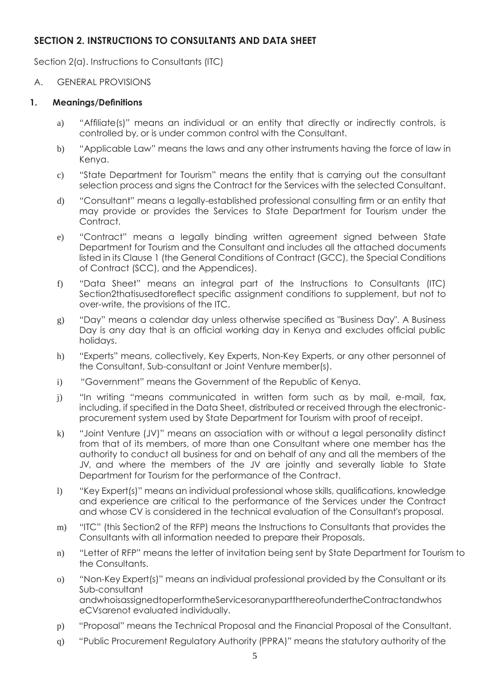### <span id="page-4-0"></span>**SECTION 2. INSTRUCTIONS TO CONSULTANTS AND DATA SHEET**

Section 2(a). Instructions to Consultants (ITC)

#### A. GENERAL PROVISIONS

#### **1. Meanings/Definitions**

- a) "Affiliate(s)" means an individual or an entity that directly or indirectly controls, is controlled by, or is under common control with the Consultant.
- b) "Applicable Law" means the laws and any other instruments having the force of law in Kenya.
- c) "State Department for Tourism" means the entity that is carrying out the consultant selection process and signs the Contract for the Services with the selected Consultant.
- d) "Consultant" means a legally-established professional consulting firm or an entity that may provide or provides the Services to State Department for Tourism under the Contract.
- e) "Contract" means a legally binding written agreement signed between State Department for Tourism and the Consultant and includes all the attached documents listed in its Clause 1 (the General Conditions of Contract (GCC), the Special Conditions of Contract (SCC), and the Appendices).
- f) "Data Sheet" means an integral part of the Instructions to Consultants (ITC) Section2thatisusedtoreflect specific assignment conditions to supplement, but not to over-write, the provisions of the ITC.
- g) "Day" means a calendar day unless otherwise specified as "Business Day". A Business Day is any day that is an official working day in Kenya and excludes official public holidays.
- h) "Experts" means, collectively, Key Experts, Non-Key Experts, or any other personnel of the Consultant, Sub-consultant or Joint Venture member(s).
- i) "Government" means the Government of the Republic of Kenya.
- j) "In writing "means communicated in written form such as by mail, e-mail, fax, including, if specified in the Data Sheet, distributed or received through the electronicprocurement system used by State Department for Tourism with proof of receipt.
- k) "Joint Venture (JV)" means an association with or without a legal personality distinct from that of its members, of more than one Consultant where one member has the authority to conduct all business for and on behalf of any and all the members of the JV, and where the members of the JV are jointly and severally liable to State Department for Tourism for the performance of the Contract.
- l) "Key Expert(s)" means an individual professional whose skills, qualifications, knowledge and experience are critical to the performance of the Services under the Contract and whose CV is considered in the technical evaluation of the Consultant's proposal.
- m) "ITC" (this Section2 of the RFP) means the Instructions to Consultants that provides the Consultants with all information needed to prepare their Proposals.
- n) "Letter of RFP" means the letter of invitation being sent by State Department for Tourism to the Consultants.
- o) "Non-Key Expert(s)" means an individual professional provided by the Consultant or its Sub-consultant andwhoisassignedtoperformtheServicesoranypartthereofundertheContractandwhos eCVsarenot evaluated individually.
- p) "Proposal" means the Technical Proposal and the Financial Proposal of the Consultant.
- q) "Public Procurement Regulatory Authority (PPRA)" means the statutory authority of the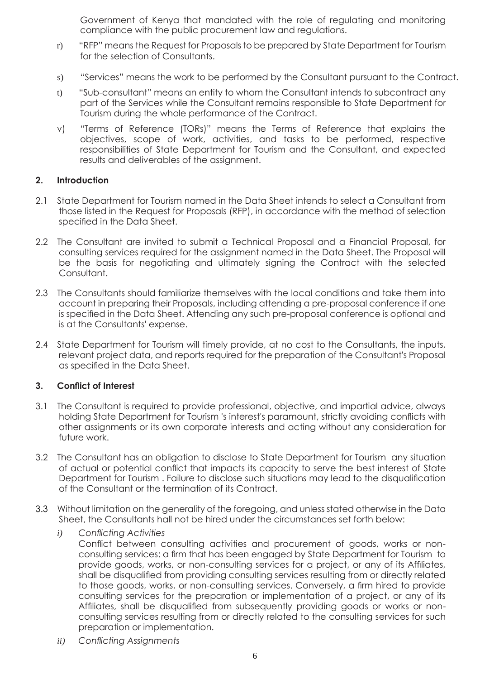Government of Kenya that mandated with the role of regulating and monitoring compliance with the public procurement law and regulations.

- r) "RFP" means the Request for Proposals to be prepared by State Department for Tourism for the selection of Consultants.
- s) "Services" means the work to be performed by the Consultant pursuant to the Contract.
- t) "Sub-consultant" means an entity to whom the Consultant intends to subcontract any part of the Services while the Consultant remains responsible to State Department for Tourism during the whole performance of the Contract.
- v) "Terms of Reference (TORs)" means the Terms of Reference that explains the objectives, scope of work, activities, and tasks to be performed, respective responsibilities of State Department for Tourism and the Consultant, and expected results and deliverables of the assignment.

#### **2. Introduction**

- 2.1 State Department for Tourism named in the Data Sheet intends to select a Consultant from those listed in the Request for Proposals (RFP), in accordance with the method of selection specified in the Data Sheet.
- 2.2 The Consultant are invited to submit a Technical Proposal and a Financial Proposal, for consulting services required for the assignment named in the Data Sheet. The Proposal will be the basis for negotiating and ultimately signing the Contract with the selected Consultant.
- 2.3 The Consultants should familiarize themselves with the local conditions and take them into account in preparing their Proposals, including attending a pre-proposal conference if one is specified in the Data Sheet. Attending any such pre-proposal conference is optional and is at the Consultants' expense.
- 2.4 State Department for Tourism will timely provide, at no cost to the Consultants, the inputs, relevant project data, and reports required for the preparation of the Consultant's Proposal as specified in the Data Sheet.

#### **3. Conflict of Interest**

- 3.1 The Consultant is required to provide professional, objective, and impartial advice, always holding State Department for Tourism 's interest's paramount, strictly avoiding conflicts with other assignments or its own corporate interests and acting without any consideration for future work.
- 3.2 The Consultant has an obligation to disclose to State Department for Tourism any situation of actual or potential conflict that impacts its capacity to serve the best interest of State Department for Tourism . Failure to disclose such situations may lead to the disqualification of the Consultant or the termination of its Contract.
- 3.3 Without limitation on the generality of the foregoing, and unless stated otherwise in the Data Sheet, the Consultants hall not be hired under the circumstances set forth below:
	- *i) Conflicting Activities* Conflict between consulting activities and procurement of goods, works or nonconsulting services: a firm that has been engaged by State Department for Tourism to provide goods, works, or non-consulting services for a project, or any of its Affiliates, shall be disqualified from providing consulting services resulting from or directly related to those goods, works, or non-consulting services. Conversely, a firm hired to provide consulting services for the preparation or implementation of a project, or any of its Affiliates, shall be disqualified from subsequently providing goods or works or nonconsulting services resulting from or directly related to the consulting services for such preparation or implementation.
	- *ii) Conflicting Assignments*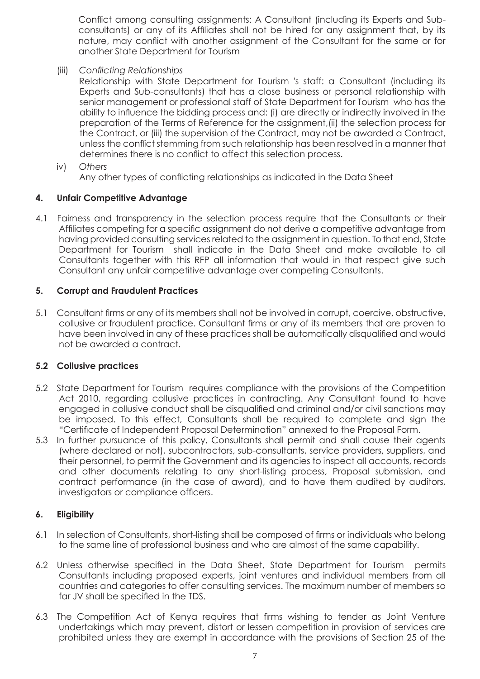Conflict among consulting assignments: A Consultant (including its Experts and Subconsultants) or any of its Affiliates shall not be hired for any assignment that, by its nature, may conflict with another assignment of the Consultant for the same or for another State Department for Tourism

(iii) *Conflicting Relationships*

Relationship with State Department for Tourism 's staff: a Consultant (including its Experts and Sub-consultants) that has a close business or personal relationship with senior management or professional staff of State Department for Tourism who has the ability to influence the bidding process and: (i) are directly or indirectly involved in the preparation of the Terms of Reference for the assignment,(ii) the selection process for the Contract, or (iii) the supervision of the Contract, may not be awarded a Contract, unless the conflict stemming from such relationship has been resolved in a manner that determines there is no conflict to affect this selection process.

iv) *Others*

Any other types of conflicting relationships as indicated in the Data Sheet

#### **4. Unfair Competitive Advantage**

4.1 Fairness and transparency in the selection process require that the Consultants or their Affiliates competing for a specific assignment do not derive a competitive advantage from having provided consulting services related to the assignment in question. To that end, State Department for Tourism shall indicate in the Data Sheet and make available to all Consultants together with this RFP all information that would in that respect give such Consultant any unfair competitive advantage over competing Consultants.

#### **5. Corrupt and Fraudulent Practices**

5.1 Consultant firms or any of its members shall not be involved in corrupt, coercive, obstructive, collusive or fraudulent practice. Consultant firms or any of its members that are proven to have been involved in any of these practices shall be automatically disqualified and would not be awarded a contract.

#### **5.2 Collusive practices**

- 5.2 State Department for Tourism requires compliance with the provisions of the Competition Act 2010, regarding collusive practices in contracting. Any Consultant found to have engaged in collusive conduct shall be disqualified and criminal and/or civil sanctions may be imposed. To this effect, Consultants shall be required to complete and sign the "Certificate of Independent Proposal Determination" annexed to the Proposal Form.
- 5.3 In further pursuance of this policy, Consultants shall permit and shall cause their agents (where declared or not), subcontractors, sub-consultants, service providers, suppliers, and their personnel, to permit the Government and its agencies to inspect all accounts, records and other documents relating to any short-listing process, Proposal submission, and contract performance (in the case of award), and to have them audited by auditors, investigators or compliance officers.

#### **6. Eligibility**

- 6.1 In selection of Consultants, short-listing shall be composed of firms or individuals who belong to the same line of professional business and who are almost of the same capability.
- 6.2 Unless otherwise specified in the Data Sheet, State Department for Tourism permits Consultants including proposed experts, joint ventures and individual members from all countries and categories to offer consulting services. The maximum number of members so far JV shall be specified in the TDS.
- 6.3 The Competition Act of Kenya requires that firms wishing to tender as Joint Venture undertakings which may prevent, distort or lessen competition in provision of services are prohibited unless they are exempt in accordance with the provisions of Section 25 of the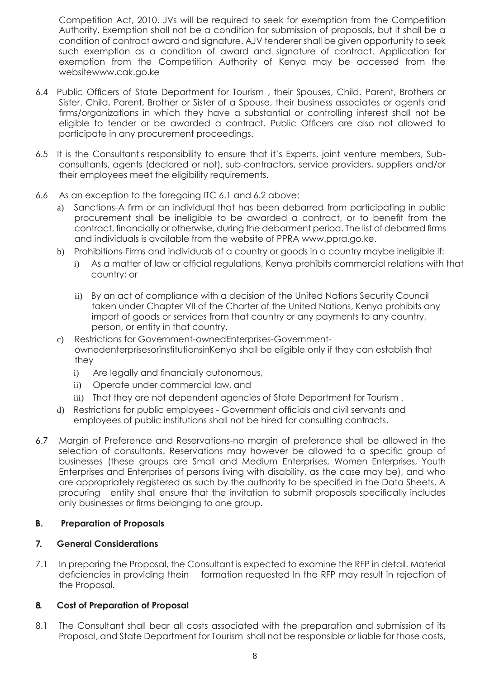Competition Act, 2010. JVs will be required to seek for exemption from the Competition Authority. Exemption shall not be a condition for submission of proposals, but it shall be a condition of contract award and signature. AJV tenderer shall be given opportunity to seek such exemption as a condition of award and signature of contract. Application for exemption from the Competition Authority of Kenya may be accessed from the websit[ewww.cak.go.ke](http://www.cak.go.ke/)

- 6.4 Public Officers of State Department for Tourism , their Spouses, Child, Parent, Brothers or Sister. Child, Parent, Brother or Sister of a Spouse, their business associates or agents and firms/organizations in which they have a substantial or controlling interest shall not be eligible to tender or be awarded a contract. Public Officers are also not allowed to participate in any procurement proceedings.
- 6.5 It is the Consultant's responsibility to ensure that it's Experts, joint venture members, Subconsultants, agents (declared or not), sub-contractors, service providers, suppliers and/or their employees meet the eligibility requirements.
- 6.6 As an exception to the foregoing ITC 6.1 and 6.2 above:
	- a) Sanctions-A firm or an individual that has been debarred from participating in public procurement shall be ineligible to be awarded a contract, or to benefit from the contract, financially or otherwise, during the debarment period. The list of debarred firms and individuals is available from the website of PPRA [www.ppra.go.ke.](http://www.ppra.go.ke/)
	- b) Prohibitions-Firms and individuals of a country or goods in a country maybe ineligible if:
		- i) As a matter of law or official regulations, Kenya prohibits commercial relations with that country; or
		- ii) By an act of compliance with a decision of the United Nations Security Council taken under Chapter VII of the Charter of the United Nations, Kenya prohibits any import of goods or services from that country or any payments to any country, person, or entity in that country.
	- c) Restrictions for Government-ownedEnterprises-GovernmentownedenterprisesorinstitutionsinKenya shall be eligible only if they can establish that they
		- i) Are legally and financially autonomous,
		- ii) Operate under commercial law, and
		- iii) That they are not dependent agencies of State Department for Tourism.
	- d) Restrictions for public employees Government officials and civil servants and employees of public institutions shall not be hired for consulting contracts.
- 6.7 Margin of Preference and Reservations-no margin of preference shall be allowed in the selection of consultants. Reservations may however be allowed to a specific group of businesses (these groups are Small and Medium Enterprises, Women Enterprises, Youth Enterprises and Enterprises of persons living with disability, as the case may be), and who are appropriately registered as such by the authority to be specified in the Data Sheets. A procuring entity shall ensure that the invitation to submit proposals specifically includes only businesses or firms belonging to one group.

#### **B. Preparation of Proposals**

#### **7. General Considerations**

7.1 In preparing the Proposal, the Consultant is expected to examine the RFP in detail. Material deficiencies in providing thein formation requested In the RFP may result in rejection of the Proposal.

#### **8. Cost of Preparation of Proposal**

8.1 The Consultant shall bear all costs associated with the preparation and submission of its Proposal, and State Department for Tourism shall not be responsible or liable for those costs,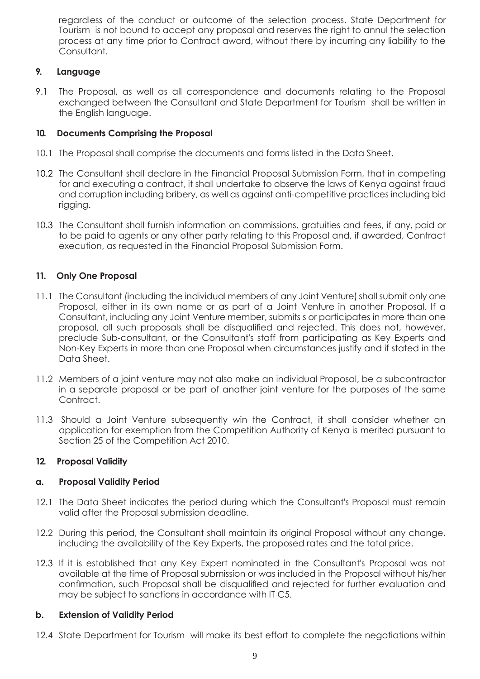regardless of the conduct or outcome of the selection process. State Department for Tourism is not bound to accept any proposal and reserves the right to annul the selection process at any time prior to Contract award, without there by incurring any liability to the Consultant.

#### **9. Language**

9.1 The Proposal, as well as all correspondence and documents relating to the Proposal exchanged between the Consultant and State Department for Tourism shall be written in the English language.

#### **10. Documents Comprising the Proposal**

- 10.1 The Proposal shall comprise the documents and forms listed in the Data Sheet.
- 10.2 The Consultant shall declare in the Financial Proposal Submission Form, that in competing for and executing a contract, it shall undertake to observe the laws of Kenya against fraud and corruption including bribery, as well as against anti-competitive practices including bid rigging.
- 10.3 The Consultant shall furnish information on commissions, gratuities and fees, if any, paid or to be paid to agents or any other party relating to this Proposal and, if awarded, Contract execution, as requested in the Financial Proposal Submission Form.

#### **11. Only One Proposal**

- 11.1 The Consultant (including the individual members of any Joint Venture) shall submit only one Proposal, either in its own name or as part of a Joint Venture in another Proposal. If a Consultant, including any Joint Venture member, submits s or participates in more than one proposal, all such proposals shall be disqualified and rejected. This does not, however, preclude Sub-consultant, or the Consultant's staff from participating as Key Experts and Non-Key Experts in more than one Proposal when circumstances justify and if stated in the Data Sheet.
- 11.2 Members of a joint venture may not also make an individual Proposal, be a subcontractor in a separate proposal or be part of another joint venture for the purposes of the same Contract.
- 11.3 Should a Joint Venture subsequently win the Contract, it shall consider whether an application for exemption from the Competition Authority of Kenya is merited pursuant to Section 25 of the Competition Act 2010.

#### **12. Proposal Validity**

#### **a. Proposal Validity Period**

- 12.1 The Data Sheet indicates the period during which the Consultant's Proposal must remain valid after the Proposal submission deadline.
- 12.2 During this period, the Consultant shall maintain its original Proposal without any change, including the availability of the Key Experts, the proposed rates and the total price.
- 12.3 If it is established that any Key Expert nominated in the Consultant's Proposal was not available at the time of Proposal submission or was included in the Proposal without his/her confirmation, such Proposal shall be disqualified and rejected for further evaluation and may be subject to sanctions in accordance with IT C5.

#### **b. Extension of Validity Period**

12.4 State Department for Tourism will make its best effort to complete the negotiations within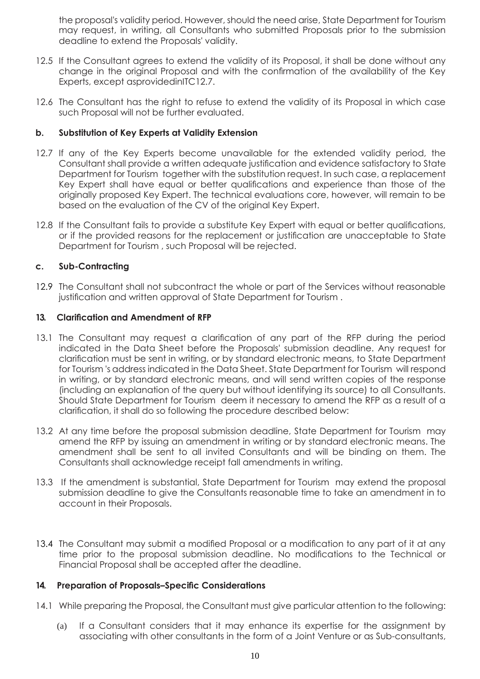the proposal's validity period. However, should the need arise, State Department for Tourism may request, in writing, all Consultants who submitted Proposals prior to the submission deadline to extend the Proposals' validity.

- 12.5 If the Consultant agrees to extend the validity of its Proposal, it shall be done without any change in the original Proposal and with the confirmation of the availability of the Key Experts, except asprovidedinITC12.7.
- 12.6 The Consultant has the right to refuse to extend the validity of its Proposal in which case such Proposal will not be further evaluated.

#### **b. Substitution of Key Experts at Validity Extension**

- 12.7 If any of the Key Experts become unavailable for the extended validity period, the Consultant shall provide a written adequate justification and evidence satisfactory to State Department for Tourism together with the substitution request. In such case, a replacement Key Expert shall have equal or better qualifications and experience than those of the originally proposed Key Expert. The technical evaluations core, however, will remain to be based on the evaluation of the CV of the original Key Expert.
- 12.8 If the Consultant fails to provide a substitute Key Expert with equal or better qualifications, or if the provided reasons for the replacement or justification are unacceptable to State Department for Tourism , such Proposal will be rejected.

#### **c. Sub-Contracting**

12.9 The Consultant shall not subcontract the whole or part of the Services without reasonable justification and written approval of State Department for Tourism.

#### **13. Clarification and Amendment of RFP**

- 13.1 The Consultant may request a clarification of any part of the RFP during the period indicated in the Data Sheet before the Proposals' submission deadline. Any request for clarification must be sent in writing, or by standard electronic means, to State Department for Tourism 's address indicated in the Data Sheet. State Department for Tourism will respond in writing, or by standard electronic means, and will send written copies of the response (including an explanation of the query but without identifying its source) to all Consultants. Should State Department for Tourism deem it necessary to amend the RFP as a result of a clarification, it shall do so following the procedure described below:
- 13.2 At any time before the proposal submission deadline, State Department for Tourism may amend the RFP by issuing an amendment in writing or by standard electronic means. The amendment shall be sent to all invited Consultants and will be binding on them. The Consultants shall acknowledge receipt fall amendments in writing.
- 13.3 If the amendment is substantial, State Department for Tourism may extend the proposal submission deadline to give the Consultants reasonable time to take an amendment in to account in their Proposals.
- 13.4 The Consultant may submit a modified Proposal or a modification to any part of it at any time prior to the proposal submission deadline. No modifications to the Technical or Financial Proposal shall be accepted after the deadline.

#### **14. Preparation of Proposals–Specific Considerations**

- 14.1 While preparing the Proposal, the Consultant must give particular attention to the following:
	- (a) If a Consultant considers that it may enhance its expertise for the assignment by associating with other consultants in the form of a Joint Venture or as Sub-consultants,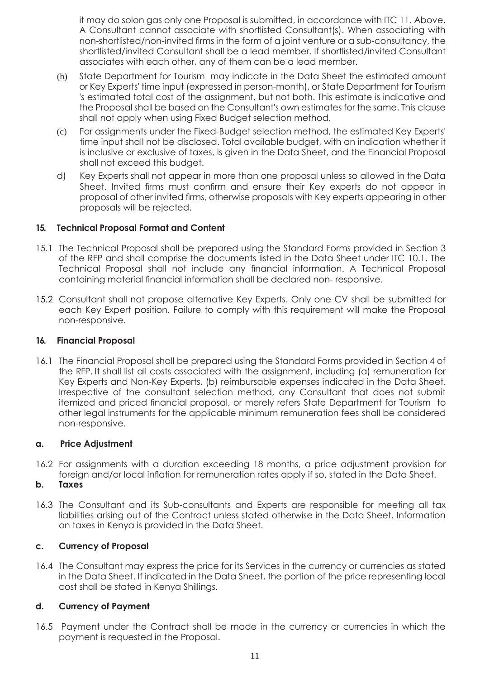it may do solon gas only one Proposal is submitted, in accordance with ITC 11. Above. A Consultant cannot associate with shortlisted Consultant(s). When associating with non-shortlisted/non-invited firms in the form of a joint venture or a sub-consultancy, the shortlisted/invited Consultant shall be a lead member. If shortlisted/invited Consultant associates with each other, any of them can be a lead member.

- (b) State Department for Tourism may indicate in the Data Sheet the estimated amount or Key Experts' time input (expressed in person-month), or State Department for Tourism 's estimated total cost of the assignment, but not both. This estimate is indicative and the Proposal shall be based on the Consultant's own estimates for the same. This clause shall not apply when using Fixed Budget selection method.
- (c) For assignments under the Fixed-Budget selection method, the estimated Key Experts' time input shall not be disclosed. Total available budget, with an indication whether it is inclusive or exclusive of taxes, is given in the Data Sheet, and the Financial Proposal shall not exceed this budget.
- d) Key Experts shall not appear in more than one proposal unless so allowed in the Data Sheet. Invited firms must confirm and ensure their Key experts do not appear in proposal of other invited firms, otherwise proposals with Key experts appearing in other proposals will be rejected.

#### **15. Technical Proposal Format and Content**

- 15.1 The Technical Proposal shall be prepared using the Standard Forms provided in Section 3 of the RFP and shall comprise the documents listed in the Data Sheet under ITC 10.1. The Technical Proposal shall not include any financial information. A Technical Proposal containing material financial information shall be declared non- responsive.
- 15.2 Consultant shall not propose alternative Key Experts. Only one CV shall be submitted for each Key Expert position. Failure to comply with this requirement will make the Proposal non-responsive.

#### **16. Financial Proposal**

16.1 The Financial Proposal shall be prepared using the Standard Forms provided in Section 4 of the RFP. It shall list all costs associated with the assignment, including (a) remuneration for Key Experts and Non-Key Experts, (b) reimbursable expenses indicated in the Data Sheet. Irrespective of the consultant selection method, any Consultant that does not submit itemized and priced financial proposal, or merely refers State Department for Tourism to other legal instruments for the applicable minimum remuneration fees shall be considered non-responsive.

#### **a. Price Adjustment**

16.2 For assignments with a duration exceeding 18 months, a price adjustment provision for foreign and/or local inflation for remuneration rates apply if so, stated in the Data Sheet.

#### **b. Taxes**

16.3 The Consultant and its Sub-consultants and Experts are responsible for meeting all tax liabilities arising out of the Contract unless stated otherwise in the Data Sheet. Information on taxes in Kenya is provided in the Data Sheet.

#### **c. Currency of Proposal**

16.4 The Consultant may express the price for its Services in the currency or currencies as stated in the Data Sheet. If indicated in the Data Sheet, the portion of the price representing local cost shall be stated in Kenya Shillings.

#### **d. Currency of Payment**

16.5 Payment under the Contract shall be made in the currency or currencies in which the payment is requested in the Proposal.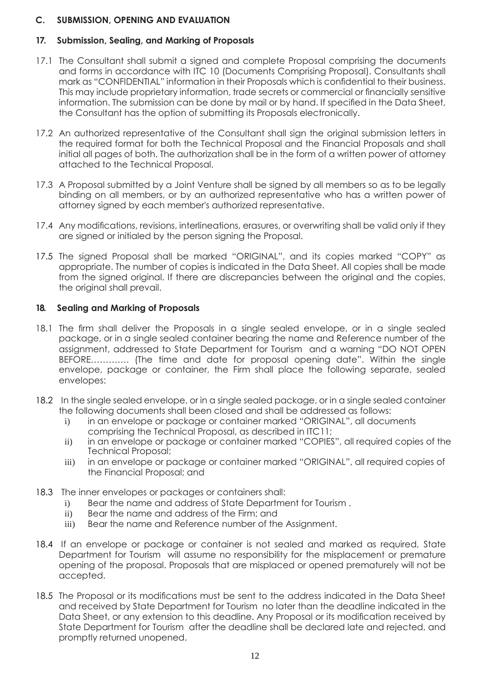#### **C. SUBMISSION, OPENING AND EVALUATION**

#### **17. Submission, Sealing, and Marking of Proposals**

- 17.1 The Consultant shall submit a signed and complete Proposal comprising the documents and forms in accordance with ITC 10 (Documents Comprising Proposal). Consultants shall mark as "CONFIDENTIAL" information in their Proposals which is confidential to their business. This may include proprietary information, trade secrets or commercial or financially sensitive information. The submission can be done by mail or by hand. If specified in the Data Sheet, the Consultant has the option of submitting its Proposals electronically.
- 17.2 An authorized representative of the Consultant shall sign the original submission letters in the required format for both the Technical Proposal and the Financial Proposals and shall initial all pages of both. The authorization shall be in the form of a written power of attorney attached to the Technical Proposal.
- 17.3 A Proposal submitted by a Joint Venture shall be signed by all members so as to be legally binding on all members, or by an authorized representative who has a written power of attorney signed by each member's authorized representative.
- 17.4 Any modifications, revisions, interlineations, erasures, or overwriting shall be valid only if they are signed or initialed by the person signing the Proposal.
- 17.5 The signed Proposal shall be marked "ORIGINAL", and its copies marked "COPY" as appropriate. The number of copies is indicated in the Data Sheet. All copies shall be made from the signed original. If there are discrepancies between the original and the copies, the original shall prevail.

#### **18. Sealing and Marking of Proposals**

- 18.1 The firm shall deliver the Proposals in a single sealed envelope, or in a single sealed package, or in a single sealed container bearing the name and Reference number of the assignment, addressed to State Department for Tourism and a warning "DO NOT OPEN BEFORE…………. (The time and date for proposal opening date". Within the single envelope, package or container, the Firm shall place the following separate, sealed envelopes:
- 18.2 In the single sealed envelope, or in a single sealed package, or in a single sealed container the following documents shall been closed and shall be addressed as follows:
	- i) in an envelope or package or container marked "ORIGINAL", all documents comprising the Technical Proposal, as described in ITC11;
	- ii) in an envelope or package or container marked "COPIES", all required copies of the Technical Proposal;
	- iii) in an envelope or package or container marked "ORIGINAL", all required copies of the Financial Proposal; and
- 18.3 The inner envelopes or packages or containers shall:
	- i) Bear the name and address of State Department for Tourism .
	- ii) Bear the name and address of the Firm; and
	- iii) Bear the name and Reference number of the Assignment.
- 18.4 If an envelope or package or container is not sealed and marked as required, State Department for Tourism will assume no responsibility for the misplacement or premature opening of the proposal. Proposals that are misplaced or opened prematurely will not be accepted.
- 18.5 The Proposal or its modifications must be sent to the address indicated in the Data Sheet and received by State Department for Tourism no later than the deadline indicated in the Data Sheet, or any extension to this deadline. Any Proposal or its modification received by State Department for Tourism after the deadline shall be declared late and rejected, and promptly returned unopened.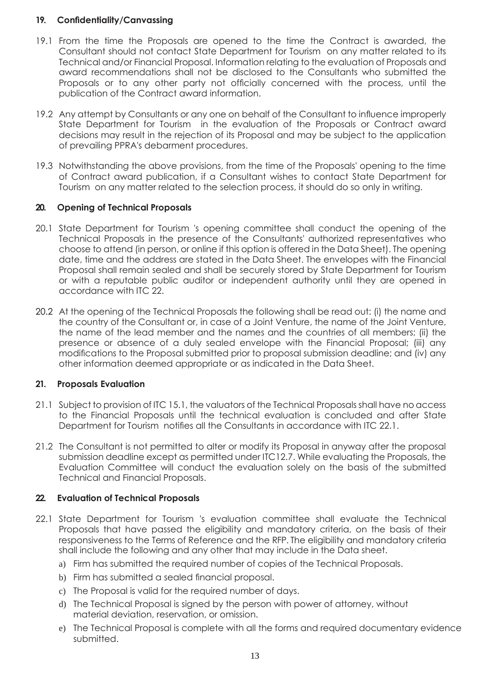#### **19. Confidentiality/Canvassing**

- 19.1 From the time the Proposals are opened to the time the Contract is awarded, the Consultant should not contact State Department for Tourism on any matter related to its Technical and/or Financial Proposal. Information relating to the evaluation of Proposals and award recommendations shall not be disclosed to the Consultants who submitted the Proposals or to any other party not officially concerned with the process, until the publication of the Contract award information.
- 19.2 Any attempt by Consultants or any one on behalf of the Consultant to influence improperly State Department for Tourism in the evaluation of the Proposals or Contract award decisions may result in the rejection of its Proposal and may be subject to the application of prevailing PPRA's debarment procedures.
- 19.3 Notwithstanding the above provisions, from the time of the Proposals' opening to the time of Contract award publication, if a Consultant wishes to contact State Department for Tourism on any matter related to the selection process, it should do so only in writing.

#### **20. Opening of Technical Proposals**

- 20.1 State Department for Tourism 's opening committee shall conduct the opening of the Technical Proposals in the presence of the Consultants' authorized representatives who choose to attend (in person, or online if this option is offered in the Data Sheet). The opening date, time and the address are stated in the Data Sheet. The envelopes with the Financial Proposal shall remain sealed and shall be securely stored by State Department for Tourism or with a reputable public auditor or independent authority until they are opened in accordance with ITC 22.
- 20.2 At the opening of the Technical Proposals the following shall be read out: (i) the name and the country of the Consultant or, in case of a Joint Venture, the name of the Joint Venture, the name of the lead member and the names and the countries of all members; (ii) the presence or absence of a duly sealed envelope with the Financial Proposal; (iii) any modifications to the Proposal submitted prior to proposal submission deadline; and (iv) any other information deemed appropriate or as indicated in the Data Sheet.

#### **21. Proposals Evaluation**

- 21.1 Subject to provision of ITC 15.1, the valuators of the Technical Proposals shall have no access to the Financial Proposals until the technical evaluation is concluded and after State Department for Tourism notifies all the Consultants in accordance with ITC 22.1.
- 21.2 The Consultant is not permitted to alter or modify its Proposal in anyway after the proposal submission deadline except as permitted under ITC12.7. While evaluating the Proposals, the Evaluation Committee will conduct the evaluation solely on the basis of the submitted Technical and Financial Proposals.

#### **22. Evaluation of Technical Proposals**

- 22.1 State Department for Tourism 's evaluation committee shall evaluate the Technical Proposals that have passed the eligibility and mandatory criteria, on the basis of their responsiveness to the Terms of Reference and the RFP. The eligibility and mandatory criteria shall include the following and any other that may include in the Data sheet.
	- a) Firm has submitted the required number of copies of the Technical Proposals.
	- b) Firm has submitted a sealed financial proposal.
	- c) The Proposal is valid for the required number of days.
	- d) The Technical Proposal is signed by the person with power of attorney, without material deviation, reservation, or omission.
	- e) The Technical Proposal is complete with all the forms and required documentary evidence submitted.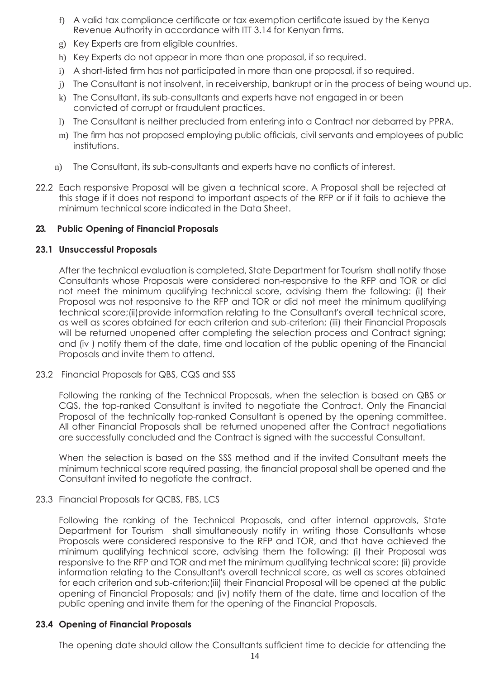- f) A valid tax compliance certificate or tax exemption certificate issued by the Kenya Revenue Authority in accordance with ITT 3.14 for Kenyan firms.
- g) Key Experts are from eligible countries.
- h) Key Experts do not appear in more than one proposal, if so required.
- i) A short-listed firm has not participated in more than one proposal, if so required.
- j) The Consultant is not insolvent, in receivership, bankrupt or in the process of being wound up.
- k) The Consultant, its sub-consultants and experts have not engaged in or been convicted of corrupt or fraudulent practices.
- l) The Consultant is neither precluded from entering into a Contract nor debarred by PPRA.
- m) The firm has not proposed employing public officials, civil servants and employees of public institutions.
- n) The Consultant, its sub-consultants and experts have no conflicts of interest.
- 22.2 Each responsive Proposal will be given a technical score. A Proposal shall be rejected at this stage if it does not respond to important aspects of the RFP or if it fails to achieve the minimum technical score indicated in the Data Sheet.

#### **23. Public Opening of Financial Proposals**

#### **23.1 Unsuccessful Proposals**

After the technical evaluation is completed, State Department for Tourism shall notify those Consultants whose Proposals were considered non-responsive to the RFP and TOR or did not meet the minimum qualifying technical score, advising them the following: (i) their Proposal was not responsive to the RFP and TOR or did not meet the minimum qualifying technical score;(ii)provide information relating to the Consultant's overall technical score, as well as scores obtained for each criterion and sub-criterion; (iii) their Financial Proposals will be returned unopened after completing the selection process and Contract signing; and (iv ) notify them of the date, time and location of the public opening of the Financial Proposals and invite them to attend.

23.2 Financial Proposals for QBS, CQS and SSS

Following the ranking of the Technical Proposals, when the selection is based on QBS or CQS, the top-ranked Consultant is invited to negotiate the Contract. Only the Financial Proposal of the technically top-ranked Consultant is opened by the opening committee. All other Financial Proposals shall be returned unopened after the Contract negotiations are successfully concluded and the Contract is signed with the successful Consultant.

When the selection is based on the SSS method and if the invited Consultant meets the minimum technical score required passing, the financial proposal shall be opened and the Consultant invited to negotiate the contract.

23.3 Financial Proposals for QCBS, FBS, LCS

Following the ranking of the Technical Proposals, and after internal approvals, State Department for Tourism shall simultaneously notify in writing those Consultants whose Proposals were considered responsive to the RFP and TOR, and that have achieved the minimum qualifying technical score, advising them the following: (i) their Proposal was responsive to the RFP and TOR and met the minimum qualifying technical score; (ii) provide information relating to the Consultant's overall technical score, as well as scores obtained for each criterion and sub-criterion;(iii) their Financial Proposal will be opened at the public opening of Financial Proposals; and (iv) notify them of the date, time and location of the public opening and invite them for the opening of the Financial Proposals.

#### **23.4 Opening of Financial Proposals**

The opening date should allow the Consultants sufficient time to decide for attending the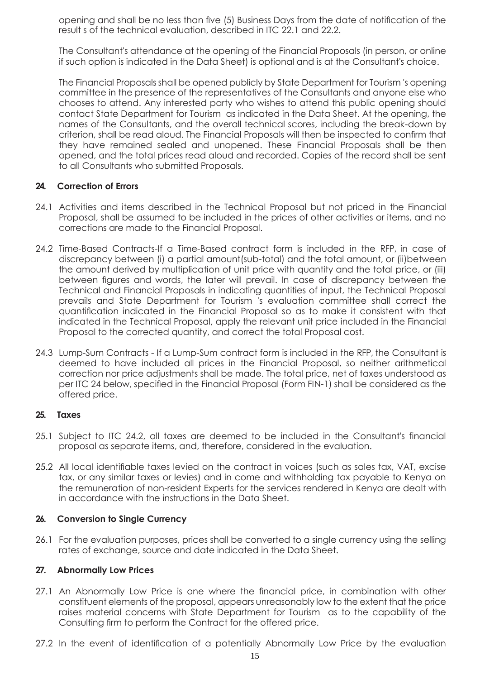opening and shall be no less than five (5) Business Days from the date of notification of the result s of the technical evaluation, described in ITC 22.1 and 22.2.

The Consultant's attendance at the opening of the Financial Proposals (in person, or online if such option is indicated in the Data Sheet) is optional and is at the Consultant's choice.

The Financial Proposals shall be opened publicly by State Department for Tourism 's opening committee in the presence of the representatives of the Consultants and anyone else who chooses to attend. Any interested party who wishes to attend this public opening should contact State Department for Tourism as indicated in the Data Sheet. At the opening, the names of the Consultants, and the overall technical scores, including the break-down by criterion, shall be read aloud. The Financial Proposals will then be inspected to confirm that they have remained sealed and unopened. These Financial Proposals shall be then opened, and the total prices read aloud and recorded. Copies of the record shall be sent to all Consultants who submitted Proposals.

#### **24. Correction of Errors**

- 24.1 Activities and items described in the Technical Proposal but not priced in the Financial Proposal, shall be assumed to be included in the prices of other activities or items, and no corrections are made to the Financial Proposal.
- 24.2 Time-Based Contracts-If a Time-Based contract form is included in the RFP, in case of discrepancy between (i) a partial amount(sub-total) and the total amount, or (ii)between the amount derived by multiplication of unit price with quantity and the total price, or (iii) between figures and words, the later will prevail. In case of discrepancy between the Technical and Financial Proposals in indicating quantities of input, the Technical Proposal prevails and State Department for Tourism 's evaluation committee shall correct the quantification indicated in the Financial Proposal so as to make it consistent with that indicated in the Technical Proposal, apply the relevant unit price included in the Financial Proposal to the corrected quantity, and correct the total Proposal cost.
- 24.3 Lump-Sum Contracts If a Lump-Sum contract form is included in the RFP, the Consultant is deemed to have included all prices in the Financial Proposal, so neither arithmetical correction nor price adjustments shall be made. The total price, net of taxes understood as per ITC 24 below, specified in the Financial Proposal (Form FIN-1) shall be considered as the offered price.

#### **25. Taxes**

- 25.1 Subject to ITC 24.2, all taxes are deemed to be included in the Consultant's financial proposal as separate items, and, therefore, considered in the evaluation.
- 25.2 All local identifiable taxes levied on the contract in voices (such as sales tax, VAT, excise tax, or any similar taxes or levies) and in come and withholding tax payable to Kenya on the remuneration of non-resident Experts for the services rendered in Kenya are dealt with in accordance with the instructions in the Data Sheet.

#### **26. Conversion to Single Currency**

26.1 For the evaluation purposes, prices shall be converted to a single currency using the selling rates of exchange, source and date indicated in the Data Sheet.

#### **27. Abnormally Low Prices**

- 27.1 An Abnormally Low Price is one where the financial price, in combination with other constituent elements of the proposal, appears unreasonably low to the extent that the price raises material concerns with State Department for Tourism as to the capability of the Consulting firm to perform the Contract for the offered price.
- 27.2 In the event of identification of a potentially Abnormally Low Price by the evaluation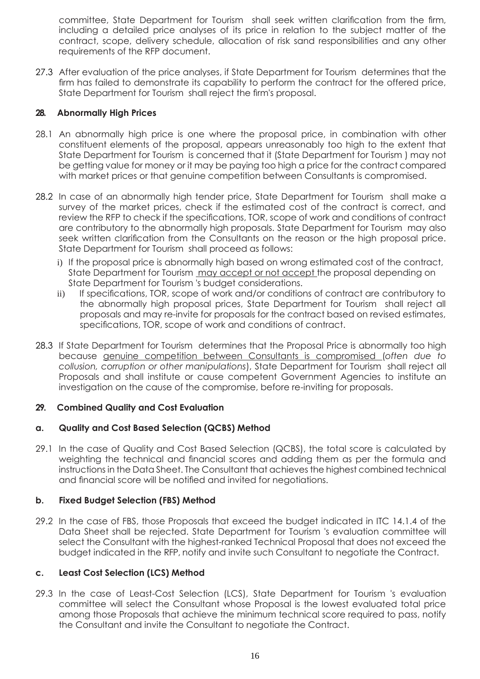committee, State Department for Tourism shall seek written clarification from the firm, including a detailed price analyses of its price in relation to the subject matter of the contract, scope, delivery schedule, allocation of risk sand responsibilities and any other requirements of the RFP document.

27.3 After evaluation of the price analyses, if State Department for Tourism determines that the firm has failed to demonstrate its capability to perform the contract for the offered price, State Department for Tourism shall reject the firm's proposal.

#### **28. Abnormally High Prices**

- 28.1 An abnormally high price is one where the proposal price, in combination with other constituent elements of the proposal, appears unreasonably too high to the extent that State Department for Tourism is concerned that it (State Department for Tourism ) may not be getting value for money or it may be paying too high a price for the contract compared with market prices or that genuine competition between Consultants is compromised.
- 28.2 In case of an abnormally high tender price, State Department for Tourism shall make a survey of the market prices, check if the estimated cost of the contract is correct, and review the RFP to check if the specifications, TOR, scope of work and conditions of contract are contributory to the abnormally high proposals. State Department for Tourism may also seek written clarification from the Consultants on the reason or the high proposal price. State Department for Tourism shall proceed as follows:
	- i) If the proposal price is abnormally high based on wrong estimated cost of the contract, State Department for Tourism may accept or not accept the proposal depending on State Department for Tourism 's budget considerations.
	- ii) If specifications, TOR, scope of work and/or conditions of contract are contributory to the abnormally high proposal prices, State Department for Tourism shall reject all proposals and may re-invite for proposals for the contract based on revised estimates, specifications, TOR, scope of work and conditions of contract.
- 28.3 If State Department for Tourism determines that the Proposal Price is abnormally too high because genuine competition between Consultants is compromised (*often due to collusion, corruption or other manipulations*), State Department for Tourism shall reject all Proposals and shall institute or cause competent Government Agencies to institute an investigation on the cause of the compromise, before re-inviting for proposals.

#### **29. Combined Quality and Cost Evaluation**

#### **a. Quality and Cost Based Selection (QCBS) Method**

29.1 In the case of Quality and Cost Based Selection (QCBS), the total score is calculated by weighting the technical and financial scores and adding them as per the formula and instructions in the Data Sheet. The Consultant that achieves the highest combined technical and financial score will be notified and invited for negotiations.

#### **b. Fixed Budget Selection (FBS) Method**

29.2 In the case of FBS, those Proposals that exceed the budget indicated in ITC 14.1.4 of the Data Sheet shall be rejected. State Department for Tourism 's evaluation committee will select the Consultant with the highest-ranked Technical Proposal that does not exceed the budget indicated in the RFP, notify and invite such Consultant to negotiate the Contract.

#### **c. Least Cost Selection (LCS) Method**

29.3 In the case of Least-Cost Selection (LCS), State Department for Tourism 's evaluation committee will select the Consultant whose Proposal is the lowest evaluated total price among those Proposals that achieve the minimum technical score required to pass, notify the Consultant and invite the Consultant to negotiate the Contract.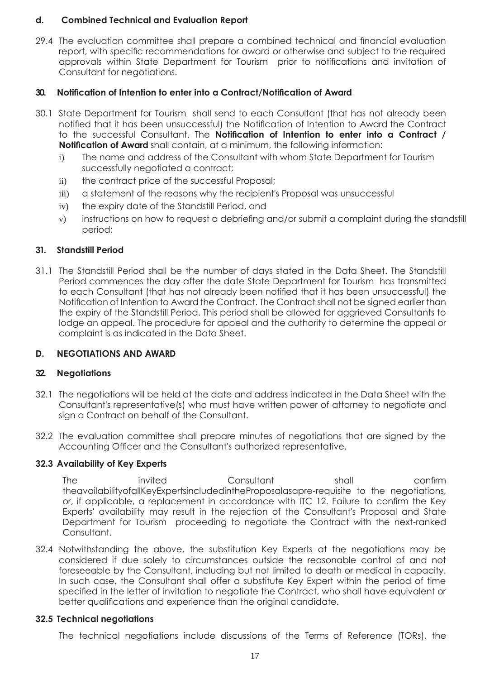#### **d. Combined Technical and Evaluation Report**

29.4 The evaluation committee shall prepare a combined technical and financial evaluation report, with specific recommendations for award or otherwise and subject to the required approvals within State Department for Tourism prior to notifications and invitation of Consultant for negotiations.

#### **30. Notification of Intention to enter into a Contract/Notification of Award**

- 30.1 State Department for Tourism shall send to each Consultant (that has not already been notified that it has been unsuccessful) the Notification of Intention to Award the Contract to the successful Consultant. The **Notification of Intention to enter into a Contract / Notification of Award** shall contain, at a minimum, the following information:
	- i) The name and address of the Consultant with whom State Department for Tourism successfully negotiated a contract;
	- ii) the contract price of the successful Proposal;
	- iii) a statement of the reasons why the recipient's Proposal was unsuccessful
	- iv) the expiry date of the Standstill Period, and
	- v) instructions on how to request a debriefing and/or submit a complaint during the standstill period;

#### **31. Standstill Period**

31.1 The Standstill Period shall be the number of days stated in the Data Sheet. The Standstill Period commences the day after the date State Department for Tourism has transmitted to each Consultant (that has not already been notified that it has been unsuccessful) the Notification of Intention to Award the Contract. The Contract shall not be signed earlier than the expiry of the Standstill Period. This period shall be allowed for aggrieved Consultants to lodge an appeal. The procedure for appeal and the authority to determine the appeal or complaint is as indicated in the Data Sheet.

#### **D. NEGOTIATIONS AND AWARD**

#### **32. Negotiations**

- 32.1 The negotiations will be held at the date and address indicated in the Data Sheet with the Consultant's representative(s) who must have written power of attorney to negotiate and sign a Contract on behalf of the Consultant.
- 32.2 The evaluation committee shall prepare minutes of negotiations that are signed by the Accounting Officer and the Consultant's authorized representative.

#### **32.3 Availability of Key Experts**

The invited Consultant shall confirm theavailabilityofallKeyExpertsincludedintheProposalasapre-requisite to the negotiations, or, if applicable, a replacement in accordance with ITC 12. Failure to confirm the Key Experts' availability may result in the rejection of the Consultant's Proposal and State Department for Tourism proceeding to negotiate the Contract with the next-ranked Consultant.

32.4 Notwithstanding the above, the substitution Key Experts at the negotiations may be considered if due solely to circumstances outside the reasonable control of and not foreseeable by the Consultant, including but not limited to death or medical in capacity. In such case, the Consultant shall offer a substitute Key Expert within the period of time specified in the letter of invitation to negotiate the Contract, who shall have equivalent or better qualifications and experience than the original candidate.

#### **32.5 Technical negotiations**

The technical negotiations include discussions of the Terms of Reference (TORs), the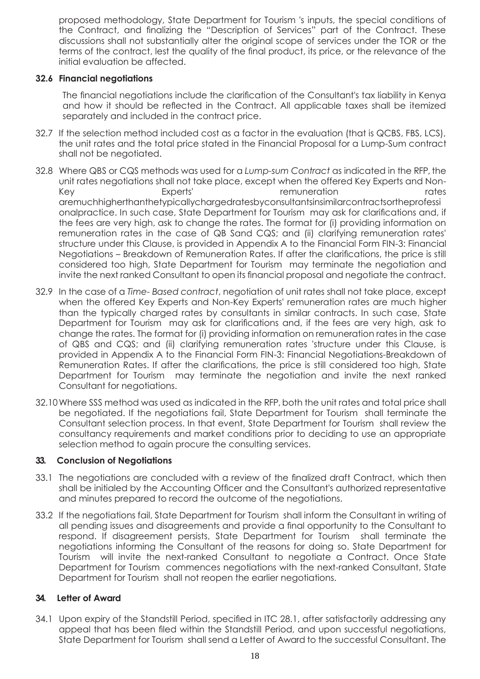proposed methodology, State Department for Tourism 's inputs, the special conditions of the Contract, and finalizing the "Description of Services" part of the Contract. These discussions shall not substantially alter the original scope of services under the TOR or the terms of the contract, lest the quality of the final product, its price, or the relevance of the initial evaluation be affected.

#### **32.6 Financial negotiations**

The financial negotiations include the clarification of the Consultant's tax liability in Kenya and how it should be reflected in the Contract. All applicable taxes shall be itemized separately and included in the contract price.

- 32.7 If the selection method included cost as a factor in the evaluation (that is QCBS, FBS, LCS), the unit rates and the total price stated in the Financial Proposal for a Lump-Sum contract shall not be negotiated.
- 32.8 Where QBS or CQS methods was used for a *Lump-sum Contract* as indicated in the RFP, the unit rates negotiations shall not take place, except when the offered Key Experts and Non-Key **Experts'** Experts' remuneration rates aremuchhigherthanthetypicallychargedratesbyconsultantsinsimilarcontractsortheprofessi onalpractice. In such case, State Department for Tourism may ask for clarifications and, if the fees are very high, ask to change the rates. The format for (i) providing information on remuneration rates in the case of QB Sand CQS; and (ii) clarifying remuneration rates' structure under this Clause, is provided in Appendix A to the Financial Form FIN-3: Financial Negotiations – Breakdown of Remuneration Rates. If after the clarifications, the price is still considered too high, State Department for Tourism may terminate the negotiation and invite the next ranked Consultant to open its financial proposal and negotiate the contract.
- 32.9 In the case of a *Time- Based contract*, negotiation of unit rates shall not take place, except when the offered Key Experts and Non-Key Experts' remuneration rates are much higher than the typically charged rates by consultants in similar contracts. In such case, State Department for Tourism may ask for clarifications and, if the fees are very high, ask to change the rates. The format for (i) providing information on remuneration rates in the case of QBS and CQS; and (ii) clarifying remuneration rates 'structure under this Clause, is provided in Appendix A to the Financial Form FIN-3: Financial Negotiations-Breakdown of Remuneration Rates. If after the clarifications, the price is still considered too high, State Department for Tourism may terminate the negotiation and invite the next ranked Consultant for negotiations.
- 32.10Where SSS method was used as indicated in the RFP, both the unit rates and total price shall be negotiated. If the negotiations fail, State Department for Tourism shall terminate the Consultant selection process. In that event, State Department for Tourism shall review the consultancy requirements and market conditions prior to deciding to use an appropriate selection method to again procure the consulting services.

#### **33. Conclusion of Negotiations**

- 33.1 The negotiations are concluded with a review of the finalized draft Contract, which then shall be initialed by the Accounting Officer and the Consultant's authorized representative and minutes prepared to record the outcome of the negotiations.
- 33.2 If the negotiations fail, State Department for Tourism shall inform the Consultant in writing of all pending issues and disagreements and provide a final opportunity to the Consultant to respond. If disagreement persists, State Department for Tourism shall terminate the negotiations informing the Consultant of the reasons for doing so. State Department for Tourism will invite the next-ranked Consultant to negotiate a Contract. Once State Department for Tourism commences negotiations with the next-ranked Consultant, State Department for Tourism shall not reopen the earlier negotiations.

#### **34. Letter of Award**

34.1 Upon expiry of the Standstill Period, specified in ITC 28.1, after satisfactorily addressing any appeal that has been filed within the Standstill Period, and upon successful negotiations, State Department for Tourism shall send a Letter of Award to the successful Consultant. The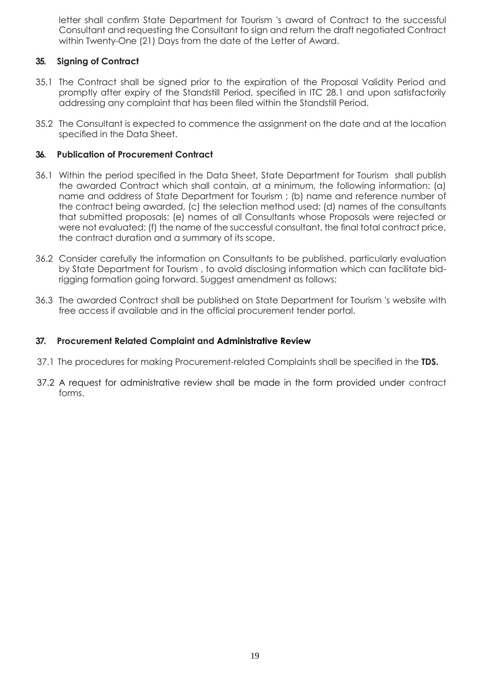letter shall confirm State Department for Tourism 's award of Contract to the successful Consultant and requesting the Consultant to sign and return the draft negotiated Contract within Twenty-One (21) Days from the date of the Letter of Award.

#### **35. Signing of Contract**

- 35.1 The Contract shall be signed prior to the expiration of the Proposal Validity Period and promptly after expiry of the Standstill Period, specified in ITC 28.1 and upon satisfactorily addressing any complaint that has been filed within the Standstill Period.
- 35.2 The Consultant is expected to commence the assignment on the date and at the location specified in the Data Sheet.

#### **36. Publication of Procurement Contract**

- 36.1 Within the period specified in the Data Sheet, State Department for Tourism shall publish the awarded Contract which shall contain, at a minimum, the following information: (a) name and address of State Department for Tourism ; (b) name and reference number of the contract being awarded, (c) the selection method used; (d) names of the consultants that submitted proposals; (e) names of all Consultants whose Proposals were rejected or were not evaluated; (f) the name of the successful consultant, the final total contract price, the contract duration and a summary of its scope.
- 36.2 Consider carefully the information on Consultants to be published, particularly evaluation by State Department for Tourism , to avoid disclosing information which can facilitate bidrigging formation going forward. Suggest amendment as follows:
- 36.3 The awarded Contract shall be published on State Department for Tourism 's website with free access if available and in the official procurement tender portal.

#### **37. Procurement Related Complaint and Administrative Review**

- 37.1 The procedures for making Procurement-related Complaints shall be specified in the **TDS.**
- 37.2 A request for administrative review shall be made in the form provided under contract forms.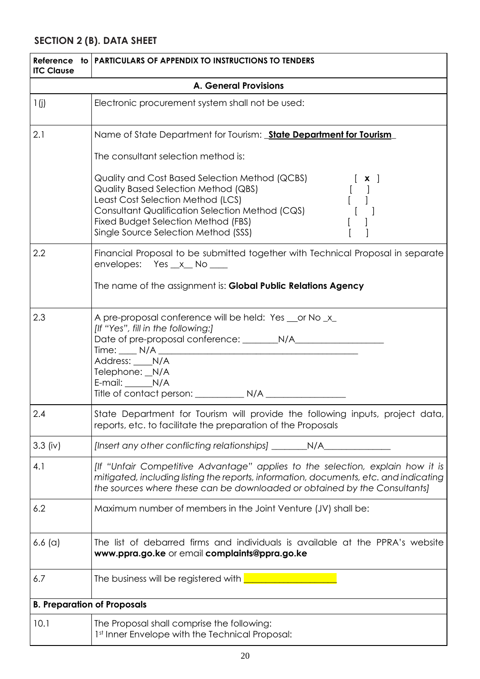# <span id="page-19-0"></span>**SECTION 2 (B). DATA SHEET**

| <b>ITC Clause</b>                  | Reference to PARTICULARS OF APPENDIX TO INSTRUCTIONS TO TENDERS                                                                                                                                                                                                                                                                                                                                                    |  |
|------------------------------------|--------------------------------------------------------------------------------------------------------------------------------------------------------------------------------------------------------------------------------------------------------------------------------------------------------------------------------------------------------------------------------------------------------------------|--|
|                                    | <b>A. General Provisions</b>                                                                                                                                                                                                                                                                                                                                                                                       |  |
| 1(j)                               | Electronic procurement system shall not be used:                                                                                                                                                                                                                                                                                                                                                                   |  |
| 2.1                                | Name of State Department for Tourism: <b>State Department for Tourism</b>                                                                                                                                                                                                                                                                                                                                          |  |
|                                    | The consultant selection method is:                                                                                                                                                                                                                                                                                                                                                                                |  |
|                                    | Quality and Cost Based Selection Method (QCBS)<br>$\left[\begin{array}{c} \mathbf{x} \end{array}\right]$<br>Quality Based Selection Method (QBS)<br>$\begin{bmatrix} 1 & 1 \\ 1 & 1 \end{bmatrix}$<br>Least Cost Selection Method (LCS)<br>Consultant Qualification Selection Method (CQS)<br>$\begin{bmatrix} 1 & 1 \end{bmatrix}$<br>Fixed Budget Selection Method (FBS)<br>Single Source Selection Method (SSS) |  |
| 2.2                                | Financial Proposal to be submitted together with Technical Proposal in separate<br>envelopes: Yes _x _ No ___                                                                                                                                                                                                                                                                                                      |  |
|                                    | The name of the assignment is: Global Public Relations Agency                                                                                                                                                                                                                                                                                                                                                      |  |
| 2.3                                | A pre-proposal conference will be held: Yes __ or No _x_<br>[If "Yes", fill in the following:]<br>Address: ____N/A<br>Telephone: _N/A<br>E-mail: N/A                                                                                                                                                                                                                                                               |  |
| 2.4                                | State Department for Tourism will provide the following inputs, project data,<br>reports, etc. to facilitate the preparation of the Proposals                                                                                                                                                                                                                                                                      |  |
| $3.3$ (iv)                         | [Insert any other conflicting relationships] ____________N/A_                                                                                                                                                                                                                                                                                                                                                      |  |
| 4.1                                | [If "Unfair Competitive Advantage" applies to the selection, explain how it is<br>mitigated, including listing the reports, information, documents, etc. and indicating<br>the sources where these can be downloaded or obtained by the Consultants]                                                                                                                                                               |  |
| 6.2                                | Maximum number of members in the Joint Venture (JV) shall be:                                                                                                                                                                                                                                                                                                                                                      |  |
| $6.6$ (a)                          | The list of debarred firms and individuals is available at the PPRA's website<br>www.ppra.go.ke or email complaints@ppra.go.ke                                                                                                                                                                                                                                                                                     |  |
| 6.7                                | The business will be registered with                                                                                                                                                                                                                                                                                                                                                                               |  |
| <b>B. Preparation of Proposals</b> |                                                                                                                                                                                                                                                                                                                                                                                                                    |  |
| 10.1                               | The Proposal shall comprise the following:<br>1st Inner Envelope with the Technical Proposal:                                                                                                                                                                                                                                                                                                                      |  |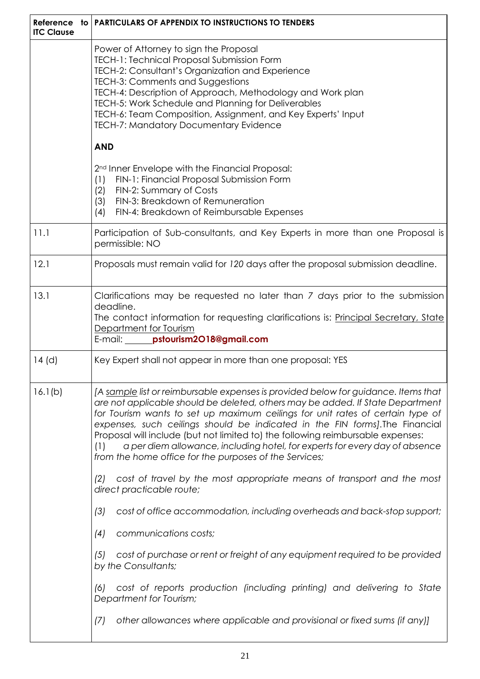| Reference to<br><b>ITC Clause</b> | <b>PARTICULARS OF APPENDIX TO INSTRUCTIONS TO TENDERS</b>                                                                                                                                                                                                                                                                                                                                                                                                                                                                                                                 |  |
|-----------------------------------|---------------------------------------------------------------------------------------------------------------------------------------------------------------------------------------------------------------------------------------------------------------------------------------------------------------------------------------------------------------------------------------------------------------------------------------------------------------------------------------------------------------------------------------------------------------------------|--|
|                                   | Power of Attorney to sign the Proposal<br>TECH-1: Technical Proposal Submission Form<br>TECH-2: Consultant's Organization and Experience<br>TECH-3: Comments and Suggestions<br>TECH-4: Description of Approach, Methodology and Work plan<br>TECH-5: Work Schedule and Planning for Deliverables<br>TECH-6: Team Composition, Assignment, and Key Experts' Input<br>TECH-7: Mandatory Documentary Evidence                                                                                                                                                               |  |
|                                   | <b>AND</b>                                                                                                                                                                                                                                                                                                                                                                                                                                                                                                                                                                |  |
|                                   | 2 <sup>nd</sup> Inner Envelope with the Financial Proposal:<br>FIN-1: Financial Proposal Submission Form<br>(1)<br>FIN-2: Summary of Costs<br>(2)<br>FIN-3: Breakdown of Remuneration<br>(3)<br>FIN-4: Breakdown of Reimbursable Expenses<br>(4)                                                                                                                                                                                                                                                                                                                          |  |
| 11.1                              | Participation of Sub-consultants, and Key Experts in more than one Proposal is<br>permissible: NO                                                                                                                                                                                                                                                                                                                                                                                                                                                                         |  |
| 12.1                              | Proposals must remain valid for 120 days after the proposal submission deadline.                                                                                                                                                                                                                                                                                                                                                                                                                                                                                          |  |
| 13.1                              | Clarifications may be requested no later than 7 days prior to the submission<br>deadline.<br>The contact information for requesting clarifications is: Principal Secretary, State<br>Department for Tourism<br>E-mail: <b>pstourism2018@gmail.com</b>                                                                                                                                                                                                                                                                                                                     |  |
| $14$ (d)                          | Key Expert shall not appear in more than one proposal: YES                                                                                                                                                                                                                                                                                                                                                                                                                                                                                                                |  |
| 16.1(b)                           | [A sample list or reimbursable expenses is provided below for guidance. Items that<br>are not applicable should be deleted, others may be added. If State Department<br>for Tourism wants to set up maximum ceilings for unit rates of certain type of<br>expenses, such ceilings should be indicated in the FIN forms]. The Financial<br>Proposal will include (but not limited to) the following reimbursable expenses:<br>a per diem allowance, including hotel, for experts for every day of absence<br>(1)<br>from the home office for the purposes of the Services; |  |
|                                   | cost of travel by the most appropriate means of transport and the most<br>(2)<br>direct practicable route;                                                                                                                                                                                                                                                                                                                                                                                                                                                                |  |
|                                   | cost of office accommodation, including overheads and back-stop support;<br>(3)                                                                                                                                                                                                                                                                                                                                                                                                                                                                                           |  |
|                                   | communications costs;<br>(4)                                                                                                                                                                                                                                                                                                                                                                                                                                                                                                                                              |  |
|                                   | cost of purchase or rent or freight of any equipment required to be provided<br>(5)<br>by the Consultants;                                                                                                                                                                                                                                                                                                                                                                                                                                                                |  |
|                                   | cost of reports production (including printing) and delivering to State<br>(6)<br>Department for Tourism;                                                                                                                                                                                                                                                                                                                                                                                                                                                                 |  |
|                                   | other allowances where applicable and provisional or fixed sums (if any)]<br>(7)                                                                                                                                                                                                                                                                                                                                                                                                                                                                                          |  |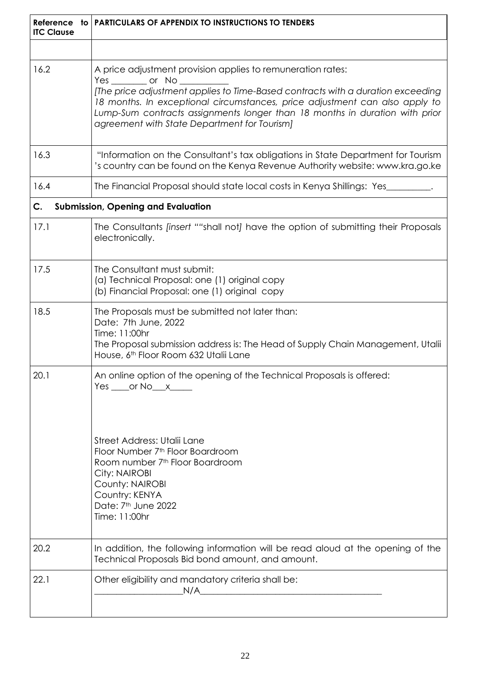| <b>ITC Clause</b> | Reference to   PARTICULARS OF APPENDIX TO INSTRUCTIONS TO TENDERS                                                                                                                                                                                                                                                                                                                      |  |  |
|-------------------|----------------------------------------------------------------------------------------------------------------------------------------------------------------------------------------------------------------------------------------------------------------------------------------------------------------------------------------------------------------------------------------|--|--|
|                   |                                                                                                                                                                                                                                                                                                                                                                                        |  |  |
| 16.2              | A price adjustment provision applies to remuneration rates:<br>Yes ________ or No ___<br>[The price adjustment applies to Time-Based contracts with a duration exceeding<br>18 months. In exceptional circumstances, price adjustment can also apply to<br>Lump-Sum contracts assignments longer than 18 months in duration with prior<br>agreement with State Department for Tourism] |  |  |
| 16.3              | "Information on the Consultant's tax obligations in State Department for Tourism<br>'s country can be found on the Kenya Revenue Authority website: www.kra.go.ke                                                                                                                                                                                                                      |  |  |
| 16.4              | The Financial Proposal should state local costs in Kenya Shillings: Yes___                                                                                                                                                                                                                                                                                                             |  |  |
| C.                | <b>Submission, Opening and Evaluation</b>                                                                                                                                                                                                                                                                                                                                              |  |  |
| 17.1              | The Consultants [insert ""shall not] have the option of submitting their Proposals<br>electronically.                                                                                                                                                                                                                                                                                  |  |  |
| 17.5              | The Consultant must submit:<br>(a) Technical Proposal: one (1) original copy<br>(b) Financial Proposal: one (1) original copy                                                                                                                                                                                                                                                          |  |  |
| 18.5              | The Proposals must be submitted not later than:<br>Date: 7th June, 2022<br>Time: 11:00hr<br>The Proposal submission address is: The Head of Supply Chain Management, Utalii<br>House, 6th Floor Room 632 Utalii Lane                                                                                                                                                                   |  |  |
| 20.1              | An online option of the opening of the Technical Proposals is offered:<br>$Yes$ _____or $No$ ___ $x$ _______<br>Street Address: Utalii Lane<br>Floor Number 7 <sup>th</sup> Floor Boardroom<br>Room number 7 <sup>th</sup> Floor Boardroom<br>City: NAIROBI<br>County: NAIROBI<br>Country: KENYA<br>Date: 7 <sup>th</sup> June 2022<br>Time: 11:00hr                                   |  |  |
| 20.2              | In addition, the following information will be read aloud at the opening of the<br>Technical Proposals Bid bond amount, and amount.                                                                                                                                                                                                                                                    |  |  |
| 22.1              | Other eligibility and mandatory criteria shall be:<br>N/A<br><u> 1980 - Jan Barbara, manazarta da kasas da kasas da kasas da kasas da kasas da kasas da kasas da kasas da kasa</u>                                                                                                                                                                                                     |  |  |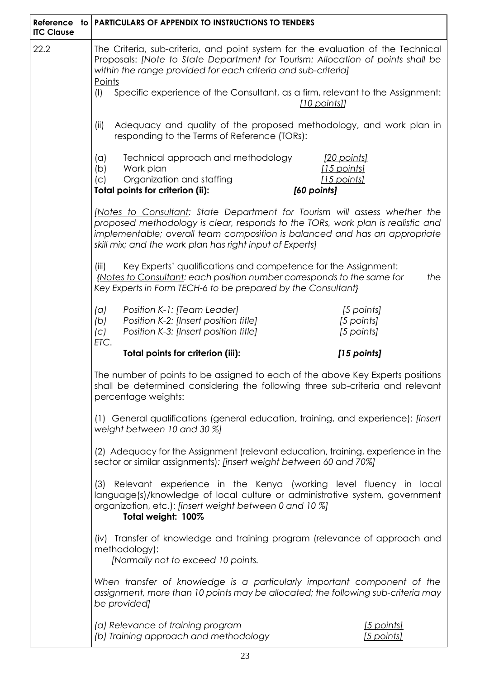| <b>ITC Clause</b>                                                                                                                                                                                                                                                                                                                                                                              | Reference to   PARTICULARS OF APPENDIX TO INSTRUCTIONS TO TENDERS                                                                                                                                                                                                                                       |  |
|------------------------------------------------------------------------------------------------------------------------------------------------------------------------------------------------------------------------------------------------------------------------------------------------------------------------------------------------------------------------------------------------|---------------------------------------------------------------------------------------------------------------------------------------------------------------------------------------------------------------------------------------------------------------------------------------------------------|--|
| 22.2                                                                                                                                                                                                                                                                                                                                                                                           | The Criteria, sub-criteria, and point system for the evaluation of the Technical<br>Proposals: [Note to State Department for Tourism: Allocation of points shall be<br>within the range provided for each criteria and sub-criteria]<br>Points                                                          |  |
|                                                                                                                                                                                                                                                                                                                                                                                                | Specific experience of the Consultant, as a firm, relevant to the Assignment:<br>(1)<br>[10 points]]                                                                                                                                                                                                    |  |
|                                                                                                                                                                                                                                                                                                                                                                                                | Adequacy and quality of the proposed methodology, and work plan in<br>(ii)<br>responding to the Terms of Reference (TORs):                                                                                                                                                                              |  |
|                                                                                                                                                                                                                                                                                                                                                                                                | Technical approach and methodology<br>(a)<br><u>[20 points]</u><br>[15 points]<br>Work plan<br>(b)<br>Organization and staffing<br>[15 points]<br>(C)<br>Total points for criterion (ii):<br>[60 points]                                                                                                |  |
|                                                                                                                                                                                                                                                                                                                                                                                                | [Notes to Consultant: State Department for Tourism will assess whether the<br>proposed methodology is clear, responds to the TORs, work plan is realistic and<br>implementable; overall team composition is balanced and has an appropriate<br>skill mix; and the work plan has right input of Experts] |  |
|                                                                                                                                                                                                                                                                                                                                                                                                | Key Experts' qualifications and competence for the Assignment:<br>(iii)<br>{Notes to Consultant: each position number corresponds to the same for<br>the<br>Key Experts in Form TECH-6 to be prepared by the Consultant}                                                                                |  |
|                                                                                                                                                                                                                                                                                                                                                                                                | Position K-1: [Team Leader]<br>(a)<br>[5 points]<br>Position K-2: [Insert position title]<br>[5 points]<br>(b)<br>Position K-3: [Insert position title]<br>[5 points]<br>(C)<br>ETC.                                                                                                                    |  |
|                                                                                                                                                                                                                                                                                                                                                                                                | Total points for criterion (iii):<br>[15 points]                                                                                                                                                                                                                                                        |  |
|                                                                                                                                                                                                                                                                                                                                                                                                | The number of points to be assigned to each of the above Key Experts positions<br>shall be determined considering the following three sub-criteria and relevant<br>percentage weights:                                                                                                                  |  |
|                                                                                                                                                                                                                                                                                                                                                                                                | (1) General qualifications (general education, training, and experience): <i>[insert</i> ]<br>weight between 10 and 30 %]                                                                                                                                                                               |  |
| (2) Adequacy for the Assignment (relevant education, training, experience in the<br>sector or similar assignments): [insert weight between 60 and 70%]<br>(3) Relevant experience in the Kenya (working level fluency in local<br>language(s)/knowledge of local culture or administrative system, government<br>organization, etc.): [insert weight between 0 and 10 %]<br>Total weight: 100% |                                                                                                                                                                                                                                                                                                         |  |
|                                                                                                                                                                                                                                                                                                                                                                                                |                                                                                                                                                                                                                                                                                                         |  |
|                                                                                                                                                                                                                                                                                                                                                                                                | When transfer of knowledge is a particularly important component of the<br>assignment, more than 10 points may be allocated; the following sub-criteria may<br>be provided]                                                                                                                             |  |
|                                                                                                                                                                                                                                                                                                                                                                                                | (a) Relevance of training program<br>[5 points]<br>(b) Training approach and methodology<br>[5 points]                                                                                                                                                                                                  |  |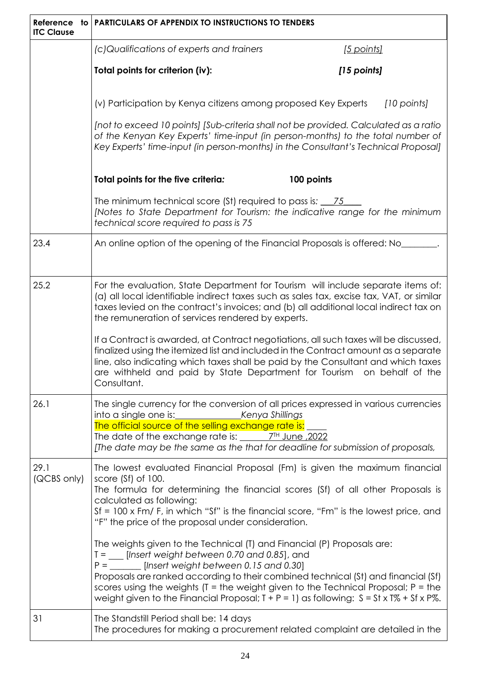| Reference to<br><b>ITC Clause</b> | <b>PARTICULARS OF APPENDIX TO INSTRUCTIONS TO TENDERS</b>                                                                                                                                                                                                                                                                                                                                                                                                                         |                                                                                                                                          |  |  |
|-----------------------------------|-----------------------------------------------------------------------------------------------------------------------------------------------------------------------------------------------------------------------------------------------------------------------------------------------------------------------------------------------------------------------------------------------------------------------------------------------------------------------------------|------------------------------------------------------------------------------------------------------------------------------------------|--|--|
|                                   | (c)Qualifications of experts and trainers<br>[5 points]                                                                                                                                                                                                                                                                                                                                                                                                                           |                                                                                                                                          |  |  |
|                                   | Total points for criterion (iv):                                                                                                                                                                                                                                                                                                                                                                                                                                                  | [15 points]                                                                                                                              |  |  |
|                                   | (v) Participation by Kenya citizens among proposed Key Experts                                                                                                                                                                                                                                                                                                                                                                                                                    | [10 points]                                                                                                                              |  |  |
|                                   | [not to exceed 10 points] [Sub-criteria shall not be provided. Calculated as a ratio<br>of the Kenyan Key Experts' time-input (in person-months) to the total number of<br>Key Experts' time-input (in person-months) in the Consultant's Technical Proposal]                                                                                                                                                                                                                     |                                                                                                                                          |  |  |
|                                   | 100 points<br>Total points for the five criteria:                                                                                                                                                                                                                                                                                                                                                                                                                                 |                                                                                                                                          |  |  |
|                                   | technical score required to pass is 75                                                                                                                                                                                                                                                                                                                                                                                                                                            | The minimum technical score (St) required to pass is: 15<br>[Notes to State Department for Tourism: the indicative range for the minimum |  |  |
| 23.4                              | An online option of the opening of the Financial Proposals is offered: No_                                                                                                                                                                                                                                                                                                                                                                                                        |                                                                                                                                          |  |  |
| 25.2                              | For the evaluation, State Department for Tourism will include separate items of:<br>(a) all local identifiable indirect taxes such as sales tax, excise tax, VAT, or similar<br>taxes levied on the contract's invoices; and (b) all additional local indirect tax on<br>the remuneration of services rendered by experts.                                                                                                                                                        |                                                                                                                                          |  |  |
|                                   | If a Contract is awarded, at Contract negotiations, all such taxes will be discussed,<br>finalized using the itemized list and included in the Contract amount as a separate<br>line, also indicating which taxes shall be paid by the Consultant and which taxes<br>are withheld and paid by State Department for Tourism on behalf of the<br>Consultant.                                                                                                                        |                                                                                                                                          |  |  |
| 26.1                              | The single currency for the conversion of all prices expressed in various currencies<br>The official source of the selling exchange rate is:                                                                                                                                                                                                                                                                                                                                      |                                                                                                                                          |  |  |
|                                   | The date of the exchange rate is: $7H$ June , 2022<br>[The date may be the same as the that for deadline for submission of proposals,                                                                                                                                                                                                                                                                                                                                             |                                                                                                                                          |  |  |
| 29.1<br>(QCBS only)               | The lowest evaluated Financial Proposal (Fm) is given the maximum financial<br>score (Sf) of 100.<br>The formula for determining the financial scores (Sf) of all other Proposals is<br>calculated as following:<br>Sf = 100 x Fm/ F, in which "Sf" is the financial score, "Fm" is the lowest price, and<br>"F" the price of the proposal under consideration.                                                                                                                   |                                                                                                                                          |  |  |
|                                   | The weights given to the Technical (T) and Financial (P) Proposals are:<br>$T =$ [Insert weight between 0.70 and 0.85], and<br>$P =$ _________ [lnsert weight between 0.15 and 0.30]<br>Proposals are ranked according to their combined technical (St) and financial (Sf)<br>scores using the weights ( $T =$ the weight given to the Technical Proposal; $P =$ the<br>weight given to the Financial Proposal; $T + P = 1$ ) as following: $S = St \times T\% + Sf \times P\%$ . |                                                                                                                                          |  |  |
| 31                                | The Standstill Period shall be: 14 days                                                                                                                                                                                                                                                                                                                                                                                                                                           | The procedures for making a procurement related complaint are detailed in the                                                            |  |  |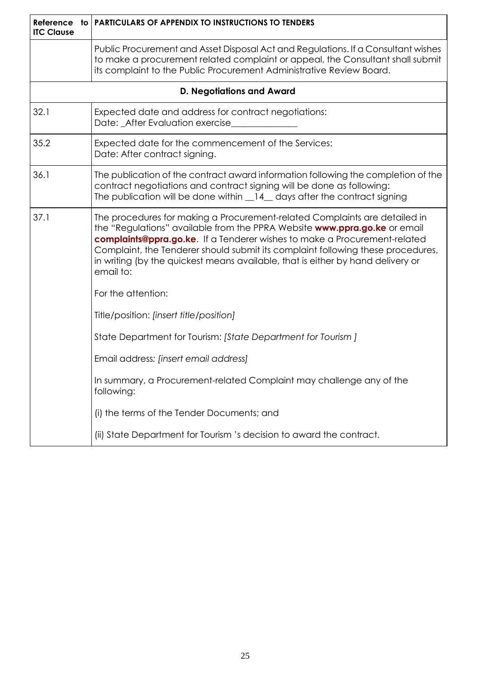| <b>ITC Clause</b> | Reference to PARTICULARS OF APPENDIX TO INSTRUCTIONS TO TENDERS                                                                                                                                                                                                                                                                                                                                                         |  |  |
|-------------------|-------------------------------------------------------------------------------------------------------------------------------------------------------------------------------------------------------------------------------------------------------------------------------------------------------------------------------------------------------------------------------------------------------------------------|--|--|
|                   | Public Procurement and Asset Disposal Act and Regulations. If a Consultant wishes<br>to make a procurement related complaint or appeal, the Consultant shall submit<br>its complaint to the Public Procurement Administrative Review Board.                                                                                                                                                                             |  |  |
|                   | <b>D. Negotiations and Award</b>                                                                                                                                                                                                                                                                                                                                                                                        |  |  |
| 32.1              | Expected date and address for contract negotiations:<br>Date: _After Evaluation exercise_                                                                                                                                                                                                                                                                                                                               |  |  |
| 35.2              | Expected date for the commencement of the Services:<br>Date: After contract signing.                                                                                                                                                                                                                                                                                                                                    |  |  |
| 36.1              | The publication of the contract award information following the completion of the<br>contract negotiations and contract signing will be done as following:<br>The publication will be done within _14_ days after the contract signing                                                                                                                                                                                  |  |  |
| 37.1              | The procedures for making a Procurement-related Complaints are detailed in<br>the "Regulations" available from the PPRA Website www.ppra.go.ke or email<br>complaints@ppra.go.ke. If a Tenderer wishes to make a Procurement-related<br>Complaint, the Tenderer should submit its complaint following these procedures,<br>in writing (by the quickest means available, that is either by hand delivery or<br>email to: |  |  |
|                   | For the attention:                                                                                                                                                                                                                                                                                                                                                                                                      |  |  |
|                   | Title/position: [insert title/position]                                                                                                                                                                                                                                                                                                                                                                                 |  |  |
|                   | State Department for Tourism: [State Department for Tourism]                                                                                                                                                                                                                                                                                                                                                            |  |  |
|                   | Email address: [insert email address]                                                                                                                                                                                                                                                                                                                                                                                   |  |  |
|                   | In summary, a Procurement-related Complaint may challenge any of the<br>following:                                                                                                                                                                                                                                                                                                                                      |  |  |
|                   | (i) the terms of the Tender Documents; and                                                                                                                                                                                                                                                                                                                                                                              |  |  |
|                   | (ii) State Department for Tourism 's decision to award the contract.                                                                                                                                                                                                                                                                                                                                                    |  |  |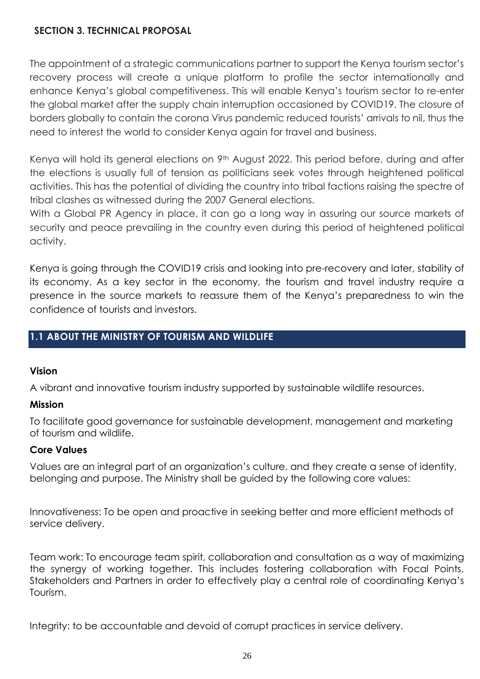### <span id="page-25-0"></span>**SECTION 3. TECHNICAL PROPOSAL**

The appointment of a strategic communications partner to support the Kenya tourism sector's recovery process will create a unique platform to profile the sector internationally and enhance Kenya's global competitiveness. This will enable Kenya's tourism sector to re-enter the global market after the supply chain interruption occasioned by COVID19. The closure of borders globally to contain the corona Virus pandemic reduced tourists' arrivals to nil, thus the need to interest the world to consider Kenya again for travel and business.

Kenya will hold its general elections on 9<sup>th</sup> August 2022. This period before, during and after the elections is usually full of tension as politicians seek votes through heightened political activities. This has the potential of dividing the country into tribal factions raising the spectre of tribal clashes as witnessed during the 2007 General elections.

With a Global PR Agency in place, it can go a long way in assuring our source markets of security and peace prevailing in the country even during this period of heightened political activity.

Kenya is going through the COVID19 crisis and looking into pre-recovery and later, stability of its economy. As a key sector in the economy, the tourism and travel industry require a presence in the source markets to reassure them of the Kenya's preparedness to win the confidence of tourists and investors.

## **1.1 ABOUT THE MINISTRY OF TOURISM AND WILDLIFE**

#### **Vision**

A vibrant and innovative tourism industry supported by sustainable wildlife resources.

#### **Mission**

To facilitate good governance for sustainable development, management and marketing of tourism and wildlife.

#### **Core Values**

Values are an integral part of an organization's culture, and they create a sense of identity, belonging and purpose. The Ministry shall be guided by the following core values:

Innovativeness: To be open and proactive in seeking better and more efficient methods of service delivery.

Team work: To encourage team spirit, collaboration and consultation as a way of maximizing the synergy of working together. This includes fostering collaboration with Focal Points, Stakeholders and Partners in order to effectively play a central role of coordinating Kenya's Tourism.

Integrity: to be accountable and devoid of corrupt practices in service delivery.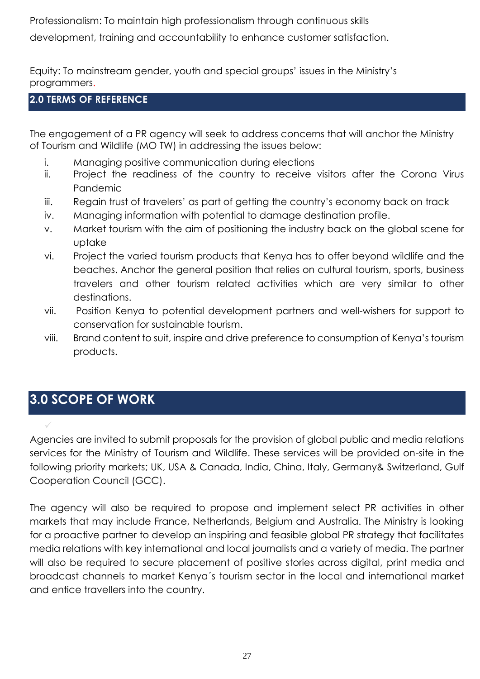Professionalism: To maintain high professionalism through continuous skills

development, training and accountability to enhance customer satisfaction.

Equity: To mainstream gender, youth and special groups' issues in the Ministry's programmers.

### **2.0 TERMS OF REFERENCE**

The engagement of a PR agency will seek to address concerns that will anchor the Ministry of Tourism and Wildlife (MO TW) in addressing the issues below:

- i. Managing positive communication during elections
- ii. Project the readiness of the country to receive visitors after the Corona Virus Pandemic
- iii. Regain trust of travelers' as part of getting the country's economy back on track
- iv. Managing information with potential to damage destination profile.
- v. Market tourism with the aim of positioning the industry back on the global scene for uptake
- vi. Project the varied tourism products that Kenya has to offer beyond wildlife and the beaches. Anchor the general position that relies on cultural tourism, sports, business travelers and other tourism related activities which are very similar to other destinations.
- vii. Position Kenya to potential development partners and well-wishers for support to conservation for sustainable tourism.
- viii. Brand content to suit, inspire and drive preference to consumption of Kenya's tourism products.

# **3.0 SCOPE OF WORK**

✓

Agencies are invited to submit proposals for the provision of global public and media relations services for the Ministry of Tourism and Wildlife. These services will be provided on-site in the following priority markets; UK, USA & Canada, India, China, Italy, Germany& Switzerland, Gulf Cooperation Council (GCC).

The agency will also be required to propose and implement select PR activities in other markets that may include France, Netherlands, Belgium and Australia. The Ministry is looking for a proactive partner to develop an inspiring and feasible global PR strategy that facilitates media relations with key international and local journalists and a variety of media. The partner will also be required to secure placement of positive stories across digital, print media and broadcast channels to market Kenya´s tourism sector in the local and international market and entice travellers into the country.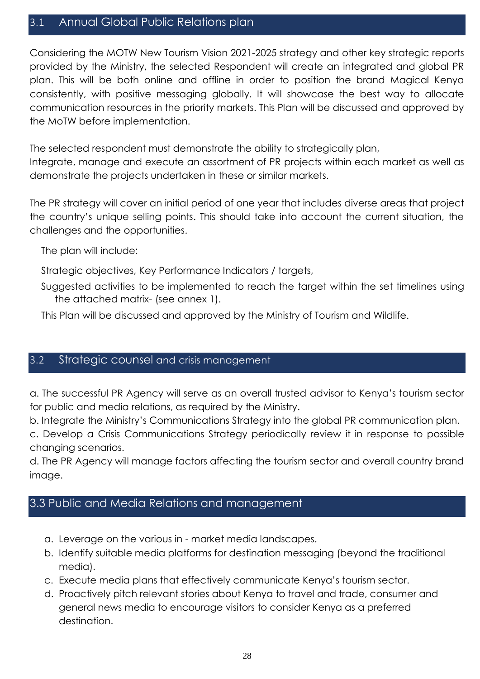## 3.1 Annual Global Public Relations plan

Considering the MOTW New Tourism Vision 2021-2025 strategy and other key strategic reports provided by the Ministry, the selected Respondent will create an integrated and global PR plan. This will be both online and offline in order to position the brand Magical Kenya consistently, with positive messaging globally. It will showcase the best way to allocate communication resources in the priority markets. This Plan will be discussed and approved by the MoTW before implementation.

The selected respondent must demonstrate the ability to strategically plan,

Integrate, manage and execute an assortment of PR projects within each market as well as demonstrate the projects undertaken in these or similar markets.

The PR strategy will cover an initial period of one year that includes diverse areas that project the country's unique selling points. This should take into account the current situation, the challenges and the opportunities.

The plan will include:

Strategic objectives, Key Performance Indicators / targets,

Suggested activities to be implemented to reach the target within the set timelines using the attached matrix- (see annex 1).

This Plan will be discussed and approved by the Ministry of Tourism and Wildlife.

### 3.2 Strategic counsel and crisis management

a. The successful PR Agency will serve as an overall trusted advisor to Kenya's tourism sector for public and media relations, as required by the Ministry.

b. Integrate the Ministry's Communications Strategy into the global PR communication plan.

c. Develop a Crisis Communications Strategy periodically review it in response to possible changing scenarios.

d. The PR Agency will manage factors affecting the tourism sector and overall country brand image.

## 3.3 Public and Media Relations and management

- a. Leverage on the various in market media landscapes.
- b. Identify suitable media platforms for destination messaging (beyond the traditional media).
- c. Execute media plans that effectively communicate Kenya's tourism sector.
- d. Proactively pitch relevant stories about Kenya to travel and trade, consumer and general news media to encourage visitors to consider Kenya as a preferred destination.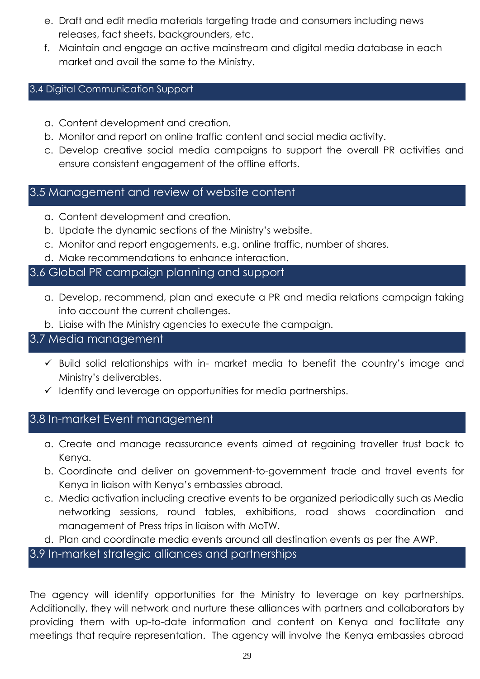- e. Draft and edit media materials targeting trade and consumers including news releases, fact sheets, backgrounders, etc.
- f. Maintain and engage an active mainstream and digital media database in each market and avail the same to the Ministry.

### 3.4 Digital Communication Support

- a. Content development and creation.
- b. Monitor and report on online traffic content and social media activity.
- c. Develop creative social media campaigns to support the overall PR activities and ensure consistent engagement of the offline efforts.

## 3.5 Management and review of website content

- a. Content development and creation.
- b. Update the dynamic sections of the Ministry's website.
- c. Monitor and report engagements, e.g. online traffic, number of shares.
- d. Make recommendations to enhance interaction.

## 3.6 Global PR campaign planning and support

- a. Develop, recommend, plan and execute a PR and media relations campaign taking into account the current challenges.
- b. Liaise with the Ministry agencies to execute the campaign.

## 3.7 Media management

- $\checkmark$  Build solid relationships with in- market media to benefit the country's image and Ministry's deliverables.
- ✓ Identify and leverage on opportunities for media partnerships.

## 3.8 In-market Event management

- a. Create and manage reassurance events aimed at regaining traveller trust back to Kenya.
- b. Coordinate and deliver on government-to-government trade and travel events for Kenya in liaison with Kenya's embassies abroad.
- c. Media activation including creative events to be organized periodically such as Media networking sessions, round tables, exhibitions, road shows coordination and management of Press trips in liaison with MoTW.
- d. Plan and coordinate media events around all destination events as per the AWP.

3.9 In-market strategic alliances and partnerships

The agency will identify opportunities for the Ministry to leverage on key partnerships. Additionally, they will network and nurture these alliances with partners and collaborators by providing them with up-to-date information and content on Kenya and facilitate any meetings that require representation. The agency will involve the Kenya embassies abroad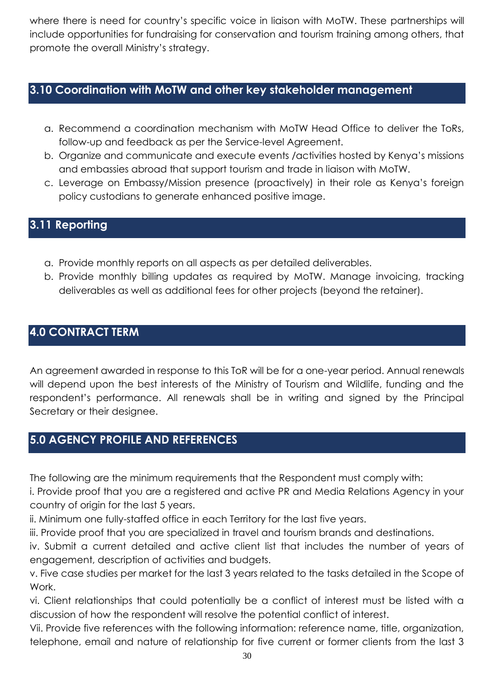where there is need for country's specific voice in liaison with MoTW. These partnerships will include opportunities for fundraising for conservation and tourism training among others, that promote the overall Ministry's strategy.

# **3.10 Coordination with MoTW and other key stakeholder management**

- a. Recommend a coordination mechanism with MoTW Head Office to deliver the ToRs, follow-up and feedback as per the Service-level Agreement.
- b. Organize and communicate and execute events /activities hosted by Kenya's missions and embassies abroad that support tourism and trade in liaison with MoTW.
- c. Leverage on Embassy/Mission presence (proactively) in their role as Kenya's foreign policy custodians to generate enhanced positive image.

# **3.11 Reporting**

- a. Provide monthly reports on all aspects as per detailed deliverables.
- b. Provide monthly billing updates as required by MoTW. Manage invoicing, tracking deliverables as well as additional fees for other projects (beyond the retainer).

# **4.0 CONTRACT TERM**

An agreement awarded in response to this ToR will be for a one-year period. Annual renewals will depend upon the best interests of the Ministry of Tourism and Wildlife, funding and the respondent's performance. All renewals shall be in writing and signed by the Principal Secretary or their designee.

## **5.0 AGENCY PROFILE AND REFERENCES**

The following are the minimum requirements that the Respondent must comply with:

i. Provide proof that you are a registered and active PR and Media Relations Agency in your country of origin for the last 5 years.

ii. Minimum one fully-staffed office in each Territory for the last five years.

iii. Provide proof that you are specialized in travel and tourism brands and destinations.

iv. Submit a current detailed and active client list that includes the number of years of engagement, description of activities and budgets.

v. Five case studies per market for the last 3 years related to the tasks detailed in the Scope of Work.

vi. Client relationships that could potentially be a conflict of interest must be listed with a discussion of how the respondent will resolve the potential conflict of interest.

Vii. Provide five references with the following information: reference name, title, organization, telephone, email and nature of relationship for five current or former clients from the last 3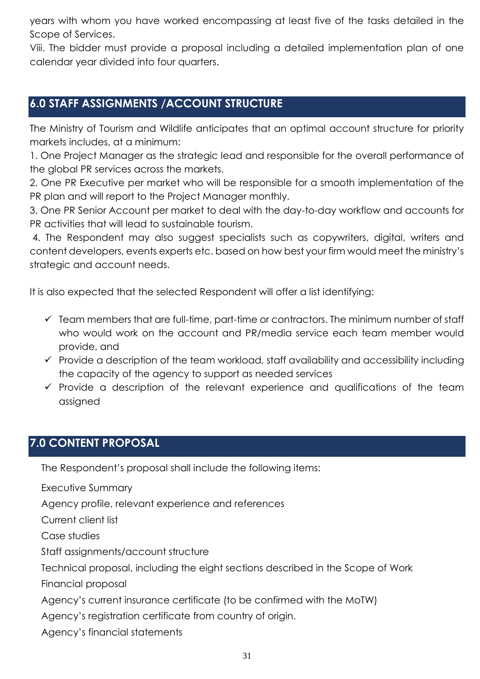years with whom you have worked encompassing at least five of the tasks detailed in the Scope of Services.

Viii. The bidder must provide a proposal including a detailed implementation plan of one calendar year divided into four quarters.

# **6.0 STAFF ASSIGNMENTS /ACCOUNT STRUCTURE**

The Ministry of Tourism and Wildlife anticipates that an optimal account structure for priority markets includes, at a minimum:

1. One Project Manager as the strategic lead and responsible for the overall performance of the global PR services across the markets.

2. One PR Executive per market who will be responsible for a smooth implementation of the PR plan and will report to the Project Manager monthly.

3. One PR Senior Account per market to deal with the day-to-day workflow and accounts for PR activities that will lead to sustainable tourism.

4. The Respondent may also suggest specialists such as copywriters, digital, writers and content developers, events experts etc. based on how best your firm would meet the ministry's strategic and account needs.

It is also expected that the selected Respondent will offer a list identifying:

- $\checkmark$  Team members that are full-time, part-time or contractors. The minimum number of staff who would work on the account and PR/media service each team member would provide, and
- ✓ Provide a description of the team workload, staff availability and accessibility including the capacity of the agency to support as needed services
- $\checkmark$  Provide a description of the relevant experience and qualifications of the team assigned

## **7.0 CONTENT PROPOSAL**

The Respondent's proposal shall include the following items:

Executive Summary

Agency profile, relevant experience and references

Current client list

Case studies

Staff assignments/account structure

Technical proposal, including the eight sections described in the Scope of Work

Financial proposal

Agency's current insurance certificate (to be confirmed with the MoTW)

Agency's registration certificate from country of origin.

Agency's financial statements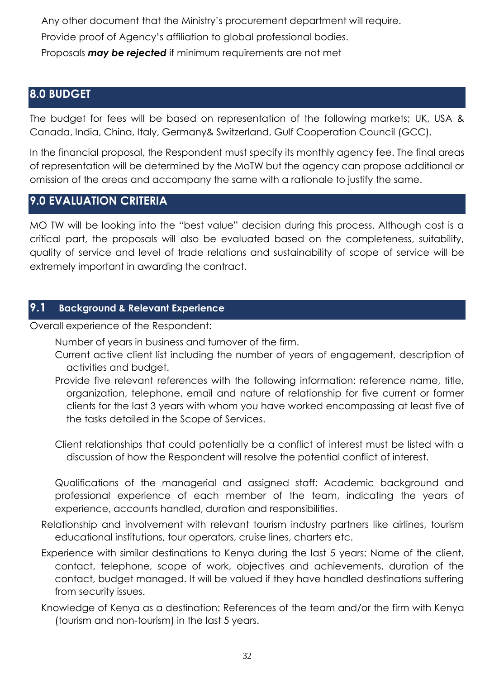Any other document that the Ministry's procurement department will require. Provide proof of Agency's affiliation to global professional bodies. Proposals *may be rejected* if minimum requirements are not met

## **8.0 BUDGET**

The budget for fees will be based on representation of the following markets; UK, USA & Canada, India, China, Italy, Germany& Switzerland, Gulf Cooperation Council (GCC).

In the financial proposal, the Respondent must specify its monthly agency fee. The final areas of representation will be determined by the MoTW but the agency can propose additional or omission of the areas and accompany the same with a rationale to justify the same.

## **9.0 EVALUATION CRITERIA**

MO TW will be looking into the "best value" decision during this process. Although cost is a critical part, the proposals will also be evaluated based on the completeness, suitability, quality of service and level of trade relations and sustainability of scope of service will be extremely important in awarding the contract.

### **9.1 Background & Relevant Experience**

Overall experience of the Respondent:

- Number of years in business and turnover of the firm.
- Current active client list including the number of years of engagement, description of activities and budget.
- Provide five relevant references with the following information: reference name, title, organization, telephone, email and nature of relationship for five current or former clients for the last 3 years with whom you have worked encompassing at least five of the tasks detailed in the Scope of Services.
- Client relationships that could potentially be a conflict of interest must be listed with a discussion of how the Respondent will resolve the potential conflict of interest.

Qualifications of the managerial and assigned staff: Academic background and professional experience of each member of the team, indicating the years of experience, accounts handled, duration and responsibilities.

- Relationship and involvement with relevant tourism industry partners like airlines, tourism educational institutions, tour operators, cruise lines, charters etc.
- Experience with similar destinations to Kenya during the last 5 years: Name of the client, contact, telephone, scope of work, objectives and achievements, duration of the contact, budget managed. It will be valued if they have handled destinations suffering from security issues.
- Knowledge of Kenya as a destination: References of the team and/or the firm with Kenya (tourism and non-tourism) in the last 5 years.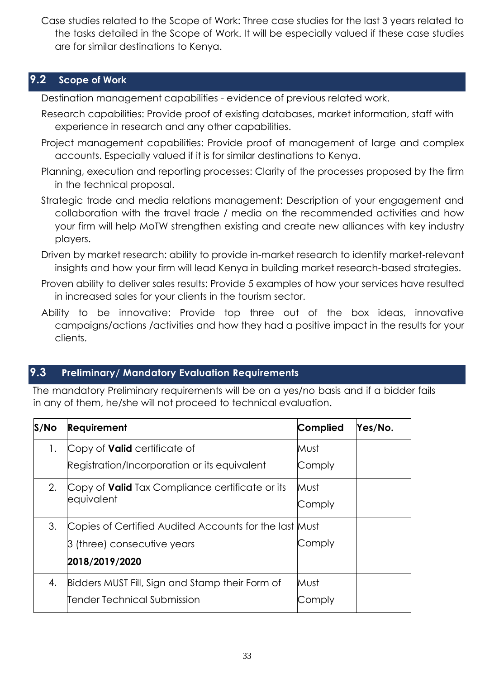Case studies related to the Scope of Work: Three case studies for the last 3 years related to the tasks detailed in the Scope of Work. It will be especially valued if these case studies are for similar destinations to Kenya.

## **9.2 Scope of Work**

Destination management capabilities - evidence of previous related work.

- Research capabilities: Provide proof of existing databases, market information, staff with experience in research and any other capabilities.
- Project management capabilities: Provide proof of management of large and complex accounts. Especially valued if it is for similar destinations to Kenya.
- Planning, execution and reporting processes: Clarity of the processes proposed by the firm in the technical proposal.
- Strategic trade and media relations management: Description of your engagement and collaboration with the travel trade / media on the recommended activities and how your firm will help MoTW strengthen existing and create new alliances with key industry players.
- Driven by market research: ability to provide in-market research to identify market-relevant insights and how your firm will lead Kenya in building market research-based strategies.
- Proven ability to deliver sales results: Provide 5 examples of how your services have resulted in increased sales for your clients in the tourism sector.
- Ability to be innovative: Provide top three out of the box ideas, innovative campaigns/actions /activities and how they had a positive impact in the results for your clients.

## **9.3 Preliminary/ Mandatory Evaluation Requirements**

The mandatory Preliminary requirements will be on a yes/no basis and if a bidder fails in any of them, he/she will not proceed to technical evaluation.

| $S/N$ o | <b>Requirement</b>                                                   | Complied       | Yes/No. |
|---------|----------------------------------------------------------------------|----------------|---------|
| 1.      | Copy of <b>Valid</b> certificate of                                  | Must           |         |
|         | Registration/Incorporation or its equivalent                         | Comply         |         |
| 2.      | Copy of <b>Valid</b> Tax Compliance certificate or its<br>equivalent | Must<br>Comply |         |
| 3.      | Copies of Certified Audited Accounts for the last Must               |                |         |
|         | <b>3 (three) consecutive years</b>                                   | Comply         |         |
|         | 2018/2019/2020                                                       |                |         |
| 4.      | Bidders MUST Fill, Sign and Stamp their Form of                      | Must           |         |
|         | Tender Technical Submission                                          | Comply         |         |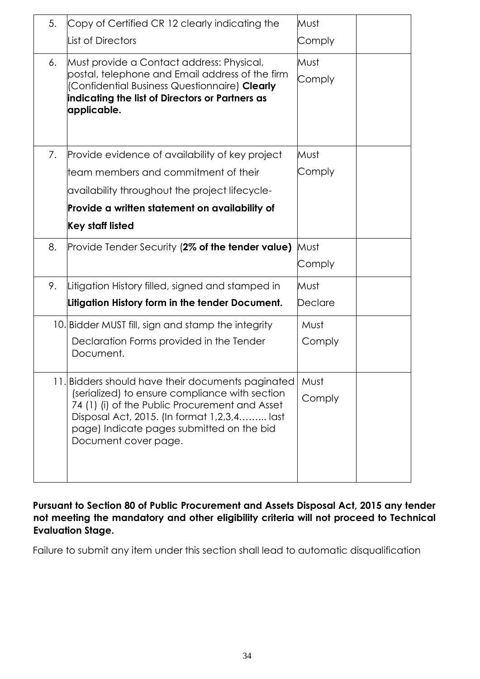| 5. | Copy of Certified CR 12 clearly indicating the                                                   | Must    |
|----|--------------------------------------------------------------------------------------------------|---------|
|    | <b>List of Directors</b>                                                                         | Comply  |
| 6. | Must provide a Contact address: Physical,                                                        | Must    |
|    | postal, telephone and Email address of the firm<br>(Confidential Business Questionnaire) Clearly | Comply  |
|    | indicating the list of Directors or Partners as                                                  |         |
|    | applicable.                                                                                      |         |
|    |                                                                                                  |         |
| 7. | Provide evidence of availability of key project                                                  | Must    |
|    | team members and commitment of their                                                             | Comply  |
|    | availability throughout the project lifecycle-                                                   |         |
|    | Provide a written statement on availability of                                                   |         |
|    | <b>Key staff listed</b>                                                                          |         |
| 8. | Provide Tender Security (2% of the tender value)                                                 | Must    |
|    |                                                                                                  | Comply  |
| 9. | Litigation History filled, signed and stamped in                                                 | Must    |
|    | Litigation History form in the tender Document.                                                  | Declare |
|    | 10. Bidder MUST fill, sign and stamp the integrity                                               | Must    |
|    | Declaration Forms provided in the Tender                                                         | Comply  |
|    | Document.                                                                                        |         |
|    | 11. Bidders should have their documents paginated                                                | Must    |
|    | (serialized) to ensure compliance with section<br>74 (1) (i) of the Public Procurement and Asset | Comply  |
|    | Disposal Act, 2015. (In format 1,2,3,4 last                                                      |         |
|    | page) Indicate pages submitted on the bid<br>Document cover page.                                |         |
|    |                                                                                                  |         |
|    |                                                                                                  |         |
|    |                                                                                                  |         |

**Pursuant to Section 80 of Public Procurement and Assets Disposal Act, 2015 any tender not meeting the mandatory and other eligibility criteria will not proceed to Technical Evaluation Stage.** 

<span id="page-33-0"></span>Failure to submit any item under this section shall lead to automatic disqualification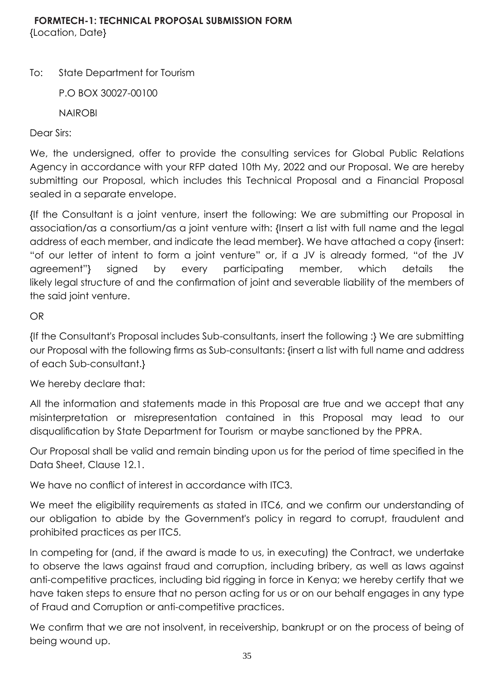To: State Department for Tourism

P.O BOX 30027-00100

NAIROBI

Dear Sirs:

We, the undersigned, offer to provide the consulting services for Global Public Relations Agency in accordance with your RFP dated 10th My, 2022 and our Proposal. We are hereby submitting our Proposal, which includes this Technical Proposal and a Financial Proposal sealed in a separate envelope.

{If the Consultant is a joint venture, insert the following: We are submitting our Proposal in association/as a consortium/as a joint venture with: {Insert a list with full name and the legal address of each member, and indicate the lead member}. We have attached a copy {insert: "of our letter of intent to form a joint venture" or, if a JV is already formed, "of the JV agreement"} signed by every participating member, which details the likely legal structure of and the confirmation of joint and severable liability of the members of the said joint venture.

## OR

{If the Consultant's Proposal includes Sub-consultants, insert the following :} We are submitting our Proposal with the following firms as Sub-consultants: {insert a list with full name and address of each Sub-consultant.}

We hereby declare that:

All the information and statements made in this Proposal are true and we accept that any misinterpretation or misrepresentation contained in this Proposal may lead to our disqualification by State Department for Tourism or maybe sanctioned by the PPRA.

Our Proposal shall be valid and remain binding upon us for the period of time specified in the Data Sheet, Clause 12.1.

We have no conflict of interest in accordance with ITC3.

We meet the eligibility requirements as stated in ITC6, and we confirm our understanding of our obligation to abide by the Government's policy in regard to corrupt, fraudulent and prohibited practices as per ITC5.

In competing for (and, if the award is made to us, in executing) the Contract, we undertake to observe the laws against fraud and corruption, including bribery, as well as laws against anti-competitive practices, including bid rigging in force in Kenya; we hereby certify that we have taken steps to ensure that no person acting for us or on our behalf engages in any type of Fraud and Corruption or anti-competitive practices.

We confirm that we are not insolvent, in receivership, bankrupt or on the process of being of being wound up.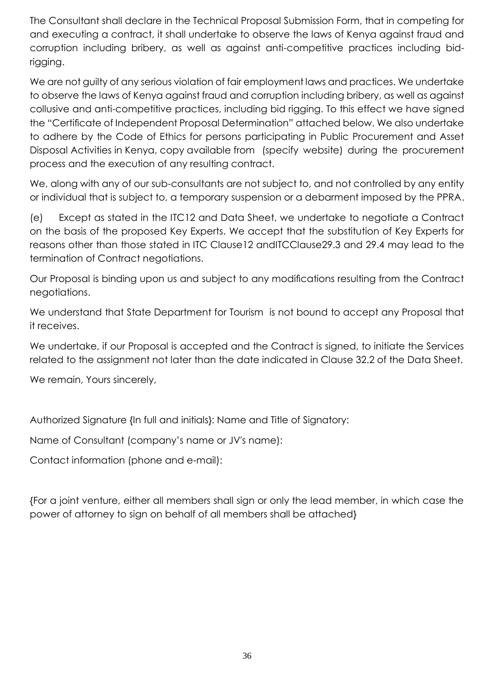The Consultant shall declare in the Technical Proposal Submission Form, that in competing for and executing a contract, it shall undertake to observe the laws of Kenya against fraud and corruption including bribery, as well as against anti-competitive practices including bidrigging.

We are not guilty of any serious violation of fair employment laws and practices. We undertake to observe the laws of Kenya against fraud and corruption including bribery, as well as against collusive and anti-competitive practices, including bid rigging. To this effect we have signed the "Certificate of Independent Proposal Determination" attached below. We also undertake to adhere by the Code of Ethics for persons participating in Public Procurement and Asset Disposal Activities in Kenya, copy available from (specify website) during the procurement process and the execution of any resulting contract.

We, along with any of our sub-consultants are not subject to, and not controlled by any entity or individual that is subject to, a temporary suspension or a debarment imposed by the PPRA.

(e) Except as stated in the ITC12 and Data Sheet, we undertake to negotiate a Contract on the basis of the proposed Key Experts. We accept that the substitution of Key Experts for reasons other than those stated in ITC Clause12 andITCClause29.3 and 29.4 may lead to the termination of Contract negotiations.

Our Proposal is binding upon us and subject to any modifications resulting from the Contract negotiations.

We understand that State Department for Tourism is not bound to accept any Proposal that it receives.

We undertake, if our Proposal is accepted and the Contract is signed, to initiate the Services related to the assignment not later than the date indicated in Clause 32.2 of the Data Sheet.

We remain, Yours sincerely,

Authorized Signature {In full and initials}: Name and Title of Signatory:

Name of Consultant (company's name or JV's name):

Contact information (phone and e-mail):

{For a joint venture, either all members shall sign or only the lead member, in which case the power of attorney to sign on behalf of all members shall be attached}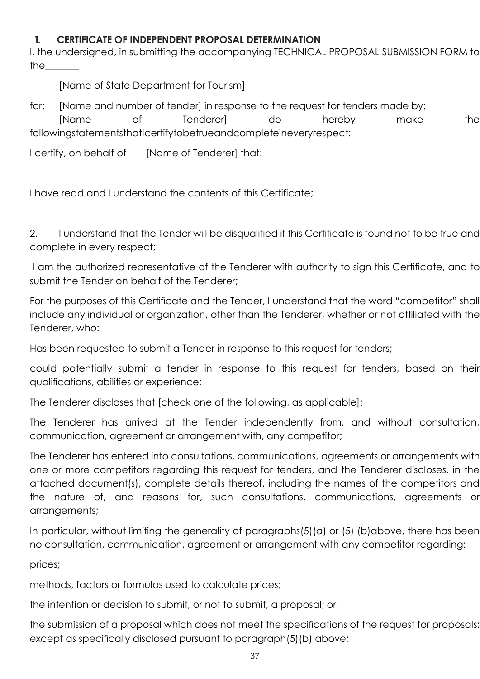# **1. CERTIFICATE OF INDEPENDENT PROPOSAL DETERMINATION**

I, the undersigned, in submitting the accompanying TECHNICAL PROPOSAL SUBMISSION FORM to the\_\_\_\_\_\_\_

[Name of State Department for Tourism]

for: [Name and number of tender] in response to the request for tenders made by: [Name of Tenderer] do hereby make the followingstatementsthatIcertifytobetrueandcompleteineveryrespect:

I certify, on behalf of [Name of Tenderer] that:

I have read and I understand the contents of this Certificate;

2. I understand that the Tender will be disqualified if this Certificate is found not to be true and complete in every respect;

I am the authorized representative of the Tenderer with authority to sign this Certificate, and to submit the Tender on behalf of the Tenderer;

For the purposes of this Certificate and the Tender, I understand that the word "competitor" shall include any individual or organization, other than the Tenderer, whether or not affiliated with the Tenderer, who:

Has been requested to submit a Tender in response to this request for tenders;

could potentially submit a tender in response to this request for tenders, based on their qualifications, abilities or experience;

The Tenderer discloses that [check one of the following, as applicable]:

The Tenderer has arrived at the Tender independently from, and without consultation, communication, agreement or arrangement with, any competitor;

The Tenderer has entered into consultations, communications, agreements or arrangements with one or more competitors regarding this request for tenders, and the Tenderer discloses, in the attached document(s), complete details thereof, including the names of the competitors and the nature of, and reasons for, such consultations, communications, agreements or arrangements;

In particular, without limiting the generality of paragraphs(5)(a) or (5) (b)above, there has been no consultation, communication, agreement or arrangement with any competitor regarding:

prices;

methods, factors or formulas used to calculate prices;

the intention or decision to submit, or not to submit, a proposal; or

the submission of a proposal which does not meet the specifications of the request for proposals; except as specifically disclosed pursuant to paragraph(5)(b) above;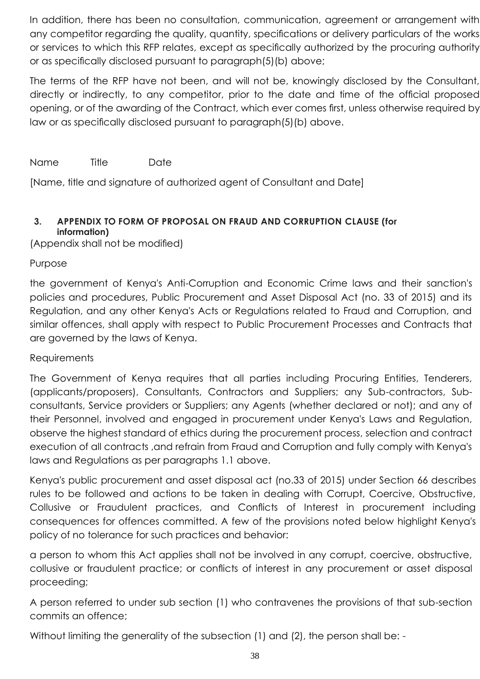In addition, there has been no consultation, communication, agreement or arrangement with any competitor regarding the quality, quantity, specifications or delivery particulars of the works or services to which this RFP relates, except as specifically authorized by the procuring authority or as specifically disclosed pursuant to paragraph(5)(b) above;

The terms of the RFP have not been, and will not be, knowingly disclosed by the Consultant, directly or indirectly, to any competitor, prior to the date and time of the official proposed opening, or of the awarding of the Contract, which ever comes first, unless otherwise required by law or as specifically disclosed pursuant to paragraph(5)(b) above.

Name Title Date

[Name, title and signature of authorized agent of Consultant and Date]

# **3. APPENDIX TO FORM OF PROPOSAL ON FRAUD AND CORRUPTION CLAUSE (for information)**

(Appendix shall not be modified)

# Purpose

the government of Kenya's Anti-Corruption and Economic Crime laws and their sanction's policies and procedures, Public Procurement and Asset Disposal Act (no. 33 of 2015) and its Regulation, and any other Kenya's Acts or Regulations related to Fraud and Corruption, and similar offences, shall apply with respect to Public Procurement Processes and Contracts that are governed by the laws of Kenya.

# **Requirements**

The Government of Kenya requires that all parties including Procuring Entities, Tenderers, (applicants/proposers), Consultants, Contractors and Suppliers; any Sub-contractors, Subconsultants, Service providers or Suppliers; any Agents (whether declared or not); and any of their Personnel, involved and engaged in procurement under Kenya's Laws and Regulation, observe the highest standard of ethics during the procurement process, selection and contract execution of all contracts, and refrain from Fraud and Corruption and fully comply with Kenya's laws and Regulations as per paragraphs 1.1 above.

Kenya's public procurement and asset disposal act (no.33 of 2015) under Section 66 describes rules to be followed and actions to be taken in dealing with Corrupt, Coercive, Obstructive, Collusive or Fraudulent practices, and Conflicts of Interest in procurement including consequences for offences committed. A few of the provisions noted below highlight Kenya's policy of no tolerance for such practices and behavior:

a person to whom this Act applies shall not be involved in any corrupt, coercive, obstructive, collusive or fraudulent practice; or conflicts of interest in any procurement or asset disposal proceeding;

A person referred to under sub section (1) who contravenes the provisions of that sub-section commits an offence;

Without limiting the generality of the subsection (1) and (2), the person shall be: -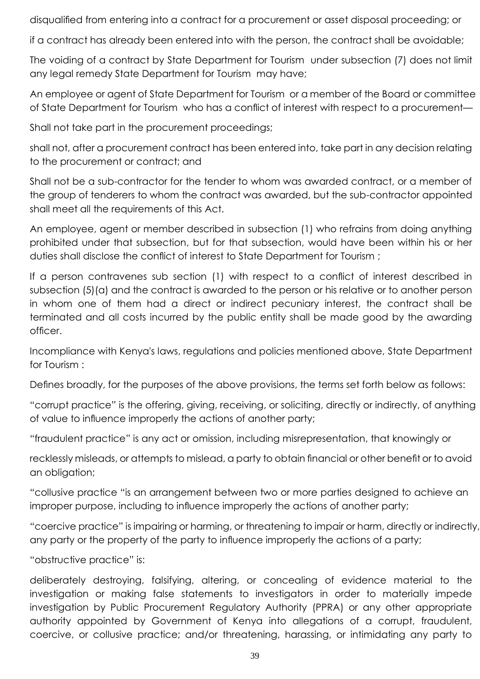disqualified from entering into a contract for a procurement or asset disposal proceeding; or

if a contract has already been entered into with the person, the contract shall be avoidable;

The voiding of a contract by State Department for Tourism under subsection (7) does not limit any legal remedy State Department for Tourism may have;

An employee or agent of State Department for Tourism or a member of the Board or committee of State Department for Tourism who has a conflict of interest with respect to a procurement—

Shall not take part in the procurement proceedings;

shall not, after a procurement contract has been entered into, take part in any decision relating to the procurement or contract; and

Shall not be a sub-contractor for the tender to whom was awarded contract, or a member of the group of tenderers to whom the contract was awarded, but the sub-contractor appointed shall meet all the requirements of this Act.

An employee, agent or member described in subsection (1) who refrains from doing anything prohibited under that subsection, but for that subsection, would have been within his or her duties shall disclose the conflict of interest to State Department for Tourism ;

If a person contravenes sub section (1) with respect to a conflict of interest described in subsection (5)(a) and the contract is awarded to the person or his relative or to another person in whom one of them had a direct or indirect pecuniary interest, the contract shall be terminated and all costs incurred by the public entity shall be made good by the awarding officer.

Incompliance with Kenya's laws, regulations and policies mentioned above, State Department for Tourism :

Defines broadly, for the purposes of the above provisions, the terms set forth below as follows:

"corrupt practice" is the offering, giving, receiving, or soliciting, directly or indirectly, of anything of value to influence improperly the actions of another party;

"fraudulent practice" is any act or omission, including misrepresentation, that knowingly or

recklessly misleads, or attempts to mislead, a party to obtain financial or other benefit or to avoid an obligation;

"collusive practice "is an arrangement between two or more parties designed to achieve an improper purpose, including to influence improperly the actions of another party;

"coercive practice" is impairing or harming, or threatening to impair or harm, directly or indirectly, any party or the property of the party to influence improperly the actions of a party;

"obstructive practice" is:

deliberately destroying, falsifying, altering, or concealing of evidence material to the investigation or making false statements to investigators in order to materially impede investigation by Public Procurement Regulatory Authority (PPRA) or any other appropriate authority appointed by Government of Kenya into allegations of a corrupt, fraudulent, coercive, or collusive practice; and/or threatening, harassing, or intimidating any party to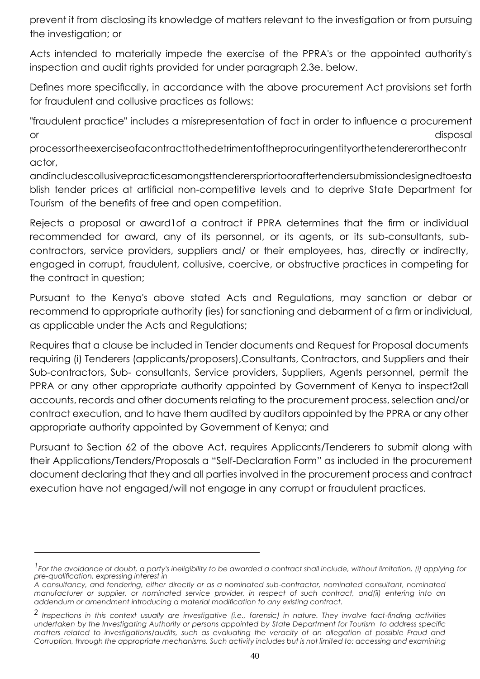prevent it from disclosing its knowledge of matters relevant to the investigation or from pursuing the investigation; or

Acts intended to materially impede the exercise of the PPRA's or the appointed authority's inspection and audit rights provided for under paragraph 2.3e. below.

Defines more specifically, in accordance with the above procurement Act provisions set forth for fraudulent and collusive practices as follows:

"fraudulent practice" includes a misrepresentation of fact in order to influence a procurement or disposal disposal disposal disposal disposal disposal disposal disposal disposal disposal disposal disposal

processortheexerciseofacontracttothedetrimentoftheprocuringentityorthetendererorthecontr actor,

andincludescollusivepracticesamongsttendererspriortooraftertendersubmissiondesignedtoesta blish tender prices at artificial non-competitive levels and to deprive State Department for Tourism of the benefits of free and open competition.

Rejects a proposal or award1of a contract if PPRA determines that the firm or individual recommended for award, any of its personnel, or its agents, or its sub-consultants, subcontractors, service providers, suppliers and/ or their employees, has, directly or indirectly, engaged in corrupt, fraudulent, collusive, coercive, or obstructive practices in competing for the contract in question;

Pursuant to the Kenya's above stated Acts and Regulations, may sanction or debar or recommend to appropriate authority (ies) for sanctioning and debarment of a firm or individual, as applicable under the Acts and Regulations;

Requires that a clause be included in Tender documents and Request for Proposal documents requiring (i) Tenderers (applicants/proposers),Consultants, Contractors, and Suppliers and their Sub-contractors, Sub- consultants, Service providers, Suppliers, Agents personnel, permit the PPRA or any other appropriate authority appointed by Government of Kenya to inspect2all accounts, records and other documents relating to the procurement process, selection and/or contract execution, and to have them audited by auditors appointed by the PPRA or any other appropriate authority appointed by Government of Kenya; and

Pursuant to Section 62 of the above Act, requires Applicants/Tenderers to submit along with their Applications/Tenders/Proposals a "Self-Declaration Form" as included in the procurement document declaring that they and all parties involved in the procurement process and contract execution have not engaged/will not engage in any corrupt or fraudulent practices.

<sup>&</sup>lt;sup>1</sup> For the avoidance of doubt, a party's ineligibility to be awarded a contract shall include, without limitation, (i) applying for *pre-qualification, expressing interest in*

*A consultancy, and tendering, either directly or as a nominated sub-contractor, nominated consultant, nominated manufacturer or supplier, or nominated service provider, in respect of such contract, and(ii) entering into an addendum or amendment introducing a material modification to any existing contract.*

*<sup>2</sup> Inspections in this context usually are investigative (i.e., forensic) in nature. They involve fact-finding activities undertaken by the Investigating Authority or persons appointed by State Department for Tourism to address specific matters related to investigations/audits, such as evaluating the veracity of an allegation of possible Fraud and Corruption, through the appropriate mechanisms. Such activity includes but is not limited to: accessing and examining*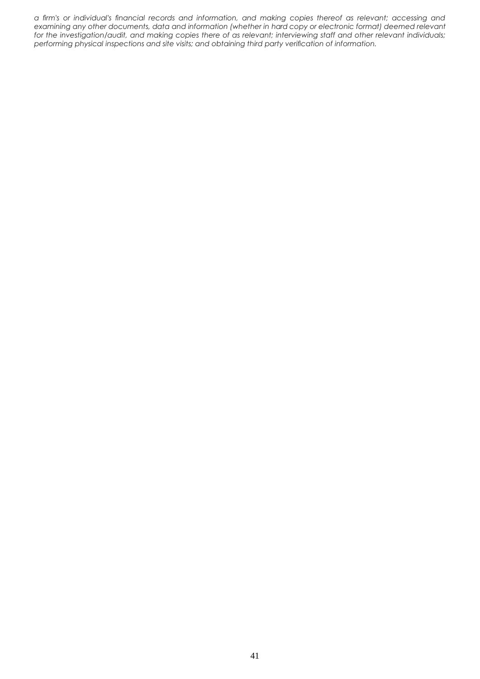*a firm's or individual's financial records and information, and making copies thereof as relevant; accessing and examining any other documents, data and information (whether in hard copy or electronic format) deemed relevant for the investigation/audit, and making copies there of as relevant; interviewing staff and other relevant individuals; performing physical inspections and site visits; and obtaining third party verification of information.*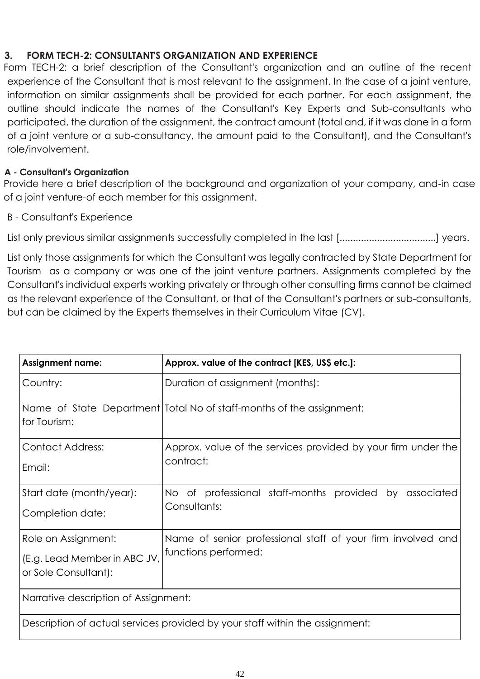# **3. FORM TECH-2: CONSULTANT'S ORGANIZATION AND EXPERIENCE**

Form TECH-2: a brief description of the Consultant's organization and an outline of the recent experience of the Consultant that is most relevant to the assignment. In the case of a joint venture, information on similar assignments shall be provided for each partner. For each assignment, the outline should indicate the names of the Consultant's Key Experts and Sub-consultants who participated, the duration of the assignment, the contract amount (total and, if it was done in a form of a joint venture or a sub-consultancy, the amount paid to the Consultant), and the Consultant's role/involvement.

# **A - Consultant's Organization**

Provide here a brief description of the background and organization of your company, and-in case of a joint venture-of each member for this assignment.

# B - Consultant's Experience

List only previous similar assignments successfully completed in the last [..................................] years.

List only those assignments for which the Consultant was legally contracted by State Department for Tourism as a company or was one of the joint venture partners. Assignments completed by the Consultant's individual experts working privately or through other consulting firms cannot be claimed as the relevant experience of the Consultant, or that of the Consultant's partners or sub-consultants, but can be claimed by the Experts themselves in their Curriculum Vitae (CV).

| <b>Assignment name:</b>                                                      | Approx. value of the contract [KES, US\$ etc.]:                                     |  |  |  |  |  |
|------------------------------------------------------------------------------|-------------------------------------------------------------------------------------|--|--|--|--|--|
| Country:                                                                     | Duration of assignment (months):                                                    |  |  |  |  |  |
| for Tourism:                                                                 | Name of State Department   Total No of staff-months of the assignment:              |  |  |  |  |  |
| <b>Contact Address:</b><br>Email:                                            | Approx. value of the services provided by your firm under the<br>contract:          |  |  |  |  |  |
| Start date (month/year):<br>Completion date:                                 | No of professional staff-months provided by associated<br>Consultants:              |  |  |  |  |  |
| Role on Assignment:<br>(E.g. Lead Member in ABC JV,<br>or Sole Consultant):  | Name of senior professional staff of your firm involved and<br>functions performed: |  |  |  |  |  |
| Narrative description of Assignment:                                         |                                                                                     |  |  |  |  |  |
| Description of actual services provided by your staff within the assignment: |                                                                                     |  |  |  |  |  |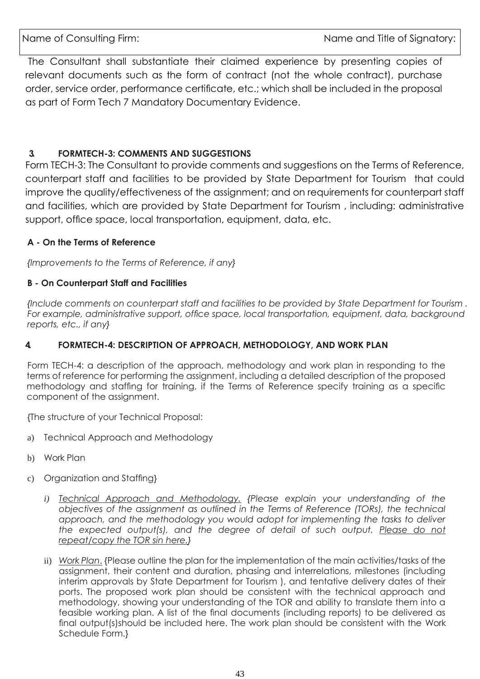The Consultant shall substantiate their claimed experience by presenting copies of relevant documents such as the form of contract (not the whole contract), purchase order, service order, performance certificate, etc.; which shall be included in the proposal as part of Form Tech 7 Mandatory Documentary Evidence.

# **3. FORMTECH-3: COMMENTS AND SUGGESTIONS**

Form TECH-3: The Consultant to provide comments and suggestions on the Terms of Reference, counterpart staff and facilities to be provided by State Department for Tourism that could improve the quality/effectiveness of the assignment; and on requirements for counterpart staff and facilities, which are provided by State Department for Tourism , including: administrative support, office space, local transportation, equipment, data, etc.

## **A - On the Terms of Reference**

*{Improvements to the Terms of Reference, if any}*

## **B - On Counterpart Staff and Facilities**

*{Include comments on counterpart staff and facilities to be provided by State Department for Tourism . For example, administrative support, office space, local transportation, equipment, data, background reports, etc., if any}*

## **4. FORMTECH-4: DESCRIPTION OF APPROACH, METHODOLOGY, AND WORK PLAN**

Form TECH-4: a description of the approach, methodology and work plan in responding to the terms of reference for performing the assignment, including a detailed description of the proposed methodology and staffing for training, if the Terms of Reference specify training as a specific component of the assignment.

{The structure of your Technical Proposal:

- a) Technical Approach and Methodology
- b) Work Plan
- c) Organization and Staffing}
	- *i) Technical Approach and Methodology. {Please explain your understanding of the objectives of the assignment as outlined in the Terms of Reference (TORs), the technical*  approach, and the methodology you would adopt for implementing the tasks to deliver the expected output(s), and the degree of detail of such output. Please do not *repeat/copy the TOR sin here.}*
	- ii) *Work Plan*. {Please outline the plan for the implementation of the main activities/tasks of the assignment, their content and duration, phasing and interrelations, milestones (including interim approvals by State Department for Tourism ), and tentative delivery dates of their ports. The proposed work plan should be consistent with the technical approach and methodology, showing your understanding of the TOR and ability to translate them into a feasible working plan. A list of the final documents (including reports) to be delivered as final output(s)should be included here. The work plan should be consistent with the Work Schedule Form.}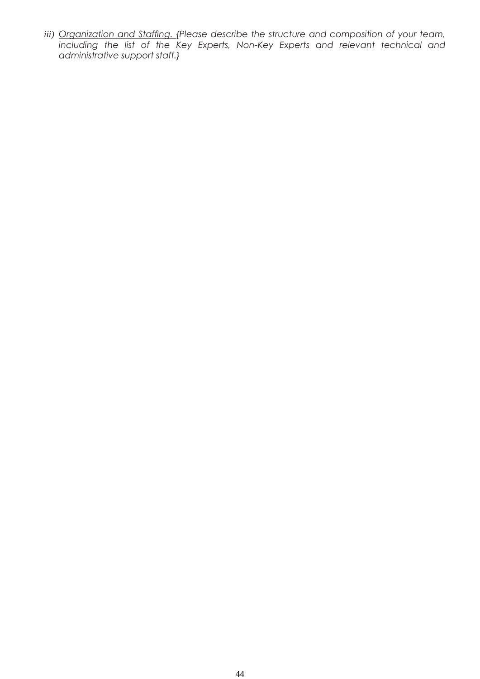*iii) Organization and Staffing. {Please describe the structure and composition of your team, including the list of the Key Experts, Non-Key Experts and relevant technical and administrative support staff.}*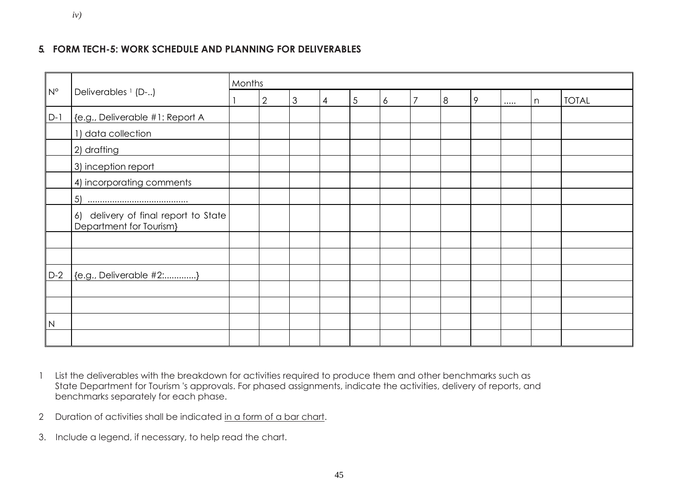## **5. FORM TECH-5: WORK SCHEDULE AND PLANNING FOR DELIVERABLES**

|             | Deliverables <sup>1</sup> (D-)                                  | Months |                |                |   |   |   |                |   |   |       |              |
|-------------|-----------------------------------------------------------------|--------|----------------|----------------|---|---|---|----------------|---|---|-------|--------------|
| $N^{\circ}$ |                                                                 |        | $\overline{2}$ | $\mathfrak{Z}$ | 4 | 5 | 6 | $\overline{7}$ | 8 | 9 | <br>n | <b>TOTAL</b> |
| $D-1$       | {e.g., Deliverable #1: Report A                                 |        |                |                |   |   |   |                |   |   |       |              |
|             | 1) data collection                                              |        |                |                |   |   |   |                |   |   |       |              |
|             | 2) drafting                                                     |        |                |                |   |   |   |                |   |   |       |              |
|             | 3) inception report                                             |        |                |                |   |   |   |                |   |   |       |              |
|             | 4) incorporating comments                                       |        |                |                |   |   |   |                |   |   |       |              |
|             | 5)                                                              |        |                |                |   |   |   |                |   |   |       |              |
|             | 6) delivery of final report to State<br>Department for Tourism} |        |                |                |   |   |   |                |   |   |       |              |
|             |                                                                 |        |                |                |   |   |   |                |   |   |       |              |
|             |                                                                 |        |                |                |   |   |   |                |   |   |       |              |
| $D-2$       | {e.g., Deliverable #2:}                                         |        |                |                |   |   |   |                |   |   |       |              |
|             |                                                                 |        |                |                |   |   |   |                |   |   |       |              |
|             |                                                                 |        |                |                |   |   |   |                |   |   |       |              |
| N           |                                                                 |        |                |                |   |   |   |                |   |   |       |              |
|             |                                                                 |        |                |                |   |   |   |                |   |   |       |              |

- 1 List the deliverables with the breakdown for activities required to produce them and other benchmarks such as State Department for Tourism 's approvals. For phased assignments, indicate the activities, delivery of reports, and benchmarks separately for each phase.
- 2 Duration of activities shall be indicated in a form of a bar chart.
- 3. Include a legend, if necessary, to help read the chart.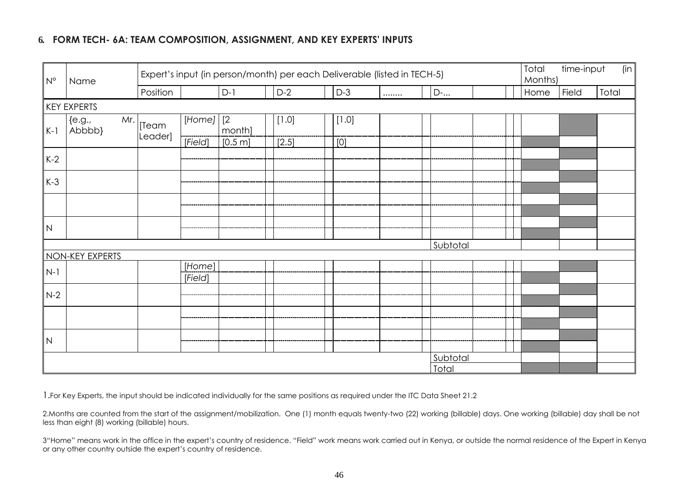# **6. FORM TECH- 6A: TEAM COMPOSITION, ASSIGNMENT, AND KEY EXPERTS' INPUTS**

| $N^{\circ}$ | Name                       | Expert's input (in person/month) per each Deliverable (listed in TECH-5) |                   |         |       |       |  |          | Total<br>Months) | time-input | (in   |       |
|-------------|----------------------------|--------------------------------------------------------------------------|-------------------|---------|-------|-------|--|----------|------------------|------------|-------|-------|
|             |                            | Position                                                                 |                   | $D-1$   | $D-2$ | $D-3$ |  | D-       |                  | Home       | Field | Total |
|             | KEY EXPERTS                |                                                                          |                   |         |       |       |  |          |                  |            |       |       |
| $K-1$       | ${e.g.,}$<br>Mr.<br>Abbbb} | [Team                                                                    | $[Home]$ $[2]$    | month]  | [1.0] | [1.0] |  |          |                  |            |       |       |
|             |                            | Leader]                                                                  | [Field]           | [0.5 m] | [2.5] | [0]   |  |          |                  |            |       |       |
| $K-2$       |                            |                                                                          |                   |         |       |       |  |          |                  |            |       |       |
| $K-3$       |                            |                                                                          |                   |         |       |       |  |          |                  |            |       |       |
|             |                            |                                                                          |                   |         |       |       |  |          |                  |            |       |       |
| N           |                            |                                                                          |                   |         |       |       |  |          |                  |            |       |       |
|             |                            |                                                                          |                   |         |       |       |  | Subtotal |                  |            |       |       |
|             | NON-KEY EXPERTS            |                                                                          |                   |         |       |       |  |          |                  |            |       |       |
| $N-1$       |                            |                                                                          | [Home]<br>[Field] |         |       |       |  |          |                  |            |       |       |
| $N-2$       |                            |                                                                          |                   |         |       |       |  |          |                  |            |       |       |
|             |                            |                                                                          |                   |         |       |       |  |          |                  |            |       |       |
| N           |                            |                                                                          |                   |         |       |       |  |          |                  |            |       |       |
|             |                            |                                                                          |                   |         |       |       |  | Subtotal |                  |            |       |       |
|             |                            |                                                                          |                   |         |       |       |  | Total    |                  |            |       |       |

1.For Key Experts, the input should be indicated individually for the same positions as required under the ITC Data Sheet 21.2

2.Months are counted from the start of the assignment/mobilization. One (1) month equals twenty-two (22) working (billable) days. One working (billable) day shall be not less than eight (8) working (billable) hours.

3"Home" means work in the office in the expert's country of residence. "Field" work means work carried out in Kenya, or outside the normal residence of the Expert in Kenya or any other country outside the expert's country of residence.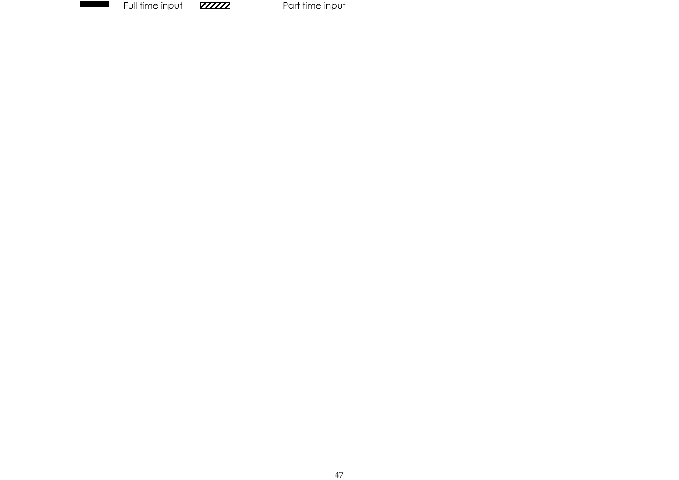

Full time input **PARA ARE ARE ARE A** Part time input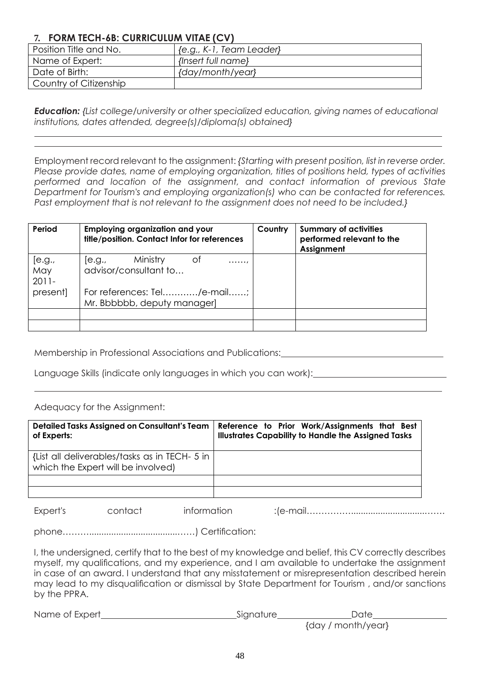# **7. FORM TECH-6B: CURRICULUM VITAE (CV)**

| Position Title and No. | {e.g., K-1, Team Leader} |
|------------------------|--------------------------|
| Name of Expert:        | {Insert full name}       |
| Date of Birth:         | {day/month/year}         |
| Country of Citizenship |                          |

*Education: {List college/university or other specialized education, giving names of educational institutions, dates attended, degree(s)/diploma(s) obtained}*

Employment record relevant to the assignment: *{Starting with present position, list in reverse order. Please provide dates, name of employing organization, titles of positions held, types of activities performed and location of the assignment, and contact information of previous State Department for Tourism's and employing organization(s) who can be contacted for references. Past employment that is not relevant to the assignment does not need to be included.}*

| Period                    | <b>Employing organization and your</b><br>title/position. Contact Infor for references | Country | <b>Summary of activities</b><br>performed relevant to the<br>Assignment |
|---------------------------|----------------------------------------------------------------------------------------|---------|-------------------------------------------------------------------------|
| [e.g.,<br>May<br>$2011 -$ | Ministry<br>of<br> e.g.,<br>. ,<br>advisor/consultant to                               |         |                                                                         |
| present]                  | For references: Tel/e-mail;<br>Mr. Bbbbbb, deputy manager]                             |         |                                                                         |
|                           |                                                                                        |         |                                                                         |
|                           |                                                                                        |         |                                                                         |

Membership in Professional Associations and Publications:

Language Skills (indicate only languages in which you can work):

Adequacy for the Assignment:

| Detailed Tasks Assigned on Consultant's Team<br>of Experts:                         | Reference to Prior Work/Assignments that Best<br><b>Illustrates Capability to Handle the Assigned Tasks</b> |
|-------------------------------------------------------------------------------------|-------------------------------------------------------------------------------------------------------------|
| {List all deliverables/tasks as in TECH- 5 in<br>which the Expert will be involved) |                                                                                                             |
|                                                                                     |                                                                                                             |
|                                                                                     |                                                                                                             |

Expert's contact information :(e-mail……………..............................…….

phone………....................................……) Certification:

I, the undersigned, certify that to the best of my knowledge and belief, this CV correctly describes myself, my qualifications, and my experience, and I am available to undertake the assignment in case of an award. I understand that any misstatement or misrepresentation described herein may lead to my disqualification or dismissal by State Department for Tourism , and/or sanctions by the PPRA.

| Name of Expert | Signature | Date               |
|----------------|-----------|--------------------|
|                |           | {day / month/year} |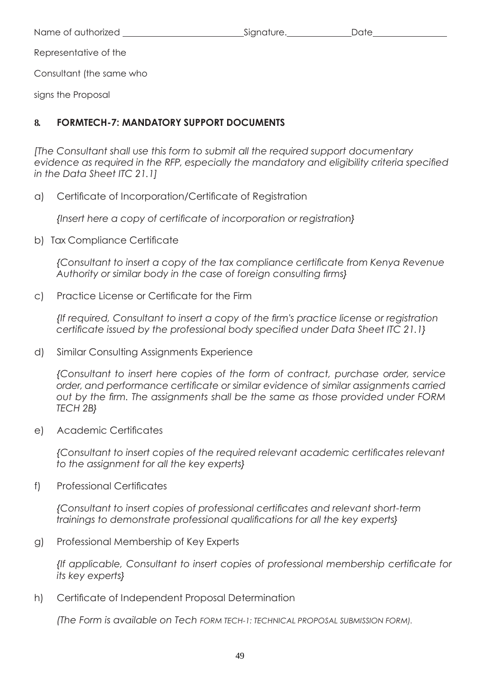Name of authorized and signature.

Representative of the

Consultant (the same who

signs the Proposal

# **8. FORMTECH-7: MANDATORY SUPPORT DOCUMENTS**

*[The Consultant shall use this form to submit all the required support documentary evidence as required in the RFP, especially the mandatory and eligibility criteria specified in the Data Sheet ITC 21.1]*

a) Certificate of Incorporation/Certificate of Registration

*{Insert here a copy of certificate of incorporation or registration}*

b) Tax Compliance Certificate

*{Consultant to insert a copy of the tax compliance certificate from Kenya Revenue Authority or similar body in the case of foreign consulting firms}*

c) Practice License or Certificate for the Firm

*{If required, Consultant to insert a copy of the firm's practice license or registration certificate issued by the professional body specified under Data Sheet ITC 21.1}*

d) Similar Consulting Assignments Experience

*{Consultant to insert here copies of the form of contract, purchase order, service order, and performance certificate or similar evidence of similar assignments carried out by the firm. The assignments shall be the same as those provided under FORM TECH 2B}*

e) Academic Certificates

*{Consultant to insert copies of the required relevant academic certificates relevant to the assignment for all the key experts}*

f) Professional Certificates

*{Consultant to insert copies of professional certificates and relevant short-term trainings to demonstrate professional qualifications for all the key experts}*

g) Professional Membership of Key Experts

*{If applicable, Consultant to insert copies of professional membership certificate for its key experts}*

h) Certificate of Independent Proposal Determination

*(The Form is available on Tech FORM TECH-1: TECHNICAL PROPOSAL SUBMISSION FORM).*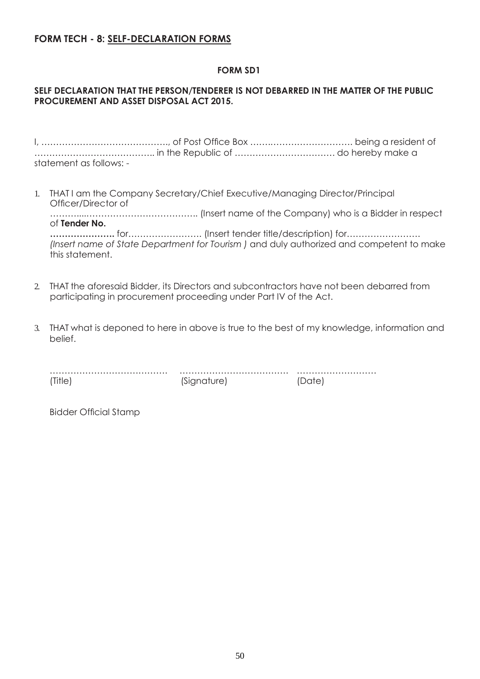# **FORM TECH - 8: SELF-DECLARATION FORMS**

## **FORM SD1**

## **SELF DECLARATION THAT THE PERSON/TENDERER IS NOT DEBARRED IN THE MATTER OF THE PUBLIC PROCUREMENT AND ASSET DISPOSAL ACT 2015.**

I, ……………………………………., of Post Office Box …….………………………. being a resident of ………………………………….. in the Republic of ……………………………. do hereby make a statement as follows: -

1. THAT I am the Company Secretary/Chief Executive/Managing Director/Principal Officer/Director of ………....……………………………….. (Insert name of the Company) who is a Bidder in respect of **Tender No.**

**………………….** for……………………. (Insert tender title/description) for……………………. *(Insert name of State Department for Tourism )* and duly authorized and competent to make this statement.

- 2. THAT the aforesaid Bidder, its Directors and subcontractors have not been debarred from participating in procurement proceeding under Part IV of the Act.
- 3. THAT what is deponed to here in above is true to the best of my knowledge, information and belief.

| (Title) | (Signature) |  |
|---------|-------------|--|

Bidder Official Stamp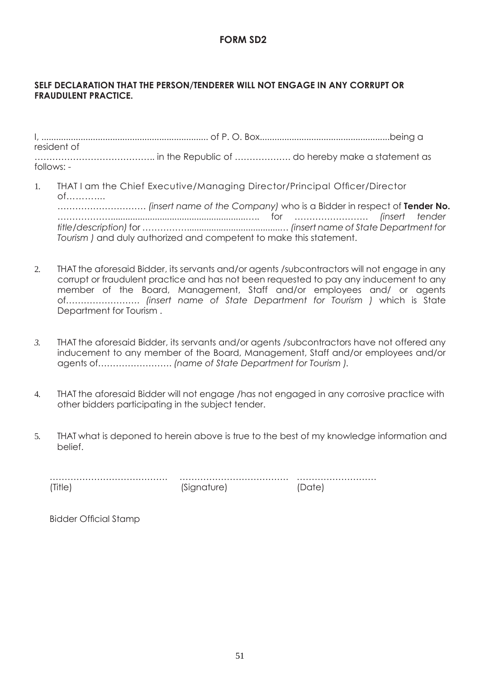## **FORM SD2**

## **SELF DECLARATION THAT THE PERSON/TENDERER WILL NOT ENGAGE IN ANY CORRUPT OR FRAUDULENT PRACTICE.**

I, .................................................................... of P. O. Box.....................................................being a resident of ………………………………….. in the Republic of ………………. do hereby make a statement as follows: -

- 1. THAT I am the Chief Executive/Managing Director/Principal Officer/Director of……….... ………………………… *(insert name of the Company)* who is a Bidder in respect of **Tender No.** ……………….......................................................….. for ……………………. *(insert tender title/description)* for ……………......................................… *(insert name of State Department for Tourism )* and duly authorized and competent to make this statement.
- 2. THAT the aforesaid Bidder, its servants and/or agents /subcontractors will not engage in any corrupt or fraudulent practice and has not been requested to pay any inducement to any member of the Board, Management, Staff and/or employees and/ or agents of……………………. *(insert name of State Department for Tourism )* which is State Department for Tourism .
- *3.* THAT the aforesaid Bidder, its servants and/or agents /subcontractors have not offered any inducement to any member of the Board, Management, Staff and/or employees and/or agents of……………………. *(name of State Department for Tourism ).*
- 4. THAT the aforesaid Bidder will not engage /has not engaged in any corrosive practice with other bidders participating in the subject tender.
- 5. THAT what is deponed to herein above is true to the best of my knowledge information and belief.

| (Title) | (Signature) |  |
|---------|-------------|--|

Bidder Official Stamp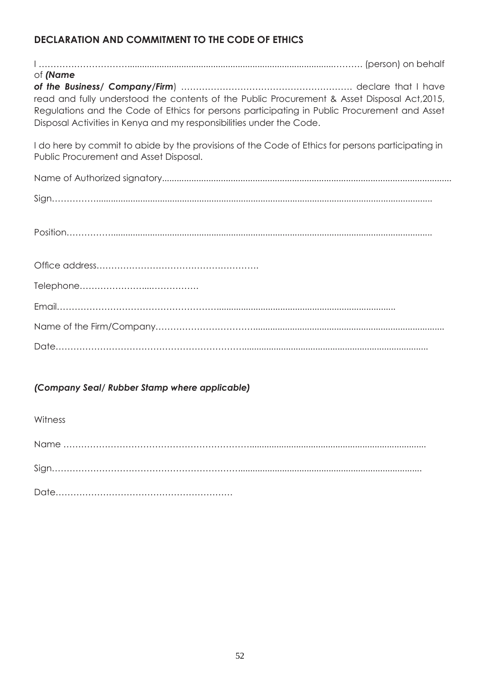# **DECLARATION AND COMMITMENT TO THE CODE OF ETHICS**

| of (Name                                                                                                                                                                                                                                                             |  |
|----------------------------------------------------------------------------------------------------------------------------------------------------------------------------------------------------------------------------------------------------------------------|--|
| read and fully understood the contents of the Public Procurement & Asset Disposal Act, 2015,<br>Regulations and the Code of Ethics for persons participating in Public Procurement and Asset<br>Disposal Activities in Kenya and my responsibilities under the Code. |  |
| I do here by commit to abide by the provisions of the Code of Ethics for persons participating in<br>Public Procurement and Asset Disposal.                                                                                                                          |  |
|                                                                                                                                                                                                                                                                      |  |
|                                                                                                                                                                                                                                                                      |  |
|                                                                                                                                                                                                                                                                      |  |
|                                                                                                                                                                                                                                                                      |  |
|                                                                                                                                                                                                                                                                      |  |
|                                                                                                                                                                                                                                                                      |  |
|                                                                                                                                                                                                                                                                      |  |
|                                                                                                                                                                                                                                                                      |  |
|                                                                                                                                                                                                                                                                      |  |
|                                                                                                                                                                                                                                                                      |  |
|                                                                                                                                                                                                                                                                      |  |

# *(Company Seal/ Rubber Stamp where applicable)*

Witness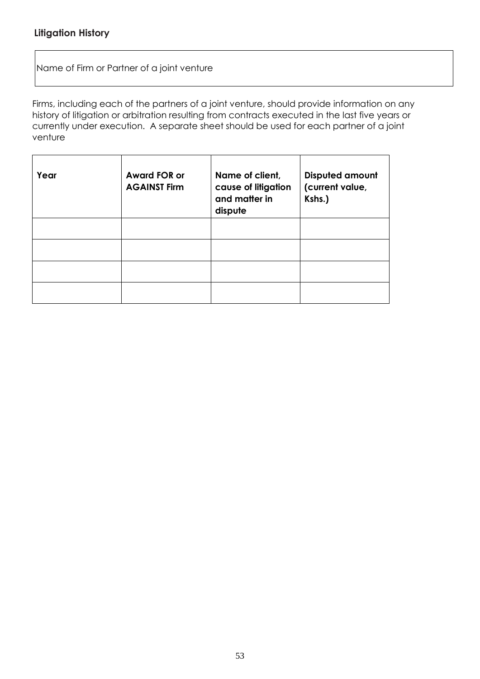Name of Firm or Partner of a joint venture

Firms, including each of the partners of a joint venture, should provide information on any history of litigation or arbitration resulting from contracts executed in the last five years or currently under execution. A separate sheet should be used for each partner of a joint venture

| Year | <b>Award FOR or</b><br><b>AGAINST Firm</b> | Name of client,<br>cause of litigation<br>and matter in<br>dispute | <b>Disputed amount</b><br>(current value,<br>Kshs.) |
|------|--------------------------------------------|--------------------------------------------------------------------|-----------------------------------------------------|
|      |                                            |                                                                    |                                                     |
|      |                                            |                                                                    |                                                     |
|      |                                            |                                                                    |                                                     |
|      |                                            |                                                                    |                                                     |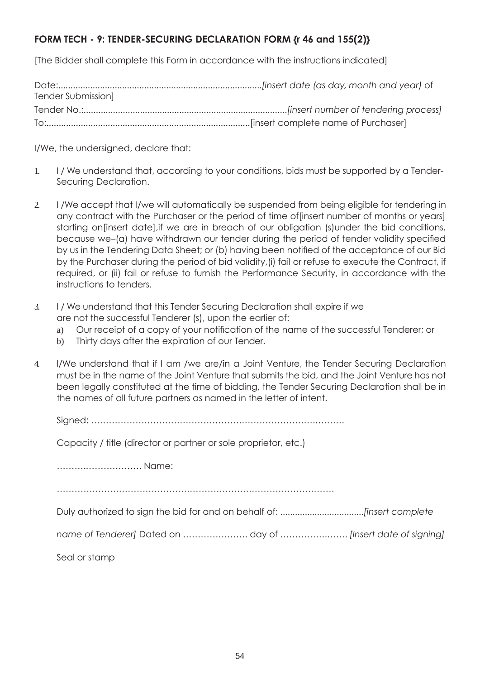# **FORM TECH - 9: TENDER-SECURING DECLARATION FORM {r 46 and 155(2)}**

[The Bidder shall complete this Form in accordance with the instructions indicated]

| Tender Submission] |  |
|--------------------|--|
|                    |  |
|                    |  |

I/We, the undersigned, declare that:

- 1. I / We understand that, according to your conditions, bids must be supported by a Tender-Securing Declaration.
- 2. I /We accept that I/we will automatically be suspended from being eligible for tendering in any contract with the Purchaser or the period of time of[insert number of months or years] starting on[insert date],if we are in breach of our obligation (s)under the bid conditions, because we–(a) have withdrawn our tender during the period of tender validity specified by us in the Tendering Data Sheet; or (b) having been notified of the acceptance of our Bid by the Purchaser during the period of bid validity,(i) fail or refuse to execute the Contract, if required, or (ii) fail or refuse to furnish the Performance Security, in accordance with the instructions to tenders.
- 3. I / We understand that this Tender Securing Declaration shall expire if we are not the successful Tenderer (s), upon the earlier of:
	- a) Our receipt of a copy of your notification of the name of the successful Tenderer; or
	- b) Thirty days after the expiration of our Tender.
- 4. I/We understand that if I am /we are/in a Joint Venture, the Tender Securing Declaration must be in the name of the Joint Venture that submits the bid, and the Joint Venture has not been legally constituted at the time of bidding, the Tender Securing Declaration shall be in the names of all future partners as named in the letter of intent.

Signed: ………………………………………………………………….……….

Capacity / title (director or partner or sole proprietor, etc.)

……….………………. Name:

………………………………………………………………………………….

Duly authorized to sign the bid for and on behalf of: ..................................*[insert complete* 

*name of Tenderer]* Dated on …………………. day of …………….……. *[Insert date of signing]*

Seal or stamp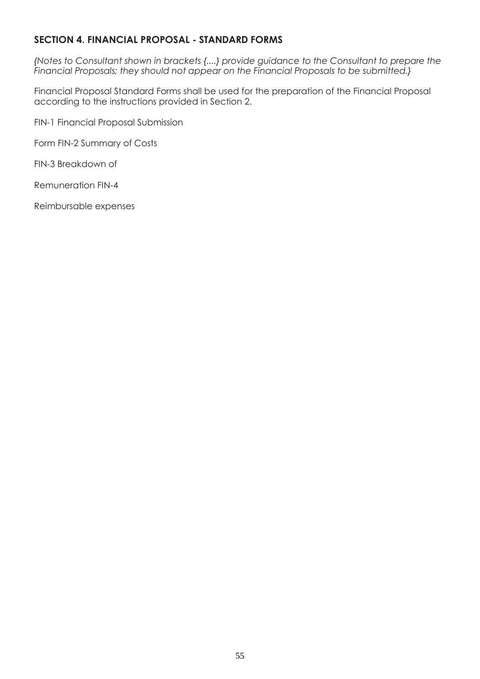# **SECTION 4. FINANCIAL PROPOSAL - STANDARD FORMS**

*{Notes to Consultant shown in brackets {....} provide guidance to the Consultant to prepare the Financial Proposals; they should not appear on the Financial Proposals to be submitted.}*

Financial Proposal Standard Forms shall be used for the preparation of the Financial Proposal according to the instructions provided in Section 2.

FIN-1 Financial Proposal Submission

Form FIN-2 Summary of Costs

FIN-3 Breakdown of

Remuneration FIN-4

Reimbursable expenses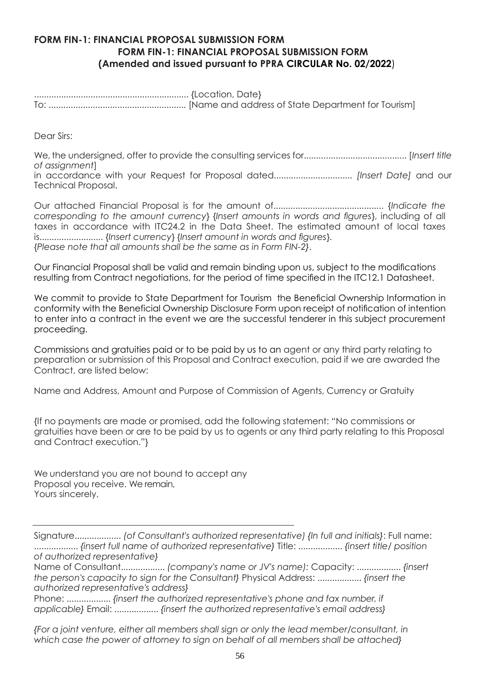## **FORM FIN-1: FINANCIAL PROPOSAL SUBMISSION FORM FORM FIN-1: FINANCIAL PROPOSAL SUBMISSION FORM (Amended and issued pursuant to PPRA CIRCULAR No. 02/2022**)

Dear Sirs:

We, the undersigned, offer to provide the consulting services for.......................................... [*Insert title of assignment*]

in accordance with your Request for Proposal dated................................ *[Insert Date]* and our Technical Proposal.

Our attached Financial Proposal is for the amount of............................................. {*Indicate the corresponding to the amount currency*} {*Insert amounts in words and figures*}, including of all taxes in accordance with ITC24.2 in the Data Sheet. The estimated amount of local taxes is.......................... {*Insert currency*} {*Insert amount in words and figures*}. {*Please note that all amounts shall be the same as in Form FIN-2}*.

Our Financial Proposal shall be valid and remain binding upon us, subject to the modifications resulting from Contract negotiations, for the period of time specified in the ITC12.1 Datasheet.

We commit to provide to State Department for Tourism the Beneficial Ownership Information in conformity with the Beneficial Ownership Disclosure Form upon receipt of notification of intention to enter into a contract in the event we are the successful tenderer in this subject procurement proceeding.

Commissions and gratuities paid or to be paid by us to an agent or any third party relating to preparation or submission of this Proposal and Contract execution, paid if we are awarded the Contract, are listed below:

Name and Address, Amount and Purpose of Commission of Agents, Currency or Gratuity

{If no payments are made or promised, add the following statement: "No commissions or gratuities have been or are to be paid by us to agents or any third party relating to this Proposal and Contract execution."}

We understand you are not bound to accept any Proposal you receive. We remain, Yours sincerely,

Signature................... *(of Consultant's authorized representative) {In full and initials}*: Full name: .................. *{insert full name of authorized representative}* Title: .................. *{insert title/ position of authorized representative}*

Name of Consultant.................. *(company's name or JV's name):* Capacity: .................. *{insert the person's capacity to sign for the Consultant}* Physical Address: .................. *{insert the authorized representative's address}*

Phone: .................. *{insert the authorized representative's phone and fax number, if applicable}* Email: .................. *{insert the authorized representative's email address}*

*{For a joint venture, either all members shall sign or only the lead member/consultant, in which case the power of attorney to sign on behalf of all members shall be attached}*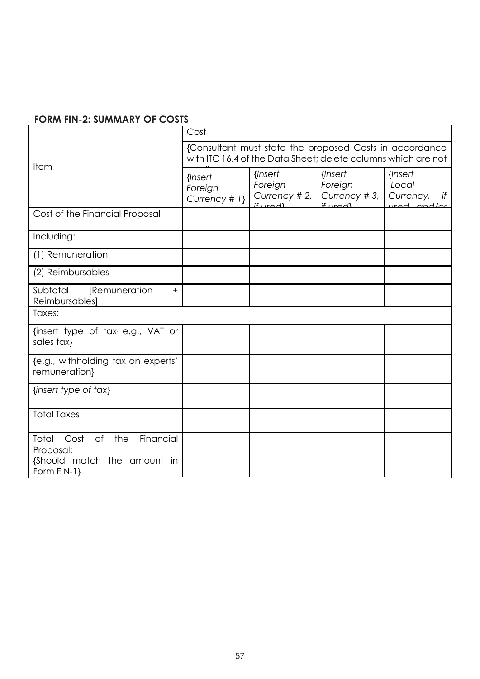# **FORM FIN-2: SUMMARY OF COSTS**

|                                                                                                    | Cost                                                                                                                     |                                                           |                                                        |                                                             |  |  |
|----------------------------------------------------------------------------------------------------|--------------------------------------------------------------------------------------------------------------------------|-----------------------------------------------------------|--------------------------------------------------------|-------------------------------------------------------------|--|--|
|                                                                                                    | {Consultant must state the proposed Costs in accordance<br>with ITC 16.4 of the Data Sheet; delete columns which are not |                                                           |                                                        |                                                             |  |  |
| Item                                                                                               | {Insert<br>Foreign<br>Currency # 1}                                                                                      | {Insert<br>Foreign<br>Currency # 2, $ $<br><u>if used</u> | {Insert<br>Foreign<br>Currency #3,<br>$if \text{weak}$ | {Insert<br>Local<br>Currency,<br>if<br>$\cos \theta$ and/or |  |  |
| Cost of the Financial Proposal                                                                     |                                                                                                                          |                                                           |                                                        |                                                             |  |  |
| Including:                                                                                         |                                                                                                                          |                                                           |                                                        |                                                             |  |  |
| (1) Remuneration                                                                                   |                                                                                                                          |                                                           |                                                        |                                                             |  |  |
| (2) Reimbursables                                                                                  |                                                                                                                          |                                                           |                                                        |                                                             |  |  |
| Subtotal<br>[Remuneration<br>$+$<br>Reimbursables]                                                 |                                                                                                                          |                                                           |                                                        |                                                             |  |  |
| Taxes:                                                                                             |                                                                                                                          |                                                           |                                                        |                                                             |  |  |
| {insert type of tax e.g., VAT or<br>sales tax}                                                     |                                                                                                                          |                                                           |                                                        |                                                             |  |  |
| {e.g., withholding tax on experts'<br>remuneration}                                                |                                                                                                                          |                                                           |                                                        |                                                             |  |  |
| {insert type of tax}                                                                               |                                                                                                                          |                                                           |                                                        |                                                             |  |  |
| <b>Total Taxes</b>                                                                                 |                                                                                                                          |                                                           |                                                        |                                                             |  |  |
| Financial<br>Total<br>Cost<br>of<br>the<br>Proposal:<br>{Should match the amount in<br>Form FIN-1} |                                                                                                                          |                                                           |                                                        |                                                             |  |  |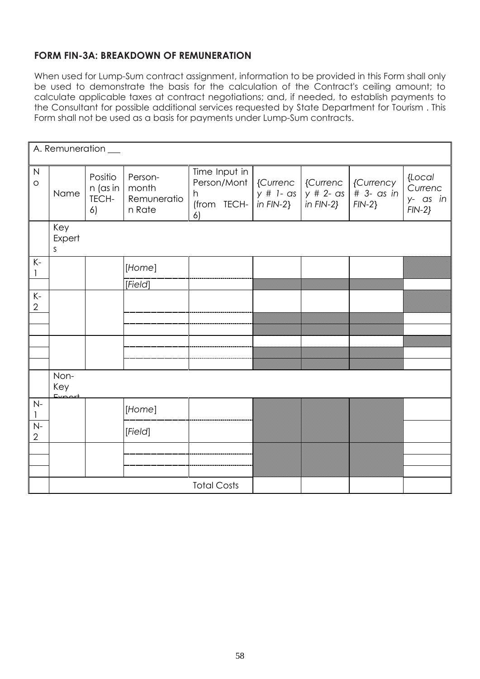# **FORM FIN-3A: BREAKDOWN OF REMUNERATION**

When used for Lump-Sum contract assignment, information to be provided in this Form shall only be used to demonstrate the basis for the calculation of the Contract's ceiling amount; to calculate applicable taxes at contract negotiations; and, if needed, to establish payments to the Consultant for possible additional services requested by State Department for Tourism . This Form shall not be used as a basis for payments under Lump-Sum contracts.

|                         | A. Remuneration __            |                                    |                                           |                                                                       |          |                                                                    |                                      |                                            |
|-------------------------|-------------------------------|------------------------------------|-------------------------------------------|-----------------------------------------------------------------------|----------|--------------------------------------------------------------------|--------------------------------------|--------------------------------------------|
| $\mathsf{N}$<br>$\circ$ | Name                          | Positio<br>n (as in<br>TECH-<br>6) | Person-<br>month<br>Remuneratio<br>n Rate | Time Input in<br>Person/Mont<br>h<br>$(from$ TECH- $(in FIN-2)$<br>6) | {Currenc | {Currenc<br>$y \# 1 - \text{as } y \# 2 - \text{as }$<br>in FIN-2} | {Currency<br># 3- as in<br>$FIN-2$ } | {Local<br>Currenc<br>y- as in<br>$FIN-2$ } |
|                         | Key<br>Expert<br>S            |                                    |                                           |                                                                       |          |                                                                    |                                      |                                            |
| $K -$<br>1              |                               |                                    | [Home]                                    |                                                                       |          |                                                                    |                                      |                                            |
|                         |                               |                                    | [Field]                                   |                                                                       |          |                                                                    |                                      |                                            |
| $K-$<br>$\mathbf{2}$    |                               |                                    |                                           |                                                                       |          |                                                                    |                                      |                                            |
|                         |                               |                                    |                                           |                                                                       |          |                                                                    |                                      |                                            |
|                         |                               |                                    |                                           |                                                                       |          |                                                                    |                                      |                                            |
|                         |                               |                                    |                                           |                                                                       |          |                                                                    |                                      |                                            |
|                         |                               |                                    |                                           |                                                                       |          |                                                                    |                                      |                                            |
|                         | Non-<br>Key<br>$E_{V}$ $\sim$ |                                    |                                           |                                                                       |          |                                                                    |                                      |                                            |
| $N-$<br>1               |                               |                                    | [Home]                                    |                                                                       |          |                                                                    |                                      |                                            |
| $N-$<br>$\overline{2}$  |                               |                                    | [Field]                                   |                                                                       |          |                                                                    |                                      |                                            |
|                         |                               |                                    |                                           |                                                                       |          |                                                                    |                                      |                                            |
|                         |                               |                                    |                                           |                                                                       |          |                                                                    |                                      |                                            |
|                         |                               |                                    |                                           |                                                                       |          |                                                                    |                                      |                                            |
|                         |                               |                                    |                                           | <b>Total Costs</b>                                                    |          |                                                                    |                                      |                                            |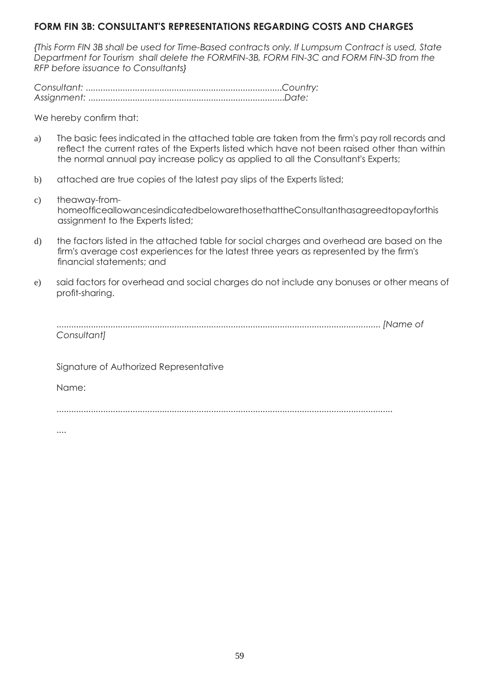## **FORM FIN 3B: CONSULTANT'S REPRESENTATIONS REGARDING COSTS AND CHARGES**

*{This Form FIN 3B shall be used for Time-Based contracts only. If Lumpsum Contract is used, State Department for Tourism shall delete the FORMFIN-3B, FORM FIN-3C and FORM FIN-3D from the RFP before issuance to Consultants}*

*Consultant:* ................................................................................*Country: Assignment:* ................................................................................*Date:*

We hereby confirm that:

- a) The basic fees indicated in the attached table are taken from the firm's pay roll records and reflect the current rates of the Experts listed which have not been raised other than within the normal annual pay increase policy as applied to all the Consultant's Experts;
- b) attached are true copies of the latest pay slips of the Experts listed;
- c) theaway-fromhomeofficeallowancesindicatedbelowarethosethattheConsultanthasagreedtopayforthis assignment to the Experts listed;
- d) the factors listed in the attached table for social charges and overhead are based on the firm's average cost experiences for the latest three years as represented by the firm's financial statements; and
- e) said factors for overhead and social charges do not include any bonuses or other means of profit-sharing.

| Consultantl |  |
|-------------|--|

Signature of Authorized Representative

Name:

.........................................................................................................................................

....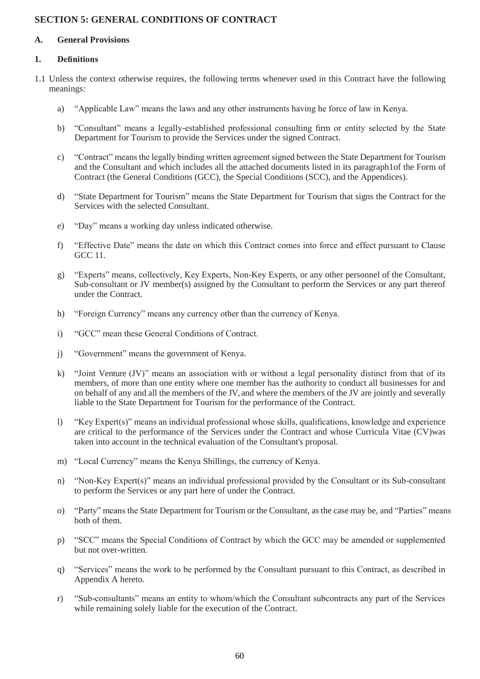## **SECTION 5: GENERAL CONDITIONS OF CONTRACT**

#### **A. General Provisions**

### **1. Definitions**

- 1.1 Unless the context otherwise requires, the following terms whenever used in this Contract have the following meanings:
	- a) "Applicable Law" means the laws and any other instruments having he force of law in Kenya.
	- b) "Consultant" means a legally-established professional consulting firm or entity selected by the State Department for Tourism to provide the Services under the signed Contract.
	- c) "Contract" means the legally binding written agreement signed between the State Department for Tourism and the Consultant and which includes all the attached documents listed in its paragraph1of the Form of Contract (the General Conditions (GCC), the Special Conditions (SCC), and the Appendices).
	- d) "State Department for Tourism" means the State Department for Tourism that signs the Contract for the Services with the selected Consultant.
	- e) "Day" means a working day unless indicated otherwise.
	- f) "Effective Date" means the date on which this Contract comes into force and effect pursuant to Clause GCC 11.
	- g) "Experts" means, collectively, Key Experts, Non-Key Experts, or any other personnel of the Consultant, Sub-consultant or JV member(s) assigned by the Consultant to perform the Services or any part thereof under the Contract.
	- h) "Foreign Currency" means any currency other than the currency of Kenya.
	- i) "GCC" mean these General Conditions of Contract.
	- j) "Government" means the government of Kenya.
	- k) "Joint Venture (JV)" means an association with or without a legal personality distinct from that of its members, of more than one entity where one member has the authority to conduct all businesses for and on behalf of any and all the members of the JV, and where the members of the JV are jointly and severally liable to the State Department for Tourism for the performance of the Contract.
	- l) "Key Expert(s)" means an individual professional whose skills, qualifications, knowledge and experience are critical to the performance of the Services under the Contract and whose Curricula Vitae (CV)was taken into account in the technical evaluation of the Consultant's proposal.
	- m) "Local Currency" means the Kenya Shillings, the currency of Kenya.
	- n) "Non-Key Expert(s)" means an individual professional provided by the Consultant or its Sub-consultant to perform the Services or any part here of under the Contract.
	- o) "Party" means the State Department for Tourism or the Consultant, as the case may be, and "Parties" means both of them.
	- p) "SCC" means the Special Conditions of Contract by which the GCC may be amended or supplemented but not over-written.
	- q) "Services" means the work to be performed by the Consultant pursuant to this Contract, as described in Appendix A hereto.
	- r) "Sub-consultants" means an entity to whom/which the Consultant subcontracts any part of the Services while remaining solely liable for the execution of the Contract.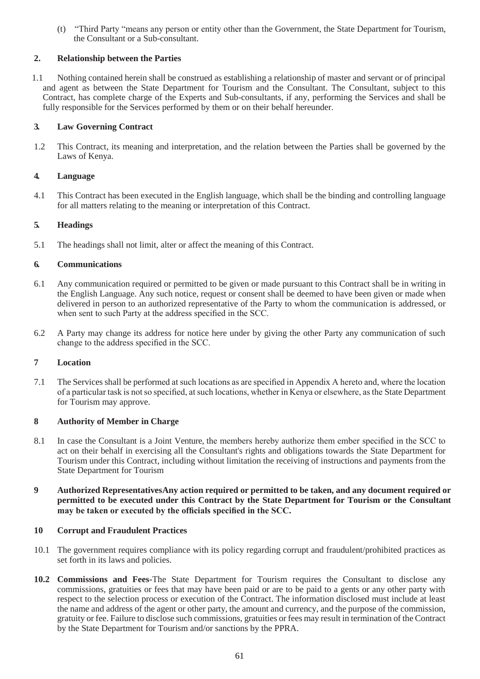(t) "Third Party "means any person or entity other than the Government, the State Department for Tourism, the Consultant or a Sub-consultant.

### **2. Relationship between the Parties**

1.1 Nothing contained herein shall be construed as establishing a relationship of master and servant or of principal and agent as between the State Department for Tourism and the Consultant. The Consultant, subject to this Contract, has complete charge of the Experts and Sub-consultants, if any, performing the Services and shall be fully responsible for the Services performed by them or on their behalf hereunder.

#### **3. Law Governing Contract**

1.2 This Contract, its meaning and interpretation, and the relation between the Parties shall be governed by the Laws of Kenya.

### **4. Language**

4.1 This Contract has been executed in the English language, which shall be the binding and controlling language for all matters relating to the meaning or interpretation of this Contract.

#### **5. Headings**

5.1 The headings shall not limit, alter or affect the meaning of this Contract.

### **6. Communications**

- 6.1 Any communication required or permitted to be given or made pursuant to this Contract shall be in writing in the English Language. Any such notice, request or consent shall be deemed to have been given or made when delivered in person to an authorized representative of the Party to whom the communication is addressed, or when sent to such Party at the address specified in the SCC.
- 6.2 A Party may change its address for notice here under by giving the other Party any communication of such change to the address specified in the SCC.

#### **7 Location**

7.1 The Services shall be performed at such locations as are specified in Appendix A hereto and, where the location of a particular task is not so specified, at such locations, whether in Kenya or elsewhere, as the State Department for Tourism may approve.

#### **8 Authority of Member in Charge**

- 8.1 In case the Consultant is a Joint Venture, the members hereby authorize them ember specified in the SCC to act on their behalf in exercising all the Consultant's rights and obligations towards the State Department for Tourism under this Contract, including without limitation the receiving of instructions and payments from the State Department for Tourism
- **9 Authorized RepresentativesAny action required or permitted to be taken, and any document required or permitted to be executed under this Contract by the State Department for Tourism or the Consultant may be taken or executed by the officials specified in the SCC.**

#### **10 Corrupt and Fraudulent Practices**

- 10.1 The government requires compliance with its policy regarding corrupt and fraudulent/prohibited practices as set forth in its laws and policies.
- **10.2 Commissions and Fees-**The State Department for Tourism requires the Consultant to disclose any commissions, gratuities or fees that may have been paid or are to be paid to a gents or any other party with respect to the selection process or execution of the Contract. The information disclosed must include at least the name and address of the agent or other party, the amount and currency, and the purpose of the commission, gratuity or fee. Failure to disclose such commissions, gratuities or fees may result in termination of the Contract by the State Department for Tourism and/or sanctions by the PPRA.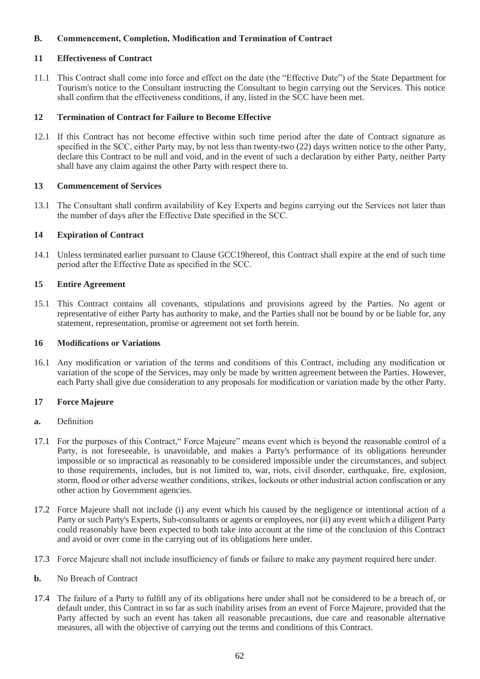### **B. Commencement, Completion, Modification and Termination of Contract**

#### **11 Effectiveness of Contract**

11.1 This Contract shall come into force and effect on the date (the "Effective Date") of the State Department for Tourism's notice to the Consultant instructing the Consultant to begin carrying out the Services. This notice shall confirm that the effectiveness conditions, if any, listed in the SCC have been met.

#### **12 Termination of Contract for Failure to Become Effective**

12.1 If this Contract has not become effective within such time period after the date of Contract signature as specified in the SCC, either Party may, by not less than twenty-two (22) days written notice to the other Party, declare this Contract to be null and void, and in the event of such a declaration by either Party, neither Party shall have any claim against the other Party with respect there to.

#### **13 Commencement of Services**

13.1 The Consultant shall confirm availability of Key Experts and begins carrying out the Services not later than the number of days after the Effective Date specified in the SCC.

#### **14 Expiration of Contract**

14.1 Unless terminated earlier pursuant to Clause GCC19hereof, this Contract shall expire at the end of such time period after the Effective Date as specified in the SCC.

#### **15 Entire Agreement**

15.1 This Contract contains all covenants, stipulations and provisions agreed by the Parties. No agent or representative of either Party has authority to make, and the Parties shall not be bound by or be liable for, any statement, representation, promise or agreement not set forth herein.

#### **16 Modifications or Variations**

16.1 Any modification or variation of the terms and conditions of this Contract, including any modification or variation of the scope of the Services, may only be made by written agreement between the Parties. However, each Party shall give due consideration to any proposals for modification or variation made by the other Party.

#### **17 Force Majeure**

#### **a.** Definition

- 17.1 For the purposes of this Contract," Force Majeure" means event which is beyond the reasonable control of a Party, is not foreseeable, is unavoidable, and makes a Party's performance of its obligations hereunder impossible or so impractical as reasonably to be considered impossible under the circumstances, and subject to those requirements, includes, but is not limited to, war, riots, civil disorder, earthquake, fire, explosion, storm, flood or other adverse weather conditions, strikes, lockouts or other industrial action confiscation or any other action by Government agencies.
- 17.2 Force Majeure shall not include (i) any event which his caused by the negligence or intentional action of a Party or such Party's Experts, Sub-consultants or agents or employees, nor (ii) any event which a diligent Party could reasonably have been expected to both take into account at the time of the conclusion of this Contract and avoid or over come in the carrying out of its obligations here under.
- 17.3 Force Majeure shall not include insufficiency of funds or failure to make any payment required here under.
- **b.** No Breach of Contract
- 17.4 The failure of a Party to fulfill any of its obligations here under shall not be considered to be a breach of, or default under, this Contract in so far as such inability arises from an event of Force Majeure, provided that the Party affected by such an event has taken all reasonable precautions, due care and reasonable alternative measures, all with the objective of carrying out the terms and conditions of this Contract.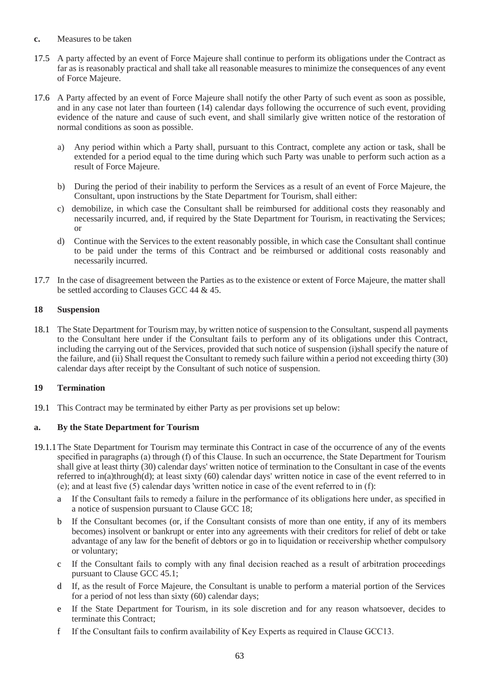- **c.** Measures to be taken
- 17.5 A party affected by an event of Force Majeure shall continue to perform its obligations under the Contract as far as is reasonably practical and shall take all reasonable measures to minimize the consequences of any event of Force Majeure.
- 17.6 A Party affected by an event of Force Majeure shall notify the other Party of such event as soon as possible, and in any case not later than fourteen (14) calendar days following the occurrence of such event, providing evidence of the nature and cause of such event, and shall similarly give written notice of the restoration of normal conditions as soon as possible.
	- a) Any period within which a Party shall, pursuant to this Contract, complete any action or task, shall be extended for a period equal to the time during which such Party was unable to perform such action as a result of Force Majeure.
	- b) During the period of their inability to perform the Services as a result of an event of Force Majeure, the Consultant, upon instructions by the State Department for Tourism, shall either:
	- c) demobilize, in which case the Consultant shall be reimbursed for additional costs they reasonably and necessarily incurred, and, if required by the State Department for Tourism, in reactivating the Services; or
	- d) Continue with the Services to the extent reasonably possible, in which case the Consultant shall continue to be paid under the terms of this Contract and be reimbursed or additional costs reasonably and necessarily incurred.
- 17.7 In the case of disagreement between the Parties as to the existence or extent of Force Majeure, the matter shall be settled according to Clauses GCC 44 & 45.

### **18 Suspension**

18.1 The State Department for Tourism may, by written notice of suspension to the Consultant, suspend all payments to the Consultant here under if the Consultant fails to perform any of its obligations under this Contract, including the carrying out of the Services, provided that such notice of suspension (i)shall specify the nature of the failure, and (ii) Shall request the Consultant to remedy such failure within a period not exceeding thirty (30) calendar days after receipt by the Consultant of such notice of suspension.

### **19 Termination**

19.1 This Contract may be terminated by either Party as per provisions set up below:

### **a. By the State Department for Tourism**

- 19.1.1The State Department for Tourism may terminate this Contract in case of the occurrence of any of the events specified in paragraphs (a) through (f) of this Clause. In such an occurrence, the State Department for Tourism shall give at least thirty (30) calendar days' written notice of termination to the Consultant in case of the events referred to in(a)through(d); at least sixty (60) calendar days' written notice in case of the event referred to in (e); and at least five (5) calendar days 'written notice in case of the event referred to in (f):
	- a If the Consultant fails to remedy a failure in the performance of its obligations here under, as specified in a notice of suspension pursuant to Clause GCC 18;
	- b If the Consultant becomes (or, if the Consultant consists of more than one entity, if any of its members becomes) insolvent or bankrupt or enter into any agreements with their creditors for relief of debt or take advantage of any law for the benefit of debtors or go in to liquidation or receivership whether compulsory or voluntary;
	- c If the Consultant fails to comply with any final decision reached as a result of arbitration proceedings pursuant to Clause GCC 45.1;
	- d If, as the result of Force Majeure, the Consultant is unable to perform a material portion of the Services for a period of not less than sixty (60) calendar days;
	- e If the State Department for Tourism, in its sole discretion and for any reason whatsoever, decides to terminate this Contract;
	- f If the Consultant fails to confirm availability of Key Experts as required in Clause GCC13.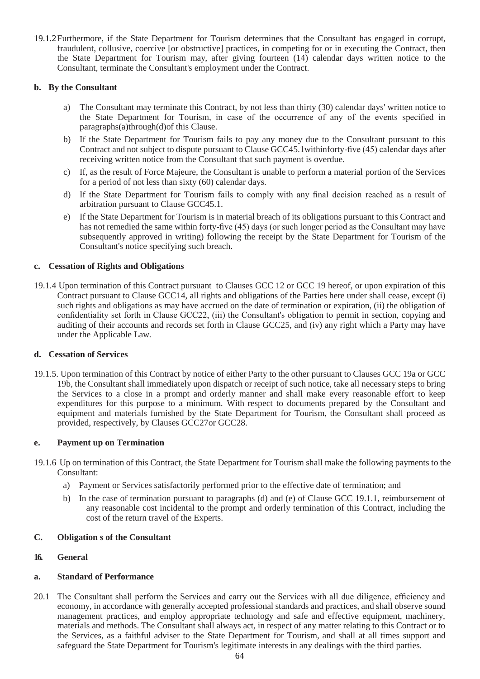19.1.2Furthermore, if the State Department for Tourism determines that the Consultant has engaged in corrupt, fraudulent, collusive, coercive [or obstructive] practices, in competing for or in executing the Contract, then the State Department for Tourism may, after giving fourteen (14) calendar days written notice to the Consultant, terminate the Consultant's employment under the Contract.

#### **b. By the Consultant**

- a) The Consultant may terminate this Contract, by not less than thirty (30) calendar days' written notice to the State Department for Tourism, in case of the occurrence of any of the events specified in paragraphs(a)through(d)of this Clause.
- b) If the State Department for Tourism fails to pay any money due to the Consultant pursuant to this Contract and not subject to dispute pursuant to Clause GCC45.1withinforty-five (45) calendar days after receiving written notice from the Consultant that such payment is overdue.
- c) If, as the result of Force Majeure, the Consultant is unable to perform a material portion of the Services for a period of not less than sixty (60) calendar days.
- d) If the State Department for Tourism fails to comply with any final decision reached as a result of arbitration pursuant to Clause GCC45.1.
- e) If the State Department for Tourism is in material breach of its obligations pursuant to this Contract and has not remedied the same within forty-five (45) days (or such longer period as the Consultant may have subsequently approved in writing) following the receipt by the State Department for Tourism of the Consultant's notice specifying such breach.

### **c. Cessation of Rights and Obligations**

19.1.4 Upon termination of this Contract pursuant to Clauses GCC 12 or GCC 19 hereof, or upon expiration of this Contract pursuant to Clause GCC14, all rights and obligations of the Parties here under shall cease, except (i) such rights and obligations as may have accrued on the date of termination or expiration, (ii) the obligation of confidentiality set forth in Clause GCC22, (iii) the Consultant's obligation to permit in section, copying and auditing of their accounts and records set forth in Clause GCC25, and (iv) any right which a Party may have under the Applicable Law.

#### **d. Cessation of Services**

19.1.5. Upon termination of this Contract by notice of either Party to the other pursuant to Clauses GCC 19a or GCC 19b, the Consultant shall immediately upon dispatch or receipt of such notice, take all necessary steps to bring the Services to a close in a prompt and orderly manner and shall make every reasonable effort to keep expenditures for this purpose to a minimum. With respect to documents prepared by the Consultant and equipment and materials furnished by the State Department for Tourism, the Consultant shall proceed as provided, respectively, by Clauses GCC27or GCC28.

#### **e. Payment up on Termination**

- 19.1.6 Up on termination of this Contract, the State Department for Tourism shall make the following payments to the Consultant:
	- a) Payment or Services satisfactorily performed prior to the effective date of termination; and
	- b) In the case of termination pursuant to paragraphs (d) and (e) of Clause GCC 19.1.1, reimbursement of any reasonable cost incidental to the prompt and orderly termination of this Contract, including the cost of the return travel of the Experts.

#### **C. Obligation s of the Consultant**

#### **16. General**

#### **a. Standard of Performance**

20.1 The Consultant shall perform the Services and carry out the Services with all due diligence, efficiency and economy, in accordance with generally accepted professional standards and practices, and shall observe sound management practices, and employ appropriate technology and safe and effective equipment, machinery, materials and methods. The Consultant shall always act, in respect of any matter relating to this Contract or to the Services, as a faithful adviser to the State Department for Tourism, and shall at all times support and safeguard the State Department for Tourism's legitimate interests in any dealings with the third parties.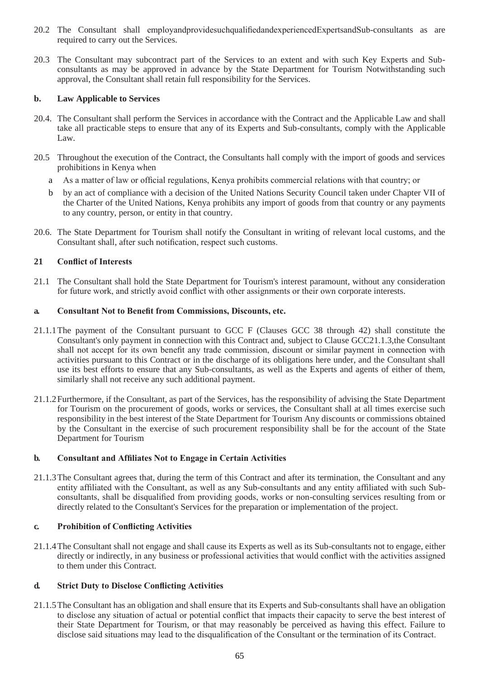- 20.2 The Consultant shall employandprovidesuchqualifiedandexperiencedExpertsandSub-consultants as are required to carry out the Services.
- 20.3 The Consultant may subcontract part of the Services to an extent and with such Key Experts and Subconsultants as may be approved in advance by the State Department for Tourism Notwithstanding such approval, the Consultant shall retain full responsibility for the Services.

### **b. Law Applicable to Services**

- 20.4. The Consultant shall perform the Services in accordance with the Contract and the Applicable Law and shall take all practicable steps to ensure that any of its Experts and Sub-consultants, comply with the Applicable Law.
- 20.5 Throughout the execution of the Contract, the Consultants hall comply with the import of goods and services prohibitions in Kenya when
	- a As a matter of law or official regulations, Kenya prohibits commercial relations with that country; or
	- b by an act of compliance with a decision of the United Nations Security Council taken under Chapter VII of the Charter of the United Nations, Kenya prohibits any import of goods from that country or any payments to any country, person, or entity in that country.
- 20.6. The State Department for Tourism shall notify the Consultant in writing of relevant local customs, and the Consultant shall, after such notification, respect such customs.

### **21 Conflict of Interests**

21.1 The Consultant shall hold the State Department for Tourism's interest paramount, without any consideration for future work, and strictly avoid conflict with other assignments or their own corporate interests.

#### **a. Consultant Not to Benefit from Commissions, Discounts, etc.**

- 21.1.1The payment of the Consultant pursuant to GCC F (Clauses GCC 38 through 42) shall constitute the Consultant's only payment in connection with this Contract and, subject to Clause GCC21.1.3,the Consultant shall not accept for its own benefit any trade commission, discount or similar payment in connection with activities pursuant to this Contract or in the discharge of its obligations here under, and the Consultant shall use its best efforts to ensure that any Sub-consultants, as well as the Experts and agents of either of them, similarly shall not receive any such additional payment.
- 21.1.2Furthermore, if the Consultant, as part of the Services, has the responsibility of advising the State Department for Tourism on the procurement of goods, works or services, the Consultant shall at all times exercise such responsibility in the best interest of the State Department for Tourism Any discounts or commissions obtained by the Consultant in the exercise of such procurement responsibility shall be for the account of the State Department for Tourism

#### **b. Consultant and Affiliates Not to Engage in Certain Activities**

21.1.3The Consultant agrees that, during the term of this Contract and after its termination, the Consultant and any entity affiliated with the Consultant, as well as any Sub-consultants and any entity affiliated with such Subconsultants, shall be disqualified from providing goods, works or non-consulting services resulting from or directly related to the Consultant's Services for the preparation or implementation of the project.

#### **c. Prohibition of Conflicting Activities**

21.1.4The Consultant shall not engage and shall cause its Experts as well as its Sub-consultants not to engage, either directly or indirectly, in any business or professional activities that would conflict with the activities assigned to them under this Contract.

## **d. Strict Duty to Disclose Conflicting Activities**

21.1.5The Consultant has an obligation and shall ensure that its Experts and Sub-consultants shall have an obligation to disclose any situation of actual or potential conflict that impacts their capacity to serve the best interest of their State Department for Tourism, or that may reasonably be perceived as having this effect. Failure to disclose said situations may lead to the disqualification of the Consultant or the termination of its Contract.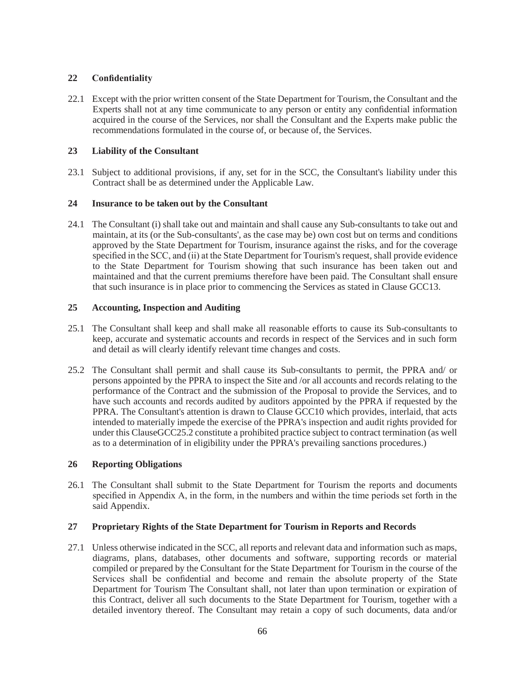### **22 Confidentiality**

22.1 Except with the prior written consent of the State Department for Tourism, the Consultant and the Experts shall not at any time communicate to any person or entity any confidential information acquired in the course of the Services, nor shall the Consultant and the Experts make public the recommendations formulated in the course of, or because of, the Services.

#### **23 Liability of the Consultant**

23.1 Subject to additional provisions, if any, set for in the SCC, the Consultant's liability under this Contract shall be as determined under the Applicable Law.

#### **24 Insurance to be taken out by the Consultant**

24.1 The Consultant (i) shall take out and maintain and shall cause any Sub-consultants to take out and maintain, at its (or the Sub-consultants', as the case may be) own cost but on terms and conditions approved by the State Department for Tourism, insurance against the risks, and for the coverage specified in the SCC, and (ii) at the State Department for Tourism's request, shall provide evidence to the State Department for Tourism showing that such insurance has been taken out and maintained and that the current premiums therefore have been paid. The Consultant shall ensure that such insurance is in place prior to commencing the Services as stated in Clause GCC13.

#### **25 Accounting, Inspection and Auditing**

- 25.1 The Consultant shall keep and shall make all reasonable efforts to cause its Sub-consultants to keep, accurate and systematic accounts and records in respect of the Services and in such form and detail as will clearly identify relevant time changes and costs.
- 25.2 The Consultant shall permit and shall cause its Sub-consultants to permit, the PPRA and/ or persons appointed by the PPRA to inspect the Site and /or all accounts and records relating to the performance of the Contract and the submission of the Proposal to provide the Services, and to have such accounts and records audited by auditors appointed by the PPRA if requested by the PPRA. The Consultant's attention is drawn to Clause GCC10 which provides, interlaid, that acts intended to materially impede the exercise of the PPRA's inspection and audit rights provided for under this ClauseGCC25.2 constitute a prohibited practice subject to contract termination (as well as to a determination of in eligibility under the PPRA's prevailing sanctions procedures.)

#### **26 Reporting Obligations**

26.1 The Consultant shall submit to the State Department for Tourism the reports and documents specified in Appendix A, in the form, in the numbers and within the time periods set forth in the said Appendix.

#### **27 Proprietary Rights of the State Department for Tourism in Reports and Records**

27.1 Unless otherwise indicated in the SCC, all reports and relevant data and information such as maps, diagrams, plans, databases, other documents and software, supporting records or material compiled or prepared by the Consultant for the State Department for Tourism in the course of the Services shall be confidential and become and remain the absolute property of the State Department for Tourism The Consultant shall, not later than upon termination or expiration of this Contract, deliver all such documents to the State Department for Tourism, together with a detailed inventory thereof. The Consultant may retain a copy of such documents, data and/or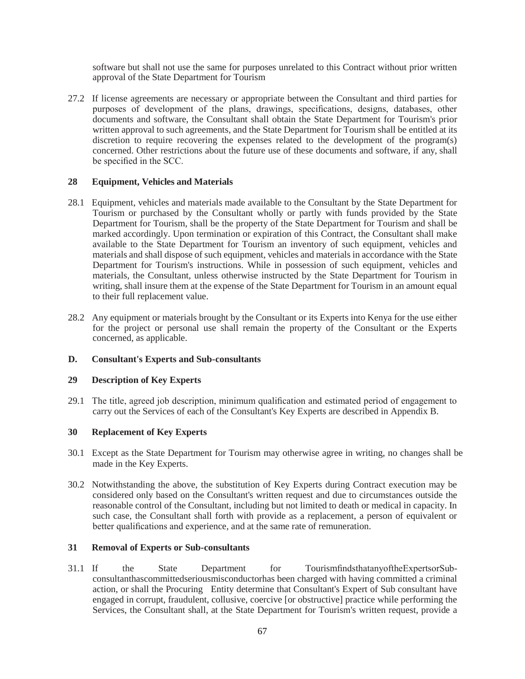software but shall not use the same for purposes unrelated to this Contract without prior written approval of the State Department for Tourism

27.2 If license agreements are necessary or appropriate between the Consultant and third parties for purposes of development of the plans, drawings, specifications, designs, databases, other documents and software, the Consultant shall obtain the State Department for Tourism's prior written approval to such agreements, and the State Department for Tourism shall be entitled at its discretion to require recovering the expenses related to the development of the program(s) concerned. Other restrictions about the future use of these documents and software, if any, shall be specified in the SCC.

#### **28 Equipment, Vehicles and Materials**

- 28.1 Equipment, vehicles and materials made available to the Consultant by the State Department for Tourism or purchased by the Consultant wholly or partly with funds provided by the State Department for Tourism, shall be the property of the State Department for Tourism and shall be marked accordingly. Upon termination or expiration of this Contract, the Consultant shall make available to the State Department for Tourism an inventory of such equipment, vehicles and materials and shall dispose of such equipment, vehicles and materials in accordance with the State Department for Tourism's instructions. While in possession of such equipment, vehicles and materials, the Consultant, unless otherwise instructed by the State Department for Tourism in writing, shall insure them at the expense of the State Department for Tourism in an amount equal to their full replacement value.
- 28.2 Any equipment or materials brought by the Consultant or its Experts into Kenya for the use either for the project or personal use shall remain the property of the Consultant or the Experts concerned, as applicable.

#### **D. Consultant's Experts and Sub-consultants**

#### **29 Description of Key Experts**

29.1 The title, agreed job description, minimum qualification and estimated period of engagement to carry out the Services of each of the Consultant's Key Experts are described in Appendix B.

#### **30 Replacement of Key Experts**

- 30.1 Except as the State Department for Tourism may otherwise agree in writing, no changes shall be made in the Key Experts.
- 30.2 Notwithstanding the above, the substitution of Key Experts during Contract execution may be considered only based on the Consultant's written request and due to circumstances outside the reasonable control of the Consultant, including but not limited to death or medical in capacity. In such case, the Consultant shall forth with provide as a replacement, a person of equivalent or better qualifications and experience, and at the same rate of remuneration.

#### **31 Removal of Experts or Sub-consultants**

31.1 If the State Department for TourismfindsthatanyoftheExpertsorSubconsultanthascommittedseriousmisconductorhas been charged with having committed a criminal action, or shall the Procuring Entity determine that Consultant's Expert of Sub consultant have engaged in corrupt, fraudulent, collusive, coercive [or obstructive] practice while performing the Services, the Consultant shall, at the State Department for Tourism's written request, provide a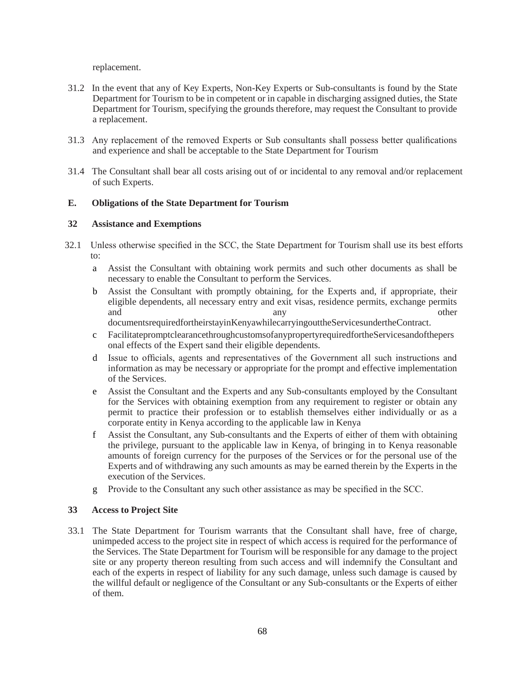replacement.

- 31.2 In the event that any of Key Experts, Non-Key Experts or Sub-consultants is found by the State Department for Tourism to be in competent or in capable in discharging assigned duties, the State Department for Tourism, specifying the grounds therefore, may request the Consultant to provide a replacement.
- 31.3 Any replacement of the removed Experts or Sub consultants shall possess better qualifications and experience and shall be acceptable to the State Department for Tourism
- 31.4 The Consultant shall bear all costs arising out of or incidental to any removal and/or replacement of such Experts.

#### **E. Obligations of the State Department for Tourism**

#### **32 Assistance and Exemptions**

- 32.1 Unless otherwise specified in the SCC, the State Department for Tourism shall use its best efforts to:
	- a Assist the Consultant with obtaining work permits and such other documents as shall be necessary to enable the Consultant to perform the Services.
	- b Assist the Consultant with promptly obtaining, for the Experts and, if appropriate, their eligible dependents, all necessary entry and exit visas, residence permits, exchange permits and any any other

documentsrequiredfortheirstayinKenyawhilecarryingouttheServicesundertheContract.

- c FacilitatepromptclearancethroughcustomsofanypropertyrequiredfortheServicesandofthepers onal effects of the Expert sand their eligible dependents.
- d Issue to officials, agents and representatives of the Government all such instructions and information as may be necessary or appropriate for the prompt and effective implementation of the Services.
- e Assist the Consultant and the Experts and any Sub-consultants employed by the Consultant for the Services with obtaining exemption from any requirement to register or obtain any permit to practice their profession or to establish themselves either individually or as a corporate entity in Kenya according to the applicable law in Kenya
- f Assist the Consultant, any Sub-consultants and the Experts of either of them with obtaining the privilege, pursuant to the applicable law in Kenya, of bringing in to Kenya reasonable amounts of foreign currency for the purposes of the Services or for the personal use of the Experts and of withdrawing any such amounts as may be earned therein by the Experts in the execution of the Services.
- g Provide to the Consultant any such other assistance as may be specified in the SCC.

#### **33 Access to Project Site**

33.1 The State Department for Tourism warrants that the Consultant shall have, free of charge, unimpeded access to the project site in respect of which access is required for the performance of the Services. The State Department for Tourism will be responsible for any damage to the project site or any property thereon resulting from such access and will indemnify the Consultant and each of the experts in respect of liability for any such damage, unless such damage is caused by the willful default or negligence of the Consultant or any Sub-consultants or the Experts of either of them.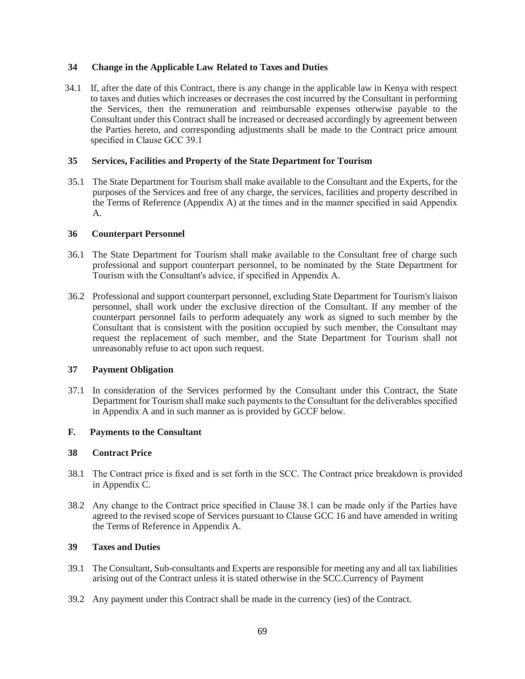#### **34 Change in the Applicable Law Related to Taxes and Duties**

34.1 If, after the date of this Contract, there is any change in the applicable law in Kenya with respect to taxes and duties which increases or decreases the cost incurred by the Consultant in performing the Services, then the remuneration and reimbursable expenses otherwise payable to the Consultant under this Contract shall be increased or decreased accordingly by agreement between the Parties hereto, and corresponding adjustments shall be made to the Contract price amount specified in Clause GCC 39.1

#### **35 Services, Facilities and Property of the State Department for Tourism**

35.1 The State Department for Tourism shall make available to the Consultant and the Experts, for the purposes of the Services and free of any charge, the services, facilities and property described in the Terms of Reference (Appendix A) at the times and in the manner specified in said Appendix A.

#### **36 Counterpart Personnel**

- 36.1 The State Department for Tourism shall make available to the Consultant free of charge such professional and support counterpart personnel, to be nominated by the State Department for Tourism with the Consultant's advice, if specified in Appendix A.
- 36.2 Professional and support counterpart personnel, excluding State Department for Tourism's liaison personnel, shall work under the exclusive direction of the Consultant. If any member of the counterpart personnel fails to perform adequately any work as signed to such member by the Consultant that is consistent with the position occupied by such member, the Consultant may request the replacement of such member, and the State Department for Tourism shall not unreasonably refuse to act upon such request.

#### **37 Payment Obligation**

37.1 In consideration of the Services performed by the Consultant under this Contract, the State Department for Tourism shall make such payments to the Consultant for the deliverables specified in Appendix A and in such manner as is provided by GCCF below.

#### **F. Payments to the Consultant**

#### **38 Contract Price**

- 38.1 The Contract price is fixed and is set forth in the SCC. The Contract price breakdown is provided in Appendix C.
- 38.2 Any change to the Contract price specified in Clause 38.1 can be made only if the Parties have agreed to the revised scope of Services pursuant to Clause GCC 16 and have amended in writing the Terms of Reference in Appendix A.

#### **39 Taxes and Duties**

- 39.1 The Consultant, Sub-consultants and Experts are responsible for meeting any and all tax liabilities arising out of the Contract unless it is stated otherwise in the SCC.Currency of Payment
- 39.2 Any payment under this Contract shall be made in the currency (ies) of the Contract.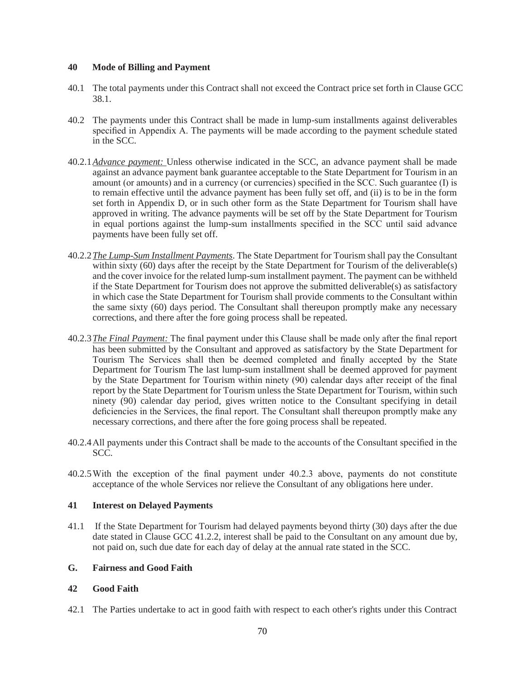#### **40 Mode of Billing and Payment**

- 40.1 The total payments under this Contract shall not exceed the Contract price set forth in Clause GCC 38.1.
- 40.2 The payments under this Contract shall be made in lump-sum installments against deliverables specified in Appendix A. The payments will be made according to the payment schedule stated in the SCC.
- 40.2.1*Advance payment:* Unless otherwise indicated in the SCC, an advance payment shall be made against an advance payment bank guarantee acceptable to the State Department for Tourism in an amount (or amounts) and in a currency (or currencies) specified in the SCC. Such guarantee (I) is to remain effective until the advance payment has been fully set off, and (ii) is to be in the form set forth in Appendix D, or in such other form as the State Department for Tourism shall have approved in writing. The advance payments will be set off by the State Department for Tourism in equal portions against the lump-sum installments specified in the SCC until said advance payments have been fully set off.
- 40.2.2*The Lump-Sum Installment Payments*. The State Department for Tourism shall pay the Consultant within sixty (60) days after the receipt by the State Department for Tourism of the deliverable(s) and the cover invoice for the related lump-sum installment payment. The payment can be withheld if the State Department for Tourism does not approve the submitted deliverable(s) as satisfactory in which case the State Department for Tourism shall provide comments to the Consultant within the same sixty (60) days period. The Consultant shall thereupon promptly make any necessary corrections, and there after the fore going process shall be repeated.
- 40.2.3*The Final Payment:* The final payment under this Clause shall be made only after the final report has been submitted by the Consultant and approved as satisfactory by the State Department for Tourism The Services shall then be deemed completed and finally accepted by the State Department for Tourism The last lump-sum installment shall be deemed approved for payment by the State Department for Tourism within ninety (90) calendar days after receipt of the final report by the State Department for Tourism unless the State Department for Tourism, within such ninety (90) calendar day period, gives written notice to the Consultant specifying in detail deficiencies in the Services, the final report. The Consultant shall thereupon promptly make any necessary corrections, and there after the fore going process shall be repeated.
- 40.2.4All payments under this Contract shall be made to the accounts of the Consultant specified in the SCC.
- 40.2.5With the exception of the final payment under 40.2.3 above, payments do not constitute acceptance of the whole Services nor relieve the Consultant of any obligations here under.

#### **41 Interest on Delayed Payments**

41.1 If the State Department for Tourism had delayed payments beyond thirty (30) days after the due date stated in Clause GCC 41.2.2, interest shall be paid to the Consultant on any amount due by, not paid on, such due date for each day of delay at the annual rate stated in the SCC.

#### **G. Fairness and Good Faith**

#### **42 Good Faith**

42.1 The Parties undertake to act in good faith with respect to each other's rights under this Contract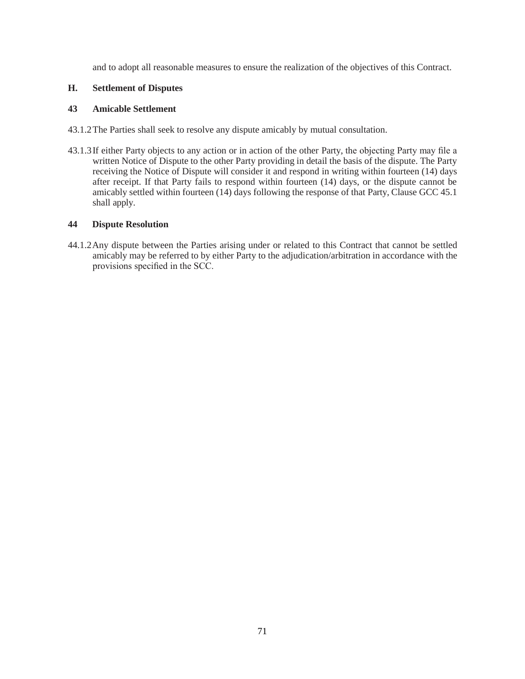and to adopt all reasonable measures to ensure the realization of the objectives of this Contract.

#### **H. Settlement of Disputes**

### **43 Amicable Settlement**

- 43.1.2The Parties shall seek to resolve any dispute amicably by mutual consultation.
- 43.1.3If either Party objects to any action or in action of the other Party, the objecting Party may file a written Notice of Dispute to the other Party providing in detail the basis of the dispute. The Party receiving the Notice of Dispute will consider it and respond in writing within fourteen (14) days after receipt. If that Party fails to respond within fourteen (14) days, or the dispute cannot be amicably settled within fourteen (14) days following the response of that Party, Clause GCC 45.1 shall apply.

### **44 Dispute Resolution**

44.1.2Any dispute between the Parties arising under or related to this Contract that cannot be settled amicably may be referred to by either Party to the adjudication/arbitration in accordance with the provisions specified in the SCC.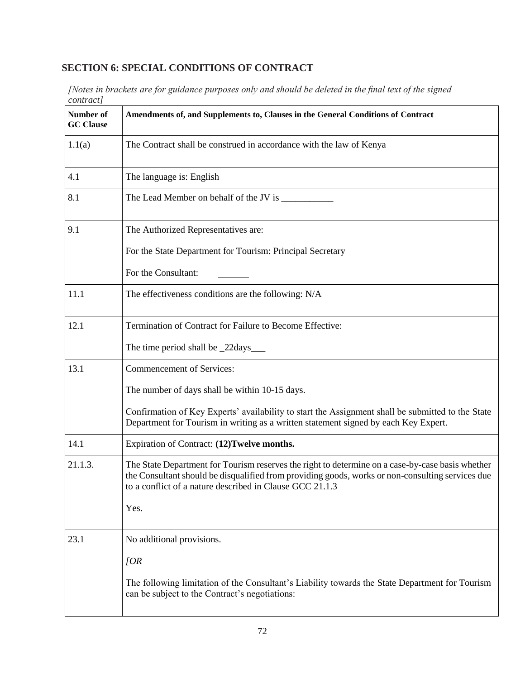# **SECTION 6: SPECIAL CONDITIONS OF CONTRACT**

*[Notes in brackets are for guidance purposes only and should be deleted in the final text of the signed contract]*

| Number of<br><b>GC</b> Clause | Amendments of, and Supplements to, Clauses in the General Conditions of Contract                                                                                                                                                                                 |
|-------------------------------|------------------------------------------------------------------------------------------------------------------------------------------------------------------------------------------------------------------------------------------------------------------|
| 1.1(a)                        | The Contract shall be construed in accordance with the law of Kenya                                                                                                                                                                                              |
| 4.1                           | The language is: English                                                                                                                                                                                                                                         |
| 8.1                           |                                                                                                                                                                                                                                                                  |
| 9.1                           | The Authorized Representatives are:                                                                                                                                                                                                                              |
|                               | For the State Department for Tourism: Principal Secretary                                                                                                                                                                                                        |
|                               | For the Consultant:                                                                                                                                                                                                                                              |
| 11.1                          | The effectiveness conditions are the following: N/A                                                                                                                                                                                                              |
| 12.1                          | Termination of Contract for Failure to Become Effective:                                                                                                                                                                                                         |
|                               | The time period shall be _22days____                                                                                                                                                                                                                             |
| 13.1                          | Commencement of Services:                                                                                                                                                                                                                                        |
|                               | The number of days shall be within 10-15 days.                                                                                                                                                                                                                   |
|                               | Confirmation of Key Experts' availability to start the Assignment shall be submitted to the State<br>Department for Tourism in writing as a written statement signed by each Key Expert.                                                                         |
| 14.1                          | Expiration of Contract: (12)Twelve months.                                                                                                                                                                                                                       |
| 21.1.3.                       | The State Department for Tourism reserves the right to determine on a case-by-case basis whether<br>the Consultant should be disqualified from providing goods, works or non-consulting services due<br>to a conflict of a nature described in Clause GCC 21.1.3 |
|                               | Yes.                                                                                                                                                                                                                                                             |
| 23.1                          | No additional provisions.                                                                                                                                                                                                                                        |
|                               | [OR]                                                                                                                                                                                                                                                             |
|                               | The following limitation of the Consultant's Liability towards the State Department for Tourism<br>can be subject to the Contract's negotiations:                                                                                                                |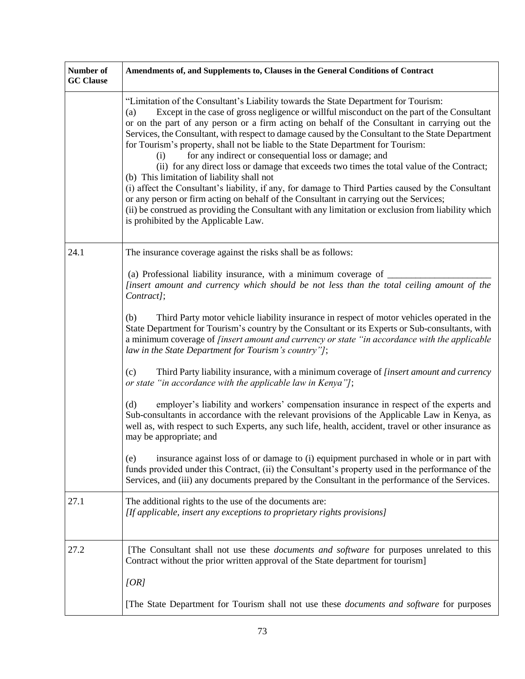| Number of<br><b>GC</b> Clause | Amendments of, and Supplements to, Clauses in the General Conditions of Contract                                                                                                                                                                                                                                                                                                                                                                                                                                                                                                                                                                                                                                                                                                                                                                                                                                                                                                                                                               |
|-------------------------------|------------------------------------------------------------------------------------------------------------------------------------------------------------------------------------------------------------------------------------------------------------------------------------------------------------------------------------------------------------------------------------------------------------------------------------------------------------------------------------------------------------------------------------------------------------------------------------------------------------------------------------------------------------------------------------------------------------------------------------------------------------------------------------------------------------------------------------------------------------------------------------------------------------------------------------------------------------------------------------------------------------------------------------------------|
|                               | "Limitation of the Consultant's Liability towards the State Department for Tourism:<br>Except in the case of gross negligence or willful misconduct on the part of the Consultant<br>(a)<br>or on the part of any person or a firm acting on behalf of the Consultant in carrying out the<br>Services, the Consultant, with respect to damage caused by the Consultant to the State Department<br>for Tourism's property, shall not be liable to the State Department for Tourism:<br>for any indirect or consequential loss or damage; and<br>(i)<br>(ii) for any direct loss or damage that exceeds two times the total value of the Contract;<br>(b) This limitation of liability shall not<br>(i) affect the Consultant's liability, if any, for damage to Third Parties caused by the Consultant<br>or any person or firm acting on behalf of the Consultant in carrying out the Services;<br>(ii) be construed as providing the Consultant with any limitation or exclusion from liability which<br>is prohibited by the Applicable Law. |
| 24.1                          | The insurance coverage against the risks shall be as follows:                                                                                                                                                                                                                                                                                                                                                                                                                                                                                                                                                                                                                                                                                                                                                                                                                                                                                                                                                                                  |
|                               | (a) Professional liability insurance, with a minimum coverage of _<br>[insert amount and currency which should be not less than the total ceiling amount of the<br>Contract];                                                                                                                                                                                                                                                                                                                                                                                                                                                                                                                                                                                                                                                                                                                                                                                                                                                                  |
|                               | Third Party motor vehicle liability insurance in respect of motor vehicles operated in the<br>(b)<br>State Department for Tourism's country by the Consultant or its Experts or Sub-consultants, with<br>a minimum coverage of <i>[insert amount and currency or state "in accordance with the applicable</i><br>law in the State Department for Tourism's country"];                                                                                                                                                                                                                                                                                                                                                                                                                                                                                                                                                                                                                                                                          |
|                               | Third Party liability insurance, with a minimum coverage of [insert amount and currency<br>(c)<br>or state "in accordance with the applicable law in Kenya"];                                                                                                                                                                                                                                                                                                                                                                                                                                                                                                                                                                                                                                                                                                                                                                                                                                                                                  |
|                               | employer's liability and workers' compensation insurance in respect of the experts and<br>(d)<br>Sub-consultants in accordance with the relevant provisions of the Applicable Law in Kenya, as<br>well as, with respect to such Experts, any such life, health, accident, travel or other insurance as<br>may be appropriate; and                                                                                                                                                                                                                                                                                                                                                                                                                                                                                                                                                                                                                                                                                                              |
|                               | insurance against loss of or damage to (i) equipment purchased in whole or in part with<br>(e)<br>funds provided under this Contract, (ii) the Consultant's property used in the performance of the<br>Services, and (iii) any documents prepared by the Consultant in the performance of the Services.                                                                                                                                                                                                                                                                                                                                                                                                                                                                                                                                                                                                                                                                                                                                        |
| 27.1                          | The additional rights to the use of the documents are:<br>[If applicable, insert any exceptions to proprietary rights provisions]                                                                                                                                                                                                                                                                                                                                                                                                                                                                                                                                                                                                                                                                                                                                                                                                                                                                                                              |
| 27.2                          | [The Consultant shall not use these <i>documents and software</i> for purposes unrelated to this<br>Contract without the prior written approval of the State department for tourism]                                                                                                                                                                                                                                                                                                                                                                                                                                                                                                                                                                                                                                                                                                                                                                                                                                                           |
|                               | [OR]                                                                                                                                                                                                                                                                                                                                                                                                                                                                                                                                                                                                                                                                                                                                                                                                                                                                                                                                                                                                                                           |
|                               | [The State Department for Tourism shall not use these <i>documents and software</i> for purposes                                                                                                                                                                                                                                                                                                                                                                                                                                                                                                                                                                                                                                                                                                                                                                                                                                                                                                                                               |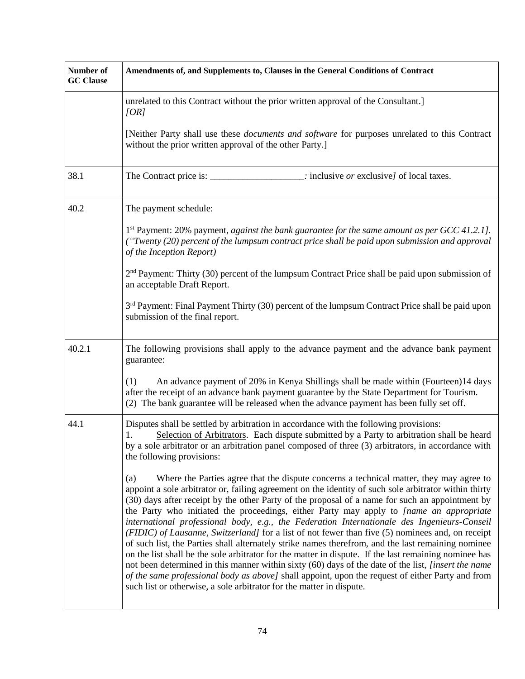| Number of<br><b>GC</b> Clause | Amendments of, and Supplements to, Clauses in the General Conditions of Contract                                                                                                                                                                                                                                                                                                                                                                                                                                                                                                                                                                                                                                                                                                                                                                                                                                                                                                                                                                                                                           |
|-------------------------------|------------------------------------------------------------------------------------------------------------------------------------------------------------------------------------------------------------------------------------------------------------------------------------------------------------------------------------------------------------------------------------------------------------------------------------------------------------------------------------------------------------------------------------------------------------------------------------------------------------------------------------------------------------------------------------------------------------------------------------------------------------------------------------------------------------------------------------------------------------------------------------------------------------------------------------------------------------------------------------------------------------------------------------------------------------------------------------------------------------|
|                               | unrelated to this Contract without the prior written approval of the Consultant.]<br>[OR]                                                                                                                                                                                                                                                                                                                                                                                                                                                                                                                                                                                                                                                                                                                                                                                                                                                                                                                                                                                                                  |
|                               | [Neither Party shall use these <i>documents and software</i> for purposes unrelated to this Contract<br>without the prior written approval of the other Party.]                                                                                                                                                                                                                                                                                                                                                                                                                                                                                                                                                                                                                                                                                                                                                                                                                                                                                                                                            |
| 38.1                          | $\therefore$ : inclusive <i>or</i> exclusive of local taxes.                                                                                                                                                                                                                                                                                                                                                                                                                                                                                                                                                                                                                                                                                                                                                                                                                                                                                                                                                                                                                                               |
| 40.2                          | The payment schedule:                                                                                                                                                                                                                                                                                                                                                                                                                                                                                                                                                                                                                                                                                                                                                                                                                                                                                                                                                                                                                                                                                      |
|                               | $1st$ Payment: 20% payment, against the bank guarantee for the same amount as per GCC 41.2.1].<br>("Twenty (20) percent of the lumpsum contract price shall be paid upon submission and approval<br>of the Inception Report)                                                                                                                                                                                                                                                                                                                                                                                                                                                                                                                                                                                                                                                                                                                                                                                                                                                                               |
|                               | $2nd$ Payment: Thirty (30) percent of the lumpsum Contract Price shall be paid upon submission of<br>an acceptable Draft Report.                                                                                                                                                                                                                                                                                                                                                                                                                                                                                                                                                                                                                                                                                                                                                                                                                                                                                                                                                                           |
|                               | $3rd$ Payment: Final Payment Thirty (30) percent of the lumpsum Contract Price shall be paid upon<br>submission of the final report.                                                                                                                                                                                                                                                                                                                                                                                                                                                                                                                                                                                                                                                                                                                                                                                                                                                                                                                                                                       |
| 40.2.1                        | The following provisions shall apply to the advance payment and the advance bank payment<br>guarantee:                                                                                                                                                                                                                                                                                                                                                                                                                                                                                                                                                                                                                                                                                                                                                                                                                                                                                                                                                                                                     |
|                               | An advance payment of 20% in Kenya Shillings shall be made within (Fourteen)14 days<br>(1)<br>after the receipt of an advance bank payment guarantee by the State Department for Tourism.<br>(2) The bank guarantee will be released when the advance payment has been fully set off.                                                                                                                                                                                                                                                                                                                                                                                                                                                                                                                                                                                                                                                                                                                                                                                                                      |
| 44.1                          | Disputes shall be settled by arbitration in accordance with the following provisions:<br>Selection of Arbitrators. Each dispute submitted by a Party to arbitration shall be heard<br>by a sole arbitrator or an arbitration panel composed of three (3) arbitrators, in accordance with<br>the following provisions:                                                                                                                                                                                                                                                                                                                                                                                                                                                                                                                                                                                                                                                                                                                                                                                      |
|                               | Where the Parties agree that the dispute concerns a technical matter, they may agree to<br>(a)<br>appoint a sole arbitrator or, failing agreement on the identity of such sole arbitrator within thirty<br>(30) days after receipt by the other Party of the proposal of a name for such an appointment by<br>the Party who initiated the proceedings, either Party may apply to [name an appropriate<br>international professional body, e.g., the Federation Internationale des Ingenieurs-Conseil<br>(FIDIC) of Lausanne, Switzerland] for a list of not fewer than five (5) nominees and, on receipt<br>of such list, the Parties shall alternately strike names therefrom, and the last remaining nominee<br>on the list shall be the sole arbitrator for the matter in dispute. If the last remaining nominee has<br>not been determined in this manner within sixty (60) days of the date of the list, [insert the name<br>of the same professional body as above] shall appoint, upon the request of either Party and from<br>such list or otherwise, a sole arbitrator for the matter in dispute. |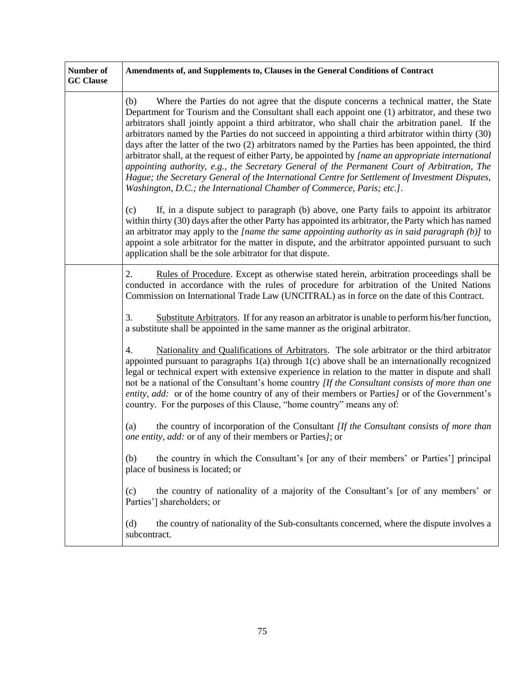| Number of<br><b>GC</b> Clause | Amendments of, and Supplements to, Clauses in the General Conditions of Contract                                                                                                                                                                                                                                                                                                                                                                                                                                                                                                                                                                                                                                                                                                                                                                                                                          |
|-------------------------------|-----------------------------------------------------------------------------------------------------------------------------------------------------------------------------------------------------------------------------------------------------------------------------------------------------------------------------------------------------------------------------------------------------------------------------------------------------------------------------------------------------------------------------------------------------------------------------------------------------------------------------------------------------------------------------------------------------------------------------------------------------------------------------------------------------------------------------------------------------------------------------------------------------------|
|                               | Where the Parties do not agree that the dispute concerns a technical matter, the State<br>(b)<br>Department for Tourism and the Consultant shall each appoint one (1) arbitrator, and these two<br>arbitrators shall jointly appoint a third arbitrator, who shall chair the arbitration panel. If the<br>arbitrators named by the Parties do not succeed in appointing a third arbitrator within thirty (30)<br>days after the latter of the two (2) arbitrators named by the Parties has been appointed, the third<br>arbitrator shall, at the request of either Party, be appointed by [name an appropriate international<br>appointing authority, e.g., the Secretary General of the Permanent Court of Arbitration, The<br>Hague; the Secretary General of the International Centre for Settlement of Investment Disputes,<br>Washington, D.C.; the International Chamber of Commerce, Paris; etc.]. |
|                               | If, in a dispute subject to paragraph (b) above, one Party fails to appoint its arbitrator<br>(c)<br>within thirty (30) days after the other Party has appointed its arbitrator, the Party which has named<br>an arbitrator may apply to the [name the same appointing authority as in said paragraph (b)] to<br>appoint a sole arbitrator for the matter in dispute, and the arbitrator appointed pursuant to such<br>application shall be the sole arbitrator for that dispute.                                                                                                                                                                                                                                                                                                                                                                                                                         |
|                               | 2.<br>Rules of Procedure. Except as otherwise stated herein, arbitration proceedings shall be<br>conducted in accordance with the rules of procedure for arbitration of the United Nations<br>Commission on International Trade Law (UNCITRAL) as in force on the date of this Contract.                                                                                                                                                                                                                                                                                                                                                                                                                                                                                                                                                                                                                  |
|                               | 3.<br>Substitute Arbitrators. If for any reason an arbitrator is unable to perform his/her function,<br>a substitute shall be appointed in the same manner as the original arbitrator.                                                                                                                                                                                                                                                                                                                                                                                                                                                                                                                                                                                                                                                                                                                    |
|                               | Nationality and Qualifications of Arbitrators. The sole arbitrator or the third arbitrator<br>4.<br>appointed pursuant to paragraphs $1(a)$ through $1(c)$ above shall be an internationally recognized<br>legal or technical expert with extensive experience in relation to the matter in dispute and shall<br>not be a national of the Consultant's home country [If the Consultant consists of more than one<br>entity, add: or of the home country of any of their members or Parties] or of the Government's<br>country. For the purposes of this Clause, "home country" means any of:                                                                                                                                                                                                                                                                                                              |
|                               | the country of incorporation of the Consultant [If the Consultant consists of more than<br>(a)<br>one entity, add: or of any of their members or Parties]; or                                                                                                                                                                                                                                                                                                                                                                                                                                                                                                                                                                                                                                                                                                                                             |
|                               | the country in which the Consultant's [or any of their members' or Parties'] principal<br>(b)<br>place of business is located; or                                                                                                                                                                                                                                                                                                                                                                                                                                                                                                                                                                                                                                                                                                                                                                         |
|                               | the country of nationality of a majority of the Consultant's [or of any members' or<br>(c)<br>Parties'] shareholders; or                                                                                                                                                                                                                                                                                                                                                                                                                                                                                                                                                                                                                                                                                                                                                                                  |
|                               | the country of nationality of the Sub-consultants concerned, where the dispute involves a<br>(d)<br>subcontract.                                                                                                                                                                                                                                                                                                                                                                                                                                                                                                                                                                                                                                                                                                                                                                                          |